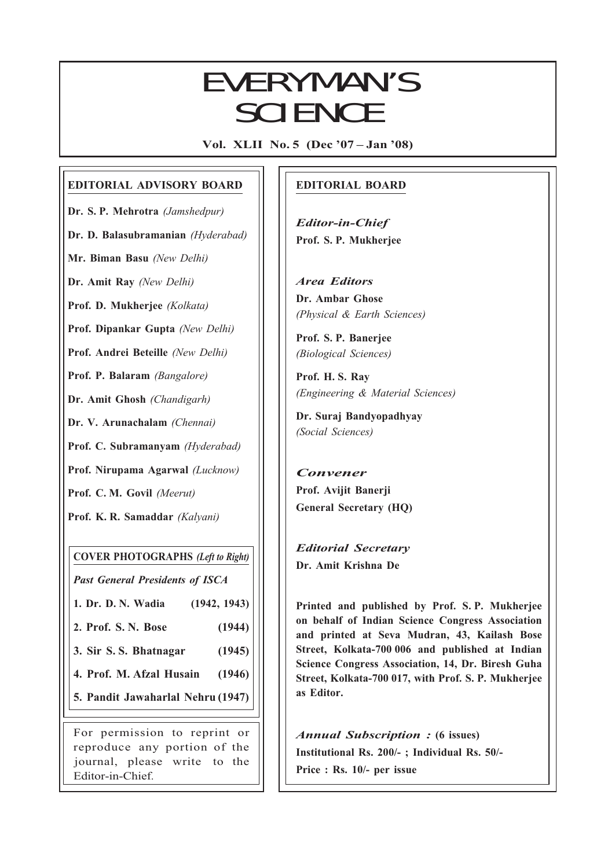## EVERYMAN'S SCIENCE

Vol. XLII No. 5 (Dec '07 – Jan '08)

## EDITORIAL ADVISORY BOARD

Dr. S. P. Mehrotra (Jamshedpur) Dr. D. Balasubramanian (Hyderabad)

Mr. Biman Basu (New Delhi)

Dr. Amit Ray (New Delhi)

Prof. D. Mukherjee (Kolkata)

Prof. Dipankar Gupta (New Delhi)

Prof. Andrei Beteille (New Delhi)

Prof. P. Balaram (Bangalore)

Dr. Amit Ghosh (Chandigarh)

Dr. V. Arunachalam (Chennai)

Prof. C. Subramanyam (Hyderabad)

Prof. Nirupama Agarwal (Lucknow)

Prof. C. M. Govil (Meerut)

Prof. K. R. Samaddar (Kalyani)

COVER PHOTOGRAPHS (Left to Right)

Past General Presidents of ISCA

1. Dr. D. N. Wadia (1942, 1943)

2. Prof. S. N. Bose (1944)

3. Sir S. S. Bhatnagar (1945)

4. Prof. M. Afzal Husain (1946)

5. Pandit Jawaharlal Nehru (1947)

For permission to reprint or reproduce any portion of the journal, please write to the Editor-in-Chief.

## EDITORIAL BOARD

Editor-in-Chief Prof. S. P. Mukherjee

Area Editors Dr. Ambar Ghose (Physical & Earth Sciences)

Prof. S. P. Banerjee (Biological Sciences)

Prof. H. S. Ray (Engineering & Material Sciences)

Dr. Suraj Bandyopadhyay (Social Sciences)

Convener Prof. Avijit Banerji General Secretary (HQ)

Editorial Secretary Dr. Amit Krishna De

249<br>249 - 249 - 249<br>249 - 249 - 249 - 249 - 249 - 249 - 249 - 249 - 249 - 249 - 249 - 249 - 249 - 249 - 249 - 249

Printed and published by Prof. S. P. Mukherjee on behalf of Indian Science Congress Association and printed at Seva Mudran, 43, Kailash Bose Street, Kolkata-700 006 and published at Indian Science Congress Association, 14, Dr. Biresh Guha Street, Kolkata-700 017, with Prof. S. P. Mukherjee as Editor.

Annual Subscription : (6 issues) Institutional Rs. 200/- ; Individual Rs. 50/- Price : Rs. 10/- per issue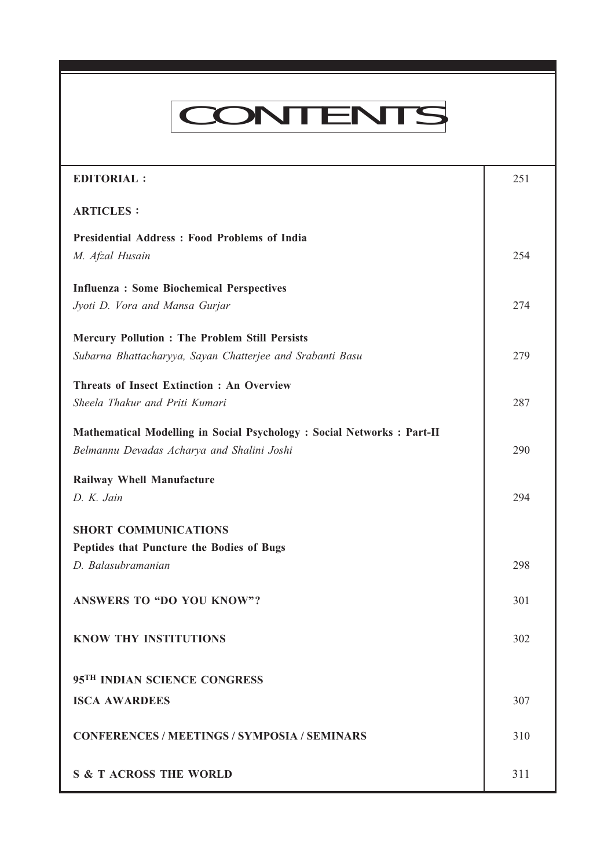# CONTENTS

Every many mandates vol. XLII NO. 5, Dec '07 — Jan '08 — Jan '08 — Jan '08 — Jan '08 — Jan '08 — Jan '08 — Jan<br>'08 — Jan '08 — Jan '08 — Jan '08 — Jan '08 — Jan '08 — Jan '08 — Jan '08 — Jan '08 — Jan '08 — Jan '08 — Jan

| <b>EDITORIAL:</b>                                                                                                     | 251 |
|-----------------------------------------------------------------------------------------------------------------------|-----|
| <b>ARTICLES:</b>                                                                                                      |     |
| <b>Presidential Address: Food Problems of India</b><br>M. Afzal Husain                                                | 254 |
| <b>Influenza: Some Biochemical Perspectives</b><br>Jyoti D. Vora and Mansa Gurjar                                     | 274 |
| <b>Mercury Pollution : The Problem Still Persists</b><br>Subarna Bhattacharyya, Sayan Chatterjee and Srabanti Basu    | 279 |
| <b>Threats of Insect Extinction: An Overview</b><br>Sheela Thakur and Priti Kumari                                    | 287 |
| Mathematical Modelling in Social Psychology : Social Networks : Part-II<br>Belmannu Devadas Acharya and Shalini Joshi | 290 |
| Railway Whell Manufacture<br>D. K. Jain                                                                               | 294 |
| <b>SHORT COMMUNICATIONS</b><br>Peptides that Puncture the Bodies of Bugs<br>D. Balasubramanian                        | 298 |
| <b>ANSWERS TO "DO YOU KNOW"?</b>                                                                                      | 301 |
| <b>KNOW THY INSTITUTIONS</b>                                                                                          | 302 |
| 95 <sup>TH</sup> INDIAN SCIENCE CONGRESS                                                                              |     |
| <b>ISCA AWARDEES</b>                                                                                                  | 307 |
| <b>CONFERENCES / MEETINGS / SYMPOSIA / SEMINARS</b>                                                                   | 310 |
| <b>S &amp; T ACROSS THE WORLD</b>                                                                                     | 311 |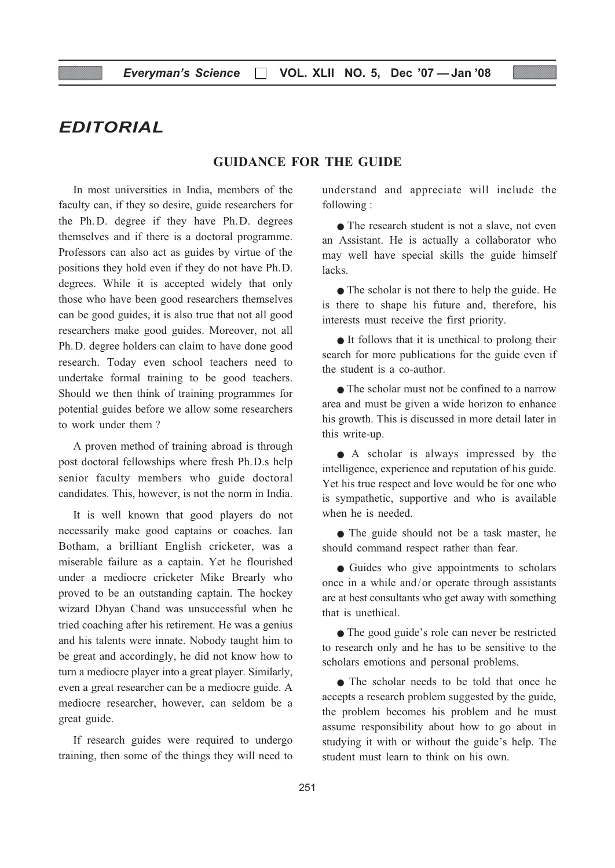## EDITORIAL

#### GUIDANCE FOR THE GUIDE

In most universities in India, members of the faculty can, if they so desire, guide researchers for the Ph. D. degree if they have Ph.D. degrees themselves and if there is a doctoral programme. Professors can also act as guides by virtue of the positions they hold even if they do not have Ph.D. degrees. While it is accepted widely that only those who have been good researchers themselves can be good guides, it is also true that not all good researchers make good guides. Moreover, not all Ph.D. degree holders can claim to have done good research. Today even school teachers need to undertake formal training to be good teachers. Should we then think of training programmes for potential guides before we allow some researchers to work under them ?

A proven method of training abroad is through post doctoral fellowships where fresh Ph.D.s help senior faculty members who guide doctoral candidates. This, however, is not the norm in India.

It is well known that good players do not necessarily make good captains or coaches. Ian Botham, a brilliant English cricketer, was a miserable failure as a captain. Yet he flourished under a mediocre cricketer Mike Brearly who proved to be an outstanding captain. The hockey wizard Dhyan Chand was unsuccessful when he tried coaching after his retirement. He was a genius and his talents were innate. Nobody taught him to be great and accordingly, he did not know how to turn a mediocre player into a great player. Similarly, even a great researcher can be a mediocre guide. A mediocre researcher, however, can seldom be a great guide.

If research guides were required to undergo training, then some of the things they will need to understand and appreciate will include the following :

• The research student is not a slave, not even an Assistant. He is actually a collaborator who may well have special skills the guide himself lacks.

• The scholar is not there to help the guide. He is there to shape his future and, therefore, his interests must receive the first priority.

• It follows that it is unethical to prolong their search for more publications for the guide even if the student is a co-author.

● The scholar must not be confined to a narrow area and must be given a wide horizon to enhance his growth. This is discussed in more detail later in this write-up.

● A scholar is always impressed by the intelligence, experience and reputation of his guide. Yet his true respect and love would be for one who is sympathetic, supportive and who is available when he is needed.

• The guide should not be a task master, he should command respect rather than fear.

● Guides who give appointments to scholars once in a while and/or operate through assistants are at best consultants who get away with something that is unethical.

• The good guide's role can never be restricted to research only and he has to be sensitive to the scholars emotions and personal problems.

● The scholar needs to be told that once he accepts a research problem suggested by the guide, the problem becomes his problem and he must assume responsibility about how to go about in studying it with or without the guide's help. The student must learn to think on his own.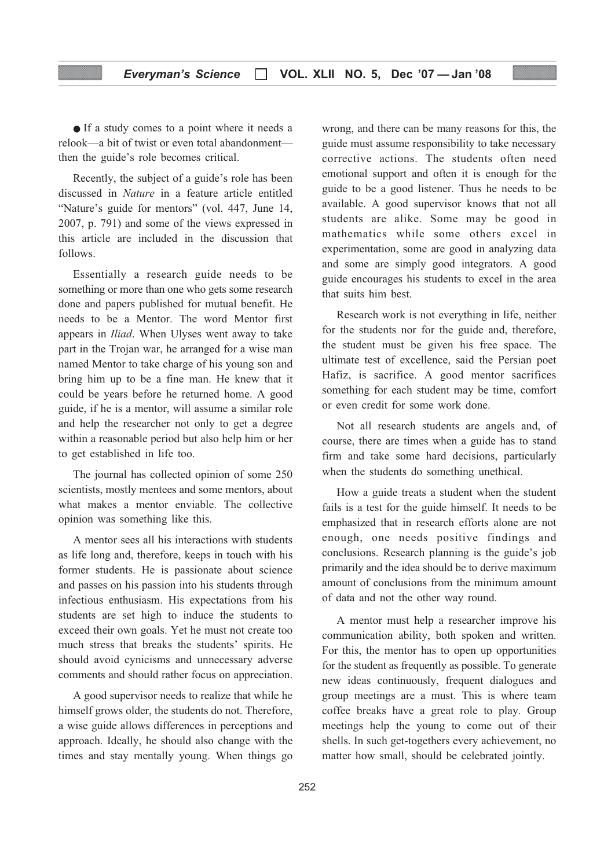● If a study comes to a point where it needs a relook—a bit of twist or even total abandonment then the guide's role becomes critical.

Recently, the subject of a guide's role has been discussed in Nature in a feature article entitled "Nature's guide for mentors" (vol. 447, June 14, 2007, p. 791) and some of the views expressed in this article are included in the discussion that follows.

Essentially a research guide needs to be something or more than one who gets some research done and papers published for mutual benefit. He needs to be a Mentor. The word Mentor first appears in Iliad. When Ulyses went away to take part in the Trojan war, he arranged for a wise man named Mentor to take charge of his young son and bring him up to be a fine man. He knew that it could be years before he returned home. A good guide, if he is a mentor, will assume a similar role and help the researcher not only to get a degree within a reasonable period but also help him or her to get established in life too.

The journal has collected opinion of some 250 scientists, mostly mentees and some mentors, about what makes a mentor enviable. The collective opinion was something like this.

A mentor sees all his interactions with students as life long and, therefore, keeps in touch with his former students. He is passionate about science and passes on his passion into his students through infectious enthusiasm. His expectations from his students are set high to induce the students to exceed their own goals. Yet he must not create too much stress that breaks the students' spirits. He should avoid cynicisms and unnecessary adverse comments and should rather focus on appreciation.

A good supervisor needs to realize that while he himself grows older, the students do not. Therefore, a wise guide allows differences in perceptions and approach. Ideally, he should also change with the times and stay mentally young. When things go wrong, and there can be many reasons for this, the guide must assume responsibility to take necessary corrective actions. The students often need emotional support and often it is enough for the guide to be a good listener. Thus he needs to be available. A good supervisor knows that not all students are alike. Some may be good in mathematics while some others excel in experimentation, some are good in analyzing data and some are simply good integrators. A good guide encourages his students to excel in the area that suits him best.

Research work is not everything in life, neither for the students nor for the guide and, therefore, the student must be given his free space. The ultimate test of excellence, said the Persian poet Hafiz, is sacrifice. A good mentor sacrifices something for each student may be time, comfort or even credit for some work done.

Not all research students are angels and, of course, there are times when a guide has to stand firm and take some hard decisions, particularly when the students do something unethical.

How a guide treats a student when the student fails is a test for the guide himself. It needs to be emphasized that in research efforts alone are not enough, one needs positive findings and conclusions. Research planning is the guide's job primarily and the idea should be to derive maximum amount of conclusions from the minimum amount of data and not the other way round.

A mentor must help a researcher improve his communication ability, both spoken and written. For this, the mentor has to open up opportunities for the student as frequently as possible. To generate new ideas continuously, frequent dialogues and group meetings are a must. This is where team coffee breaks have a great role to play. Group meetings help the young to come out of their shells. In such get-togethers every achievement, no matter how small, should be celebrated jointly.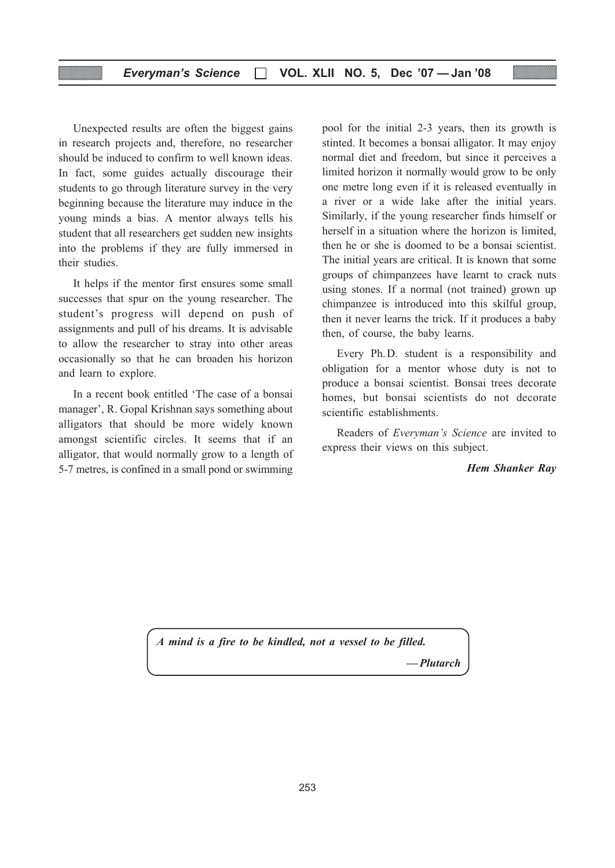#### Everyman's Science  $\Box$  VOL. XLII NO. 5, Dec '07 - Jan '08

Unexpected results are often the biggest gains in research projects and, therefore, no researcher should be induced to confirm to well known ideas. In fact, some guides actually discourage their students to go through literature survey in the very beginning because the literature may induce in the young minds a bias. A mentor always tells his student that all researchers get sudden new insights into the problems if they are fully immersed in their studies.

It helps if the mentor first ensures some small successes that spur on the young researcher. The student's progress will depend on push of assignments and pull of his dreams. It is advisable to allow the researcher to stray into other areas occasionally so that he can broaden his horizon and learn to explore.

In a recent book entitled 'The case of a bonsai manager', R. Gopal Krishnan says something about alligators that should be more widely known amongst scientific circles. It seems that if an alligator, that would normally grow to a length of 5-7 metres, is confined in a small pond or swimming

pool for the initial 2-3 years, then its growth is stinted. It becomes a bonsai alligator. It may enjoy normal diet and freedom, but since it perceives a limited horizon it normally would grow to be only one metre long even if it is released eventually in a river or a wide lake after the initial years. Similarly, if the young researcher finds himself or herself in a situation where the horizon is limited, then he or she is doomed to be a bonsai scientist. The initial years are critical. It is known that some groups of chimpanzees have learnt to crack nuts using stones. If a normal (not trained) grown up chimpanzee is introduced into this skilful group, then it never learns the trick. If it produces a baby then, of course, the baby learns.

Every Ph.D. student is a responsibility and obligation for a mentor whose duty is not to produce a bonsai scientist. Bonsai trees decorate homes, but bonsai scientists do not decorate scientific establishments.

Readers of Everyman's Science are invited to express their views on this subject.

#### Hem Shanker Ray

A mind is a fire to be kindled, not a vessel to be filled. — Plutarch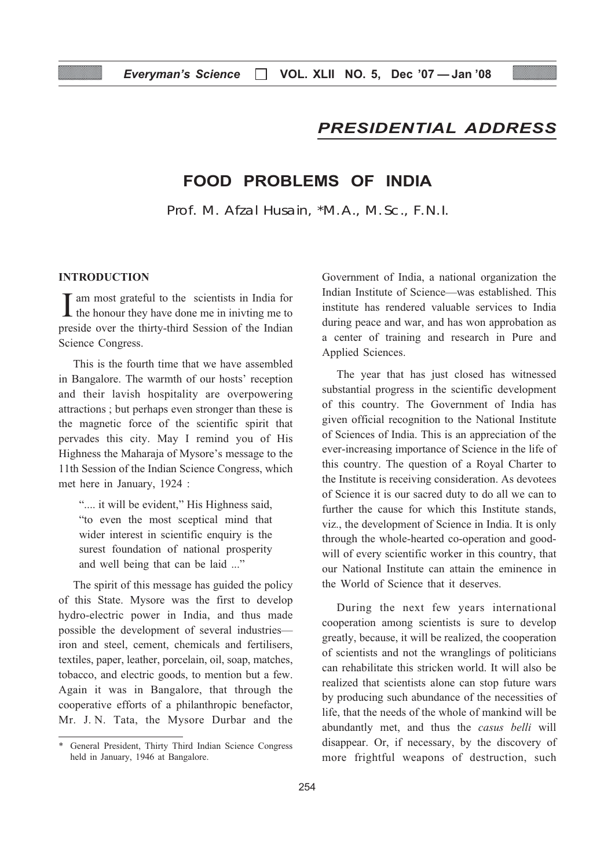## PRESIDENTIAL ADDRESS

## FOOD PROBLEMS OF INDIA

Prof. M. Afzal Husain, \*M.A., M.Sc., F.N.I.

#### INTRODUCTION

 $\prod$  am most grateful to the scientists in India for the honour they have done me in inivting me to **T** am most grateful to the scientists in India for preside over the thirty-third Session of the Indian Science Congress.

This is the fourth time that we have assembled in Bangalore. The warmth of our hosts' reception and their lavish hospitality are overpowering attractions ; but perhaps even stronger than these is the magnetic force of the scientific spirit that pervades this city. May I remind you of His Highness the Maharaja of Mysore's message to the 11th Session of the Indian Science Congress, which met here in January, 1924 :

".... it will be evident," His Highness said, "to even the most sceptical mind that wider interest in scientific enquiry is the surest foundation of national prosperity and well being that can be laid ..."

The spirit of this message has guided the policy of this State. Mysore was the first to develop hydro-electric power in India, and thus made possible the development of several industries iron and steel, cement, chemicals and fertilisers, textiles, paper, leather, porcelain, oil, soap, matches, tobacco, and electric goods, to mention but a few. Again it was in Bangalore, that through the cooperative efforts of a philanthropic benefactor, Mr. J. N. Tata, the Mysore Durbar and the

Government of India, a national organization the Indian Institute of Science—was established. This institute has rendered valuable services to India during peace and war, and has won approbation as a center of training and research in Pure and Applied Sciences.

The year that has just closed has witnessed substantial progress in the scientific development of this country. The Government of India has given official recognition to the National Institute of Sciences of India. This is an appreciation of the ever-increasing importance of Science in the life of this country. The question of a Royal Charter to the Institute is receiving consideration. As devotees of Science it is our sacred duty to do all we can to further the cause for which this Institute stands, viz., the development of Science in India. It is only through the whole-hearted co-operation and goodwill of every scientific worker in this country, that our National Institute can attain the eminence in the World of Science that it deserves.

During the next few years international cooperation among scientists is sure to develop greatly, because, it will be realized, the cooperation of scientists and not the wranglings of politicians can rehabilitate this stricken world. It will also be realized that scientists alone can stop future wars by producing such abundance of the necessities of life, that the needs of the whole of mankind will be abundantly met, and thus the casus belli will disappear. Or, if necessary, by the discovery of more frightful weapons of destruction, such

<sup>\*</sup> General President, Thirty Third Indian Science Congress held in January, 1946 at Bangalore.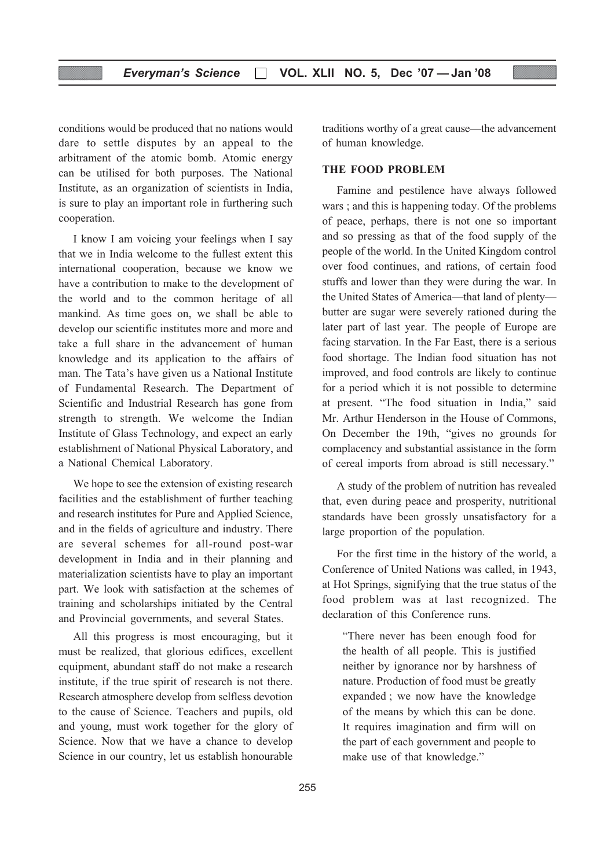conditions would be produced that no nations would dare to settle disputes by an appeal to the arbitrament of the atomic bomb. Atomic energy can be utilised for both purposes. The National Institute, as an organization of scientists in India, is sure to play an important role in furthering such cooperation.

I know I am voicing your feelings when I say that we in India welcome to the fullest extent this international cooperation, because we know we have a contribution to make to the development of the world and to the common heritage of all mankind. As time goes on, we shall be able to develop our scientific institutes more and more and take a full share in the advancement of human knowledge and its application to the affairs of man. The Tata's have given us a National Institute of Fundamental Research. The Department of Scientific and Industrial Research has gone from strength to strength. We welcome the Indian Institute of Glass Technology, and expect an early establishment of National Physical Laboratory, and a National Chemical Laboratory.

We hope to see the extension of existing research facilities and the establishment of further teaching and research institutes for Pure and Applied Science, and in the fields of agriculture and industry. There are several schemes for all-round post-war development in India and in their planning and materialization scientists have to play an important part. We look with satisfaction at the schemes of training and scholarships initiated by the Central and Provincial governments, and several States.

All this progress is most encouraging, but it must be realized, that glorious edifices, excellent equipment, abundant staff do not make a research institute, if the true spirit of research is not there. Research atmosphere develop from selfless devotion to the cause of Science. Teachers and pupils, old and young, must work together for the glory of Science. Now that we have a chance to develop Science in our country, let us establish honourable

traditions worthy of a great cause—the advancement of human knowledge.

#### THE FOOD PROBLEM

Famine and pestilence have always followed wars ; and this is happening today. Of the problems of peace, perhaps, there is not one so important and so pressing as that of the food supply of the people of the world. In the United Kingdom control over food continues, and rations, of certain food stuffs and lower than they were during the war. In the United States of America—that land of plenty butter are sugar were severely rationed during the later part of last year. The people of Europe are facing starvation. In the Far East, there is a serious food shortage. The Indian food situation has not improved, and food controls are likely to continue for a period which it is not possible to determine at present. "The food situation in India," said Mr. Arthur Henderson in the House of Commons, On December the 19th, "gives no grounds for complacency and substantial assistance in the form of cereal imports from abroad is still necessary."

A study of the problem of nutrition has revealed that, even during peace and prosperity, nutritional standards have been grossly unsatisfactory for a large proportion of the population.

For the first time in the history of the world, a Conference of United Nations was called, in 1943, at Hot Springs, signifying that the true status of the food problem was at last recognized. The declaration of this Conference runs.

"There never has been enough food for the health of all people. This is justified neither by ignorance nor by harshness of nature. Production of food must be greatly expanded ; we now have the knowledge of the means by which this can be done. It requires imagination and firm will on the part of each government and people to make use of that knowledge."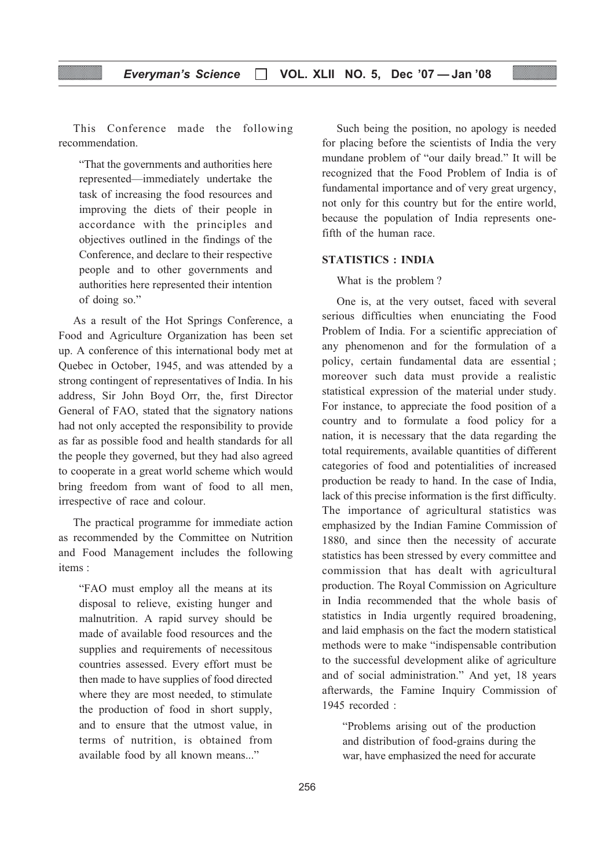This Conference made the following recommendation.

"That the governments and authorities here represented—immediately undertake the task of increasing the food resources and improving the diets of their people in accordance with the principles and objectives outlined in the findings of the Conference, and declare to their respective people and to other governments and authorities here represented their intention of doing so."

As a result of the Hot Springs Conference, a Food and Agriculture Organization has been set up. A conference of this international body met at Quebec in October, 1945, and was attended by a strong contingent of representatives of India. In his address, Sir John Boyd Orr, the, first Director General of FAO, stated that the signatory nations had not only accepted the responsibility to provide as far as possible food and health standards for all the people they governed, but they had also agreed to cooperate in a great world scheme which would bring freedom from want of food to all men, irrespective of race and colour.

The practical programme for immediate action as recommended by the Committee on Nutrition and Food Management includes the following items :

"FAO must employ all the means at its disposal to relieve, existing hunger and malnutrition. A rapid survey should be made of available food resources and the supplies and requirements of necessitous countries assessed. Every effort must be then made to have supplies of food directed where they are most needed, to stimulate the production of food in short supply, and to ensure that the utmost value, in terms of nutrition, is obtained from available food by all known means..."

Such being the position, no apology is needed for placing before the scientists of India the very mundane problem of "our daily bread." It will be recognized that the Food Problem of India is of fundamental importance and of very great urgency, not only for this country but for the entire world, because the population of India represents onefifth of the human race.

#### STATISTICS : INDIA

What is the problem ?

One is, at the very outset, faced with several serious difficulties when enunciating the Food Problem of India. For a scientific appreciation of any phenomenon and for the formulation of a policy, certain fundamental data are essential ; moreover such data must provide a realistic statistical expression of the material under study. For instance, to appreciate the food position of a country and to formulate a food policy for a nation, it is necessary that the data regarding the total requirements, available quantities of different categories of food and potentialities of increased production be ready to hand. In the case of India, lack of this precise information is the first difficulty. The importance of agricultural statistics was emphasized by the Indian Famine Commission of 1880, and since then the necessity of accurate statistics has been stressed by every committee and commission that has dealt with agricultural production. The Royal Commission on Agriculture in India recommended that the whole basis of statistics in India urgently required broadening, and laid emphasis on the fact the modern statistical methods were to make "indispensable contribution to the successful development alike of agriculture and of social administration." And yet, 18 years afterwards, the Famine Inquiry Commission of 1945 recorded :

"Problems arising out of the production and distribution of food-grains during the war, have emphasized the need for accurate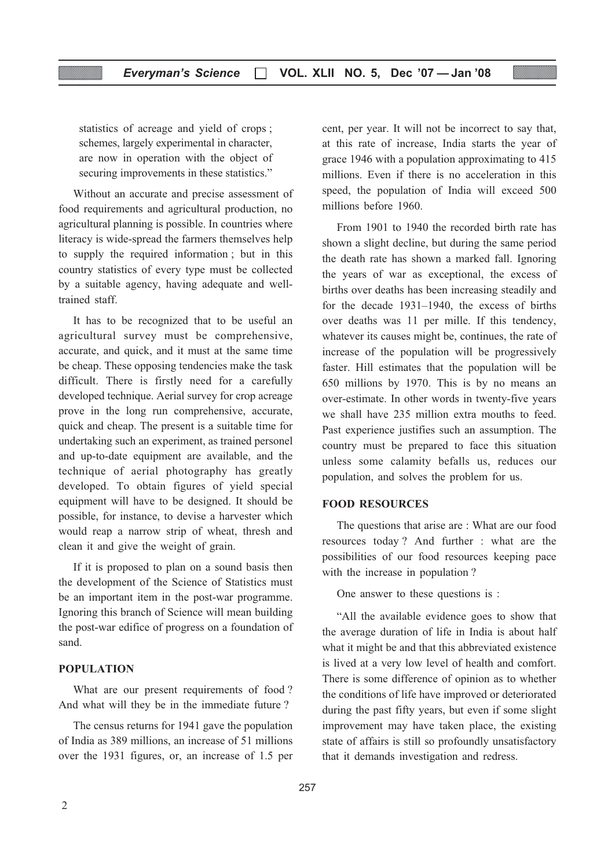statistics of acreage and yield of crops ; schemes, largely experimental in character, are now in operation with the object of securing improvements in these statistics."

Without an accurate and precise assessment of food requirements and agricultural production, no agricultural planning is possible. In countries where literacy is wide-spread the farmers themselves help to supply the required information ; but in this country statistics of every type must be collected by a suitable agency, having adequate and welltrained staff.

It has to be recognized that to be useful an agricultural survey must be comprehensive, accurate, and quick, and it must at the same time be cheap. These opposing tendencies make the task difficult. There is firstly need for a carefully developed technique. Aerial survey for crop acreage prove in the long run comprehensive, accurate, quick and cheap. The present is a suitable time for undertaking such an experiment, as trained personel and up-to-date equipment are available, and the technique of aerial photography has greatly developed. To obtain figures of yield special equipment will have to be designed. It should be possible, for instance, to devise a harvester which would reap a narrow strip of wheat, thresh and clean it and give the weight of grain.

If it is proposed to plan on a sound basis then the development of the Science of Statistics must be an important item in the post-war programme. Ignoring this branch of Science will mean building the post-war edifice of progress on a foundation of sand.

#### POPULATION

What are our present requirements of food? And what will they be in the immediate future ?

The census returns for 1941 gave the population of India as 389 millions, an increase of 51 millions over the 1931 figures, or, an increase of 1.5 per cent, per year. It will not be incorrect to say that, at this rate of increase, India starts the year of grace 1946 with a population approximating to 415 millions. Even if there is no acceleration in this speed, the population of India will exceed 500 millions before 1960.

From 1901 to 1940 the recorded birth rate has shown a slight decline, but during the same period the death rate has shown a marked fall. Ignoring the years of war as exceptional, the excess of births over deaths has been increasing steadily and for the decade 1931–1940, the excess of births over deaths was 11 per mille. If this tendency, whatever its causes might be, continues, the rate of increase of the population will be progressively faster. Hill estimates that the population will be 650 millions by 1970. This is by no means an over-estimate. In other words in twenty-five years we shall have 235 million extra mouths to feed. Past experience justifies such an assumption. The country must be prepared to face this situation unless some calamity befalls us, reduces our population, and solves the problem for us.

#### FOOD RESOURCES

The questions that arise are : What are our food resources today ? And further : what are the possibilities of our food resources keeping pace with the increase in population ?

One answer to these questions is :

"All the available evidence goes to show that the average duration of life in India is about half what it might be and that this abbreviated existence is lived at a very low level of health and comfort. There is some difference of opinion as to whether the conditions of life have improved or deteriorated during the past fifty years, but even if some slight improvement may have taken place, the existing state of affairs is still so profoundly unsatisfactory that it demands investigation and redress.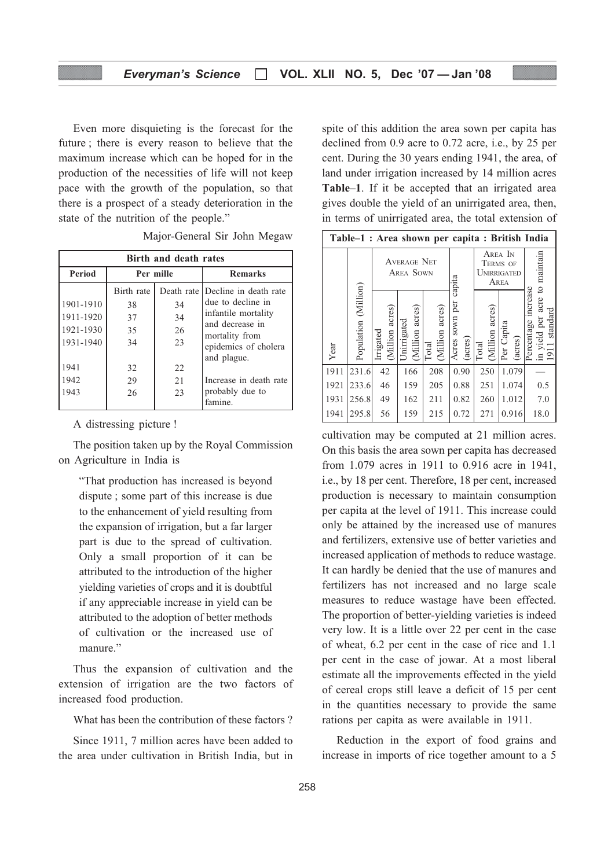Even more disquieting is the forecast for the future ; there is every reason to believe that the maximum increase which can be hoped for in the production of the necessities of life will not keep pace with the growth of the population, so that there is a prospect of a steady deterioration in the state of the nutrition of the people."

| Birth and death rates                            |                                    |                      |                                                                                                                                           |  |
|--------------------------------------------------|------------------------------------|----------------------|-------------------------------------------------------------------------------------------------------------------------------------------|--|
| <b>Period</b>                                    |                                    | Per mille            | <b>Remarks</b>                                                                                                                            |  |
| 1901-1910<br>1911-1920<br>1921-1930<br>1931-1940 | Birth rate<br>38<br>37<br>35<br>34 | 34<br>34<br>26<br>23 | Death rate Decline in death rate<br>due to decline in<br>infantile mortality<br>and decrease in<br>mortality from<br>epidemics of cholera |  |
| 1941<br>1942<br>1943                             | 32<br>29<br>26                     | 22.<br>2.1<br>23     | and plague.<br>Increase in death rate<br>probably due to<br>famine.                                                                       |  |

Major-General Sir John Megaw

A distressing picture !

The position taken up by the Royal Commission on Agriculture in India is

"That production has increased is beyond dispute ; some part of this increase is due to the enhancement of yield resulting from the expansion of irrigation, but a far larger part is due to the spread of cultivation. Only a small proportion of it can be attributed to the introduction of the higher yielding varieties of crops and it is doubtful if any appreciable increase in yield can be attributed to the adoption of better methods of cultivation or the increased use of manure."

Thus the expansion of cultivation and the extension of irrigation are the two factors of increased food production.

What has been the contribution of these factors ?

Since 1911, 7 million acres have been added to the area under cultivation in British India, but in spite of this addition the area sown per capita has declined from 0.9 acre to 0.72 acre, i.e., by 25 per cent. During the 30 years ending 1941, the area, of land under irrigation increased by 14 million acres Table–1. If it be accepted that an irrigated area gives double the yield of an unirrigated area, then, in terms of unirrigated area, the total extension of

|      | Table-1 : Area shown per capita : British India |                                |                                        |                            |                              |                          |                                            |                                                                |
|------|-------------------------------------------------|--------------------------------|----------------------------------------|----------------------------|------------------------------|--------------------------|--------------------------------------------|----------------------------------------------------------------|
|      |                                                 |                                | <b>AVERAGE NET</b><br><b>AREA SOWN</b> |                            | capita                       |                          | AREA IN<br>TERMS OF<br>UNIRRIGATED<br>AREA | acre to maintain                                               |
| Year | Population (Million)                            | acres<br>(Million<br>Irrigated | (Million acres)<br>Unirrigated         | acres)<br>Million<br>Total | sown per<br>(acres)<br>Acres | (Million acres)<br>Total | Capita<br>(acres)<br>Per <sup>-</sup>      | Percentage increase<br>standard<br>yield per<br>1911<br>์<br>⊟ |
| 1911 | 231.6                                           | 42                             | 166                                    | 208                        | 0.90                         | 250                      | 1.079                                      |                                                                |
| 1921 | 233.6                                           | 46                             | 159                                    | 205                        | 0.88                         | 251                      | 1.074                                      | 0.5                                                            |
| 1931 | 256.8                                           | 49                             | 162                                    | 211                        | 0.82                         | 260                      | 1.012                                      | 7.0                                                            |
| 1941 | 295.8                                           | 56                             | 159                                    | 215                        | 0.72                         | 271                      | 0.916                                      | 18.0                                                           |

cultivation may be computed at 21 million acres. On this basis the area sown per capita has decreased from 1.079 acres in 1911 to 0.916 acre in 1941, i.e., by 18 per cent. Therefore, 18 per cent, increased production is necessary to maintain consumption per capita at the level of 1911. This increase could only be attained by the increased use of manures and fertilizers, extensive use of better varieties and increased application of methods to reduce wastage. It can hardly be denied that the use of manures and fertilizers has not increased and no large scale measures to reduce wastage have been effected. The proportion of better-yielding varieties is indeed very low. It is a little over 22 per cent in the case of wheat, 6.2 per cent in the case of rice and 1.1 per cent in the case of jowar. At a most liberal estimate all the improvements effected in the yield of cereal crops still leave a deficit of 15 per cent in the quantities necessary to provide the same rations per capita as were available in 1911.

Reduction in the export of food grains and increase in imports of rice together amount to a 5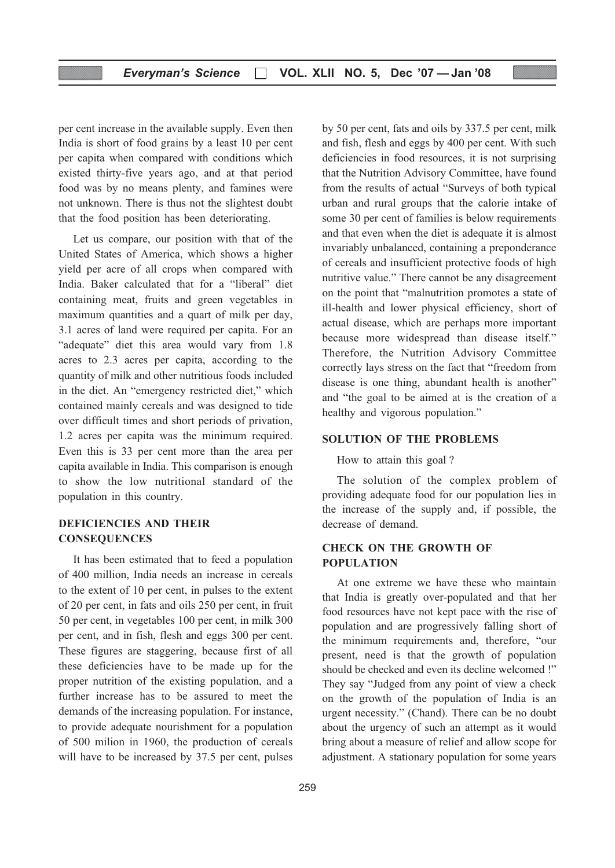per cent increase in the available supply. Even then India is short of food grains by a least 10 per cent per capita when compared with conditions which existed thirty-five years ago, and at that period food was by no means plenty, and famines were not unknown. There is thus not the slightest doubt that the food position has been deteriorating.

Let us compare, our position with that of the United States of America, which shows a higher yield per acre of all crops when compared with India. Baker calculated that for a "liberal" diet containing meat, fruits and green vegetables in maximum quantities and a quart of milk per day, 3.1 acres of land were required per capita. For an "adequate" diet this area would vary from 1.8 acres to 2.3 acres per capita, according to the quantity of milk and other nutritious foods included in the diet. An "emergency restricted diet," which contained mainly cereals and was designed to tide over difficult times and short periods of privation, 1.2 acres per capita was the minimum required. Even this is 33 per cent more than the area per capita available in India. This comparison is enough to show the low nutritional standard of the population in this country.

#### DEFICIENCIES AND THEIR **CONSEQUENCES**

It has been estimated that to feed a population of 400 million, India needs an increase in cereals to the extent of 10 per cent, in pulses to the extent of 20 per cent, in fats and oils 250 per cent, in fruit 50 per cent, in vegetables 100 per cent, in milk 300 per cent, and in fish, flesh and eggs 300 per cent. These figures are staggering, because first of all these deficiencies have to be made up for the proper nutrition of the existing population, and a further increase has to be assured to meet the demands of the increasing population. For instance, to provide adequate nourishment for a population of 500 milion in 1960, the production of cereals will have to be increased by 37.5 per cent, pulses

by 50 per cent, fats and oils by 337.5 per cent, milk and fish, flesh and eggs by 400 per cent. With such deficiencies in food resources, it is not surprising that the Nutrition Advisory Committee, have found from the results of actual "Surveys of both typical urban and rural groups that the calorie intake of some 30 per cent of families is below requirements and that even when the diet is adequate it is almost invariably unbalanced, containing a preponderance of cereals and insufficient protective foods of high nutritive value." There cannot be any disagreement on the point that "malnutrition promotes a state of ill-health and lower physical efficiency, short of actual disease, which are perhaps more important because more widespread than disease itself." Therefore, the Nutrition Advisory Committee correctly lays stress on the fact that "freedom from disease is one thing, abundant health is another" and "the goal to be aimed at is the creation of a healthy and vigorous population."

#### SOLUTION OF THE PROBLEMS

How to attain this goal ?

The solution of the complex problem of providing adequate food for our population lies in the increase of the supply and, if possible, the decrease of demand.

#### CHECK ON THE GROWTH OF POPULATION

At one extreme we have these who maintain that India is greatly over-populated and that her food resources have not kept pace with the rise of population and are progressively falling short of the minimum requirements and, therefore, "our present, need is that the growth of population should be checked and even its decline welcomed !" They say "Judged from any point of view a check on the growth of the population of India is an urgent necessity." (Chand). There can be no doubt about the urgency of such an attempt as it would bring about a measure of relief and allow scope for adjustment. A stationary population for some years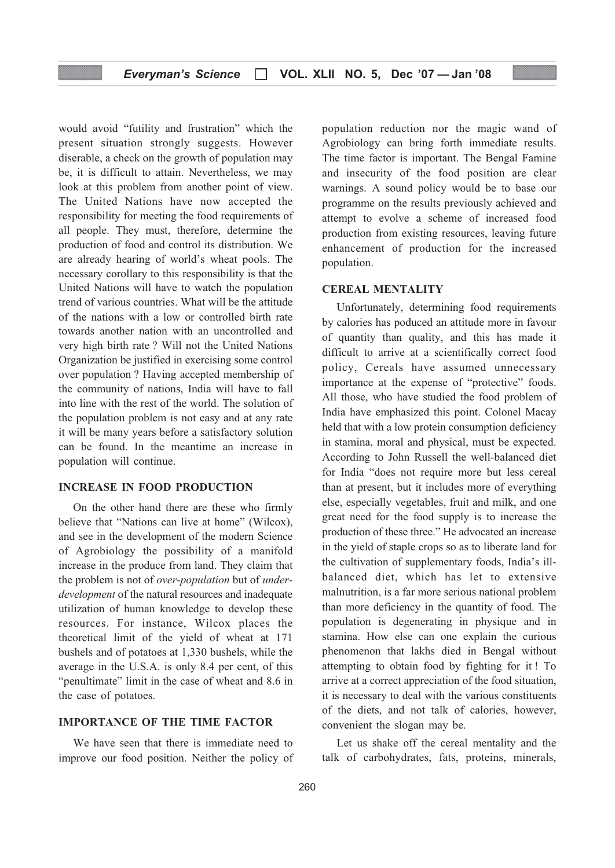would avoid "futility and frustration" which the present situation strongly suggests. However diserable, a check on the growth of population may be, it is difficult to attain. Nevertheless, we may look at this problem from another point of view. The United Nations have now accepted the responsibility for meeting the food requirements of all people. They must, therefore, determine the production of food and control its distribution. We are already hearing of world's wheat pools. The necessary corollary to this responsibility is that the United Nations will have to watch the population trend of various countries. What will be the attitude of the nations with a low or controlled birth rate towards another nation with an uncontrolled and very high birth rate ? Will not the United Nations Organization be justified in exercising some control over population ? Having accepted membership of the community of nations, India will have to fall into line with the rest of the world. The solution of the population problem is not easy and at any rate it will be many years before a satisfactory solution can be found. In the meantime an increase in population will continue.

#### INCREASE IN FOOD PRODUCTION

On the other hand there are these who firmly believe that "Nations can live at home" (Wilcox), and see in the development of the modern Science of Agrobiology the possibility of a manifold increase in the produce from land. They claim that the problem is not of over-population but of underdevelopment of the natural resources and inadequate utilization of human knowledge to develop these resources. For instance, Wilcox places the theoretical limit of the yield of wheat at 171 bushels and of potatoes at 1,330 bushels, while the average in the U.S.A. is only 8.4 per cent, of this "penultimate" limit in the case of wheat and 8.6 in the case of potatoes.

#### IMPORTANCE OF THE TIME FACTOR

We have seen that there is immediate need to improve our food position. Neither the policy of population reduction nor the magic wand of Agrobiology can bring forth immediate results. The time factor is important. The Bengal Famine and insecurity of the food position are clear warnings. A sound policy would be to base our programme on the results previously achieved and attempt to evolve a scheme of increased food production from existing resources, leaving future enhancement of production for the increased population.

#### CEREAL MENTALITY

Unfortunately, determining food requirements by calories has poduced an attitude more in favour of quantity than quality, and this has made it difficult to arrive at a scientifically correct food policy, Cereals have assumed unnecessary importance at the expense of "protective" foods. All those, who have studied the food problem of India have emphasized this point. Colonel Macay held that with a low protein consumption deficiency in stamina, moral and physical, must be expected. According to John Russell the well-balanced diet for India "does not require more but less cereal than at present, but it includes more of everything else, especially vegetables, fruit and milk, and one great need for the food supply is to increase the production of these three." He advocated an increase in the yield of staple crops so as to liberate land for the cultivation of supplementary foods, India's illbalanced diet, which has let to extensive malnutrition, is a far more serious national problem than more deficiency in the quantity of food. The population is degenerating in physique and in stamina. How else can one explain the curious phenomenon that lakhs died in Bengal without attempting to obtain food by fighting for it ! To arrive at a correct appreciation of the food situation, it is necessary to deal with the various constituents of the diets, and not talk of calories, however, convenient the slogan may be.

Let us shake off the cereal mentality and the talk of carbohydrates, fats, proteins, minerals,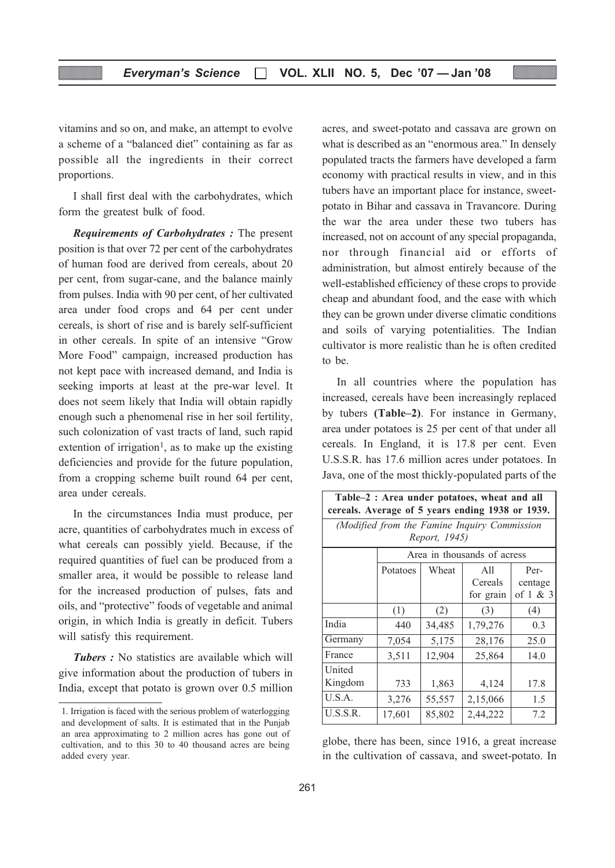vitamins and so on, and make, an attempt to evolve a scheme of a "balanced diet" containing as far as possible all the ingredients in their correct proportions.

I shall first deal with the carbohydrates, which form the greatest bulk of food.

Requirements of Carbohydrates : The present position is that over 72 per cent of the carbohydrates of human food are derived from cereals, about 20 per cent, from sugar-cane, and the balance mainly from pulses. India with 90 per cent, of her cultivated area under food crops and 64 per cent under cereals, is short of rise and is barely self-sufficient in other cereals. In spite of an intensive "Grow More Food" campaign, increased production has not kept pace with increased demand, and India is seeking imports at least at the pre-war level. It does not seem likely that India will obtain rapidly enough such a phenomenal rise in her soil fertility, such colonization of vast tracts of land, such rapid extention of irrigation<sup>1</sup>, as to make up the existing deficiencies and provide for the future population, from a cropping scheme built round 64 per cent, area under cereals.

In the circumstances India must produce, per acre, quantities of carbohydrates much in excess of what cereals can possibly yield. Because, if the required quantities of fuel can be produced from a smaller area, it would be possible to release land for the increased production of pulses, fats and oils, and "protective" foods of vegetable and animal origin, in which India is greatly in deficit. Tubers will satisfy this requirement.

Tubers : No statistics are available which will give information about the production of tubers in India, except that potato is grown over 0.5 million acres, and sweet-potato and cassava are grown on what is described as an "enormous area." In densely populated tracts the farmers have developed a farm economy with practical results in view, and in this tubers have an important place for instance, sweetpotato in Bihar and cassava in Travancore. During the war the area under these two tubers has increased, not on account of any special propaganda, nor through financial aid or efforts of administration, but almost entirely because of the well-established efficiency of these crops to provide cheap and abundant food, and the ease with which they can be grown under diverse climatic conditions and soils of varying potentialities. The Indian cultivator is more realistic than he is often credited to be.

In all countries where the population has increased, cereals have been increasingly replaced by tubers (Table–2). For instance in Germany, area under potatoes is 25 per cent of that under all cereals. In England, it is 17.8 per cent. Even U.S.S.R. has 17.6 million acres under potatoes. In Java, one of the most thickly-populated parts of the

| Table-2 : Area under potatoes, wheat and all<br>cereals. Average of 5 years ending 1938 or 1939. |          |               |                                              |                             |  |
|--------------------------------------------------------------------------------------------------|----------|---------------|----------------------------------------------|-----------------------------|--|
|                                                                                                  |          | Report, 1945) | (Modified from the Famine Inquiry Commission |                             |  |
|                                                                                                  |          |               | Area in thousands of acress                  |                             |  |
|                                                                                                  | Potatoes | Wheat         | All<br>Cereals<br>for grain                  | Per-<br>centage<br>of 1 & 3 |  |
|                                                                                                  | (1)      | (2)           | (3)                                          | (4)                         |  |
| India                                                                                            | 440      | 34,485        | 1,79,276                                     | 0.3                         |  |
| Germany                                                                                          | 7,054    | 5,175         | 28,176                                       | 25.0                        |  |
| France                                                                                           | 3,511    | 12,904        | 25,864                                       | 14.0                        |  |
| United<br>Kingdom                                                                                | 733      | 1,863         | 4,124                                        | 17.8                        |  |
| U.S.A.                                                                                           | 3,276    | 55,557        | 2,15,066                                     | 1.5                         |  |
| U.S.S.R.                                                                                         | 17,601   | 85,802        | 2,44,222                                     | 7.2                         |  |

globe, there has been, since 1916, a great increase in the cultivation of cassava, and sweet-potato. In

<sup>1.</sup> Irrigation is faced with the serious problem of waterlogging and development of salts. It is estimated that in the Punjab an area approximating to 2 million acres has gone out of cultivation, and to this 30 to 40 thousand acres are being added every year.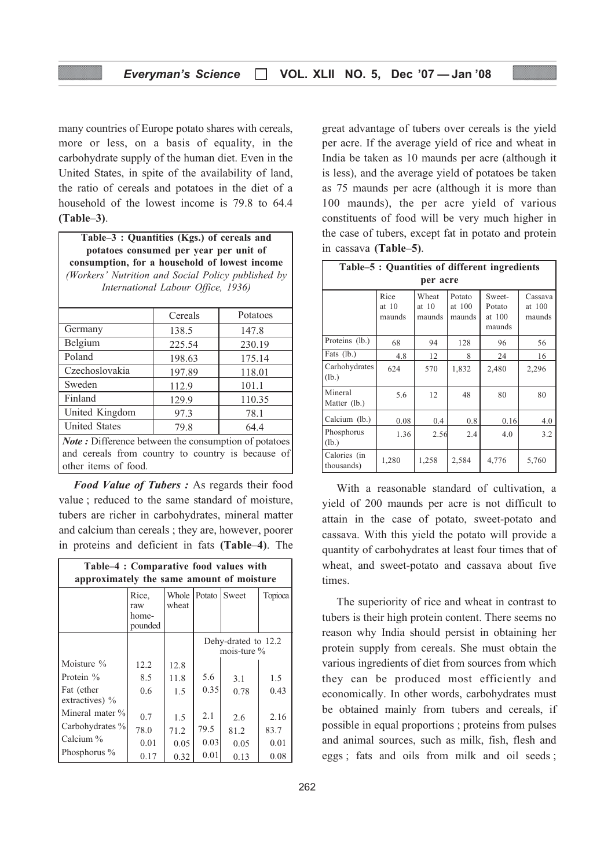many countries of Europe potato shares with cereals, more or less, on a basis of equality, in the carbohydrate supply of the human diet. Even in the United States, in spite of the availability of land, the ratio of cereals and potatoes in the diet of a household of the lowest income is 79.8 to 64.4 (Table–3).

Table–3 : Quantities (Kgs.) of cereals and potatoes consumed per year per unit of consumption, for a household of lowest income (Workers' Nutrition and Social Policy published by International Labour Office, 1936)

|                                                                                                                  | Cereals | Potatoes |  |  |
|------------------------------------------------------------------------------------------------------------------|---------|----------|--|--|
| Germany                                                                                                          | 138.5   | 147.8    |  |  |
| Belgium                                                                                                          | 225.54  | 230.19   |  |  |
| Poland                                                                                                           | 198.63  | 175.14   |  |  |
| Czechoslovakia                                                                                                   | 197.89  | 118.01   |  |  |
| Sweden                                                                                                           | 112.9   | 101.1    |  |  |
| Finland                                                                                                          | 129.9   | 110.35   |  |  |
| United Kingdom                                                                                                   | 97.3    | 78.1     |  |  |
| <b>United States</b>                                                                                             | 79.8    | 64.4     |  |  |
| <b>Note:</b> Difference between the consumption of potatoes<br>and cereals from country to country is because of |         |          |  |  |

Food Value of Tubers : As regards their food value ; reduced to the same standard of moisture, tubers are richer in carbohydrates, mineral matter and calcium than cereals ; they are, however, poorer

other items of food.

in proteins and deficient in fats (Table–4). The

| Table-4 : Comparative food values with<br>approximately the same amount of moisture |                                  |                         |      |                                       |         |
|-------------------------------------------------------------------------------------|----------------------------------|-------------------------|------|---------------------------------------|---------|
|                                                                                     | Rice,<br>raw<br>home-<br>pounded | Whole   Potato<br>wheat |      | Sweet                                 | Topioca |
|                                                                                     |                                  |                         |      | Dehy-drated to 12.2<br>mois-ture $\%$ |         |
| Moisture %                                                                          | 12.2                             | 12.8                    |      |                                       |         |
| Protein %                                                                           | 8.5                              | 11.8                    | 5.6  | 3.1                                   | 1.5     |
| Fat (ether<br>extractives) %                                                        | 0.6                              | 1.5                     | 0.35 | 0.78                                  | 0.43    |
| Mineral mater $\%$                                                                  | 0.7                              | 1.5                     | 2.1  | 2.6                                   | 2.16    |
| Carbohydrates %                                                                     | 78.0                             | 71.2                    | 79.5 | 81.2                                  | 83.7    |
| Calcium %                                                                           | 0.01                             | 0.05                    | 0.03 | 0.05                                  | 0.01    |
| Phosphorus $\%$                                                                     | 0.17                             | 0.32                    | 0.01 | 0.13                                  | 0.08    |

great advantage of tubers over cereals is the yield per acre. If the average yield of rice and wheat in India be taken as 10 maunds per acre (although it is less), and the average yield of potatoes be taken as 75 maunds per acre (although it is more than 100 maunds), the per acre yield of various constituents of food will be very much higher in the case of tubers, except fat in potato and protein in cassava (Table–5).

| Table-5 : Quantities of different ingredients |                         |                            |                            |                                      |                             |
|-----------------------------------------------|-------------------------|----------------------------|----------------------------|--------------------------------------|-----------------------------|
|                                               |                         | per acre                   |                            |                                      |                             |
|                                               | Rice<br>at 10<br>maunds | Wheat<br>at $10$<br>maunds | Potato<br>at 100<br>maunds | Sweet-<br>Potato<br>at 100<br>maunds | Cassava<br>at 100<br>maunds |
| Proteins (lb.)                                | 68                      | 94                         | 128                        | 96                                   | 56                          |
| Fats (lb.)                                    | 4.8                     | 12                         | 8                          | 24                                   | 16                          |
| Carhohydrates<br>(lb.)                        | 624                     | 570                        | 1,832                      | 2,480                                | 2,296                       |
| Mineral<br>Matter (lb.)                       | 5.6                     | 12                         | 48                         | 80                                   | 80                          |
| Calcium (lb.)                                 | 0.08                    | 0.4                        | 0.8                        | 0.16                                 | 4.0                         |
| Phosphorus<br>(lb.)                           | 1.36                    | 2.56                       | 2.4                        | 4.0                                  | 3.2                         |
| Calories (in<br>thousands)                    | 1,280                   | 1,258                      | 2,584                      | 4,776                                | 5,760                       |

With a reasonable standard of cultivation, a yield of 200 maunds per acre is not difficult to attain in the case of potato, sweet-potato and cassava. With this yield the potato will provide a quantity of carbohydrates at least four times that of wheat, and sweet-potato and cassava about five times.

The superiority of rice and wheat in contrast to tubers is their high protein content. There seems no reason why India should persist in obtaining her protein supply from cereals. She must obtain the various ingredients of diet from sources from which they can be produced most efficiently and economically. In other words, carbohydrates must be obtained mainly from tubers and cereals, if possible in equal proportions ; proteins from pulses and animal sources, such as milk, fish, flesh and eggs ; fats and oils from milk and oil seeds ;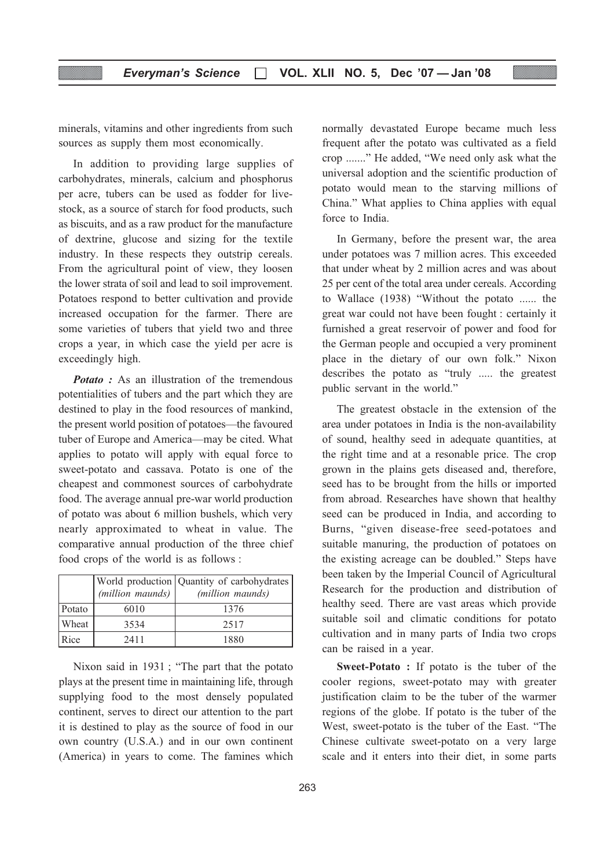minerals, vitamins and other ingredients from such sources as supply them most economically.

In addition to providing large supplies of carbohydrates, minerals, calcium and phosphorus per acre, tubers can be used as fodder for livestock, as a source of starch for food products, such as biscuits, and as a raw product for the manufacture of dextrine, glucose and sizing for the textile industry. In these respects they outstrip cereals. From the agricultural point of view, they loosen the lower strata of soil and lead to soil improvement. Potatoes respond to better cultivation and provide increased occupation for the farmer. There are some varieties of tubers that yield two and three crops a year, in which case the yield per acre is exceedingly high.

**Potato**: As an illustration of the tremendous potentialities of tubers and the part which they are destined to play in the food resources of mankind, the present world position of potatoes—the favoured tuber of Europe and America—may be cited. What applies to potato will apply with equal force to sweet-potato and cassava. Potato is one of the cheapest and commonest sources of carbohydrate food. The average annual pre-war world production of potato was about 6 million bushels, which very nearly approximated to wheat in value. The comparative annual production of the three chief food crops of the world is as follows :

|        | (million maunds) | World production Quantity of carbohydrates<br>(million maunds) |
|--------|------------------|----------------------------------------------------------------|
| Potato | 6010             | 1376                                                           |
| Wheat  | 3534             | 2517                                                           |
| Rice   | 2411             | 1880                                                           |

Nixon said in 1931 ; "The part that the potato plays at the present time in maintaining life, through supplying food to the most densely populated continent, serves to direct our attention to the part it is destined to play as the source of food in our own country (U.S.A.) and in our own continent (America) in years to come. The famines which normally devastated Europe became much less frequent after the potato was cultivated as a field crop ......." He added, "We need only ask what the universal adoption and the scientific production of potato would mean to the starving millions of China." What applies to China applies with equal force to India.

In Germany, before the present war, the area under potatoes was 7 million acres. This exceeded that under wheat by 2 million acres and was about 25 per cent of the total area under cereals. According to Wallace (1938) "Without the potato ...... the great war could not have been fought : certainly it furnished a great reservoir of power and food for the German people and occupied a very prominent place in the dietary of our own folk." Nixon describes the potato as "truly ..... the greatest public servant in the world."

The greatest obstacle in the extension of the area under potatoes in India is the non-availability of sound, healthy seed in adequate quantities, at the right time and at a resonable price. The crop grown in the plains gets diseased and, therefore, seed has to be brought from the hills or imported from abroad. Researches have shown that healthy seed can be produced in India, and according to Burns, "given disease-free seed-potatoes and suitable manuring, the production of potatoes on the existing acreage can be doubled." Steps have been taken by the Imperial Council of Agricultural Research for the production and distribution of healthy seed. There are vast areas which provide suitable soil and climatic conditions for potato cultivation and in many parts of India two crops can be raised in a year.

Sweet-Potato : If potato is the tuber of the cooler regions, sweet-potato may with greater justification claim to be the tuber of the warmer regions of the globe. If potato is the tuber of the West, sweet-potato is the tuber of the East. "The Chinese cultivate sweet-potato on a very large scale and it enters into their diet, in some parts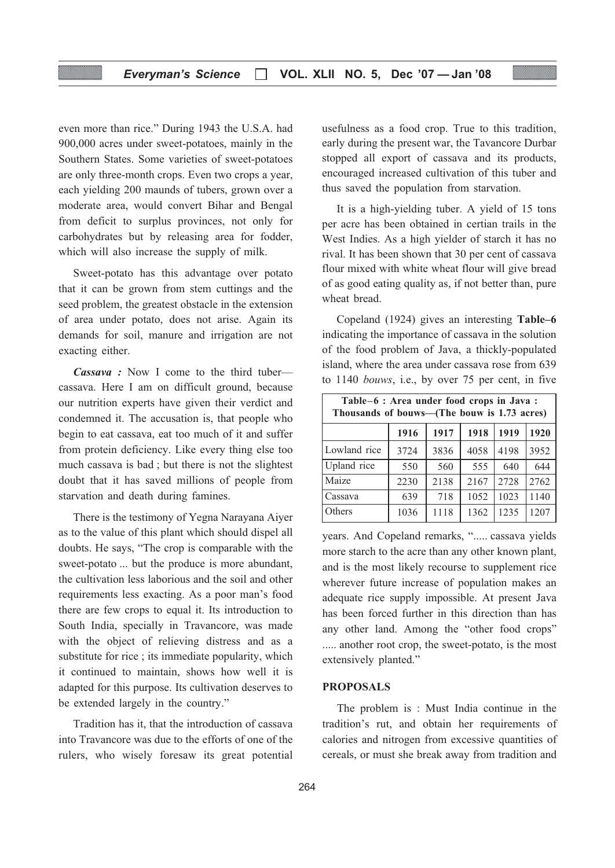#### Everyman's Science □ VOL. XLII NO. 5, Dec '07 - Jan '08

even more than rice." During 1943 the U.S.A. had 900,000 acres under sweet-potatoes, mainly in the Southern States. Some varieties of sweet-potatoes are only three-month crops. Even two crops a year, each yielding 200 maunds of tubers, grown over a moderate area, would convert Bihar and Bengal from deficit to surplus provinces, not only for carbohydrates but by releasing area for fodder, which will also increase the supply of milk.

Sweet-potato has this advantage over potato that it can be grown from stem cuttings and the seed problem, the greatest obstacle in the extension of area under potato, does not arise. Again its demands for soil, manure and irrigation are not exacting either.

Cassava : Now I come to the third tuber cassava. Here I am on difficult ground, because our nutrition experts have given their verdict and condemned it. The accusation is, that people who begin to eat cassava, eat too much of it and suffer from protein deficiency. Like every thing else too much cassava is bad ; but there is not the slightest doubt that it has saved millions of people from starvation and death during famines.

There is the testimony of Yegna Narayana Aiyer as to the value of this plant which should dispel all doubts. He says, "The crop is comparable with the sweet-potato ... but the produce is more abundant, the cultivation less laborious and the soil and other requirements less exacting. As a poor man's food there are few crops to equal it. Its introduction to South India, specially in Travancore, was made with the object of relieving distress and as a substitute for rice ; its immediate popularity, which it continued to maintain, shows how well it is adapted for this purpose. Its cultivation deserves to be extended largely in the country."

Tradition has it, that the introduction of cassava into Travancore was due to the efforts of one of the rulers, who wisely foresaw its great potential usefulness as a food crop. True to this tradition, early during the present war, the Tavancore Durbar stopped all export of cassava and its products, encouraged increased cultivation of this tuber and thus saved the population from starvation.

It is a high-yielding tuber. A yield of 15 tons per acre has been obtained in certian trails in the West Indies. As a high yielder of starch it has no rival. It has been shown that 30 per cent of cassava flour mixed with white wheat flour will give bread of as good eating quality as, if not better than, pure wheat bread.

Copeland (1924) gives an interesting Table–6 indicating the importance of cassava in the solution of the food problem of Java, a thickly-populated island, where the area under cassava rose from 639 to 1140 bouws, i.e., by over 75 per cent, in five

| Table-6 : Area under food crops in Java :<br>Thousands of bouws—(The bouw is 1.73 acres) |      |      |      |      |      |
|------------------------------------------------------------------------------------------|------|------|------|------|------|
|                                                                                          | 1916 | 1917 | 1918 | 1919 | 1920 |
| Lowland rice                                                                             | 3724 | 3836 | 4058 | 4198 | 3952 |
| Upland rice                                                                              | 550  | 560  | 555  | 640  | 644  |
| Maize                                                                                    | 2230 | 2138 | 2167 | 2728 | 2762 |
| Cassava                                                                                  | 639  | 718  | 1052 | 1023 | 1140 |
| Others                                                                                   | 1036 | 1118 | 1362 | 1235 | 1207 |

years. And Copeland remarks, "..... cassava yields more starch to the acre than any other known plant, and is the most likely recourse to supplement rice wherever future increase of population makes an adequate rice supply impossible. At present Java has been forced further in this direction than has any other land. Among the "other food crops" ..... another root crop, the sweet-potato, is the most extensively planted."

#### PROPOSALS

The problem is : Must India continue in the tradition's rut, and obtain her requirements of calories and nitrogen from excessive quantities of cereals, or must she break away from tradition and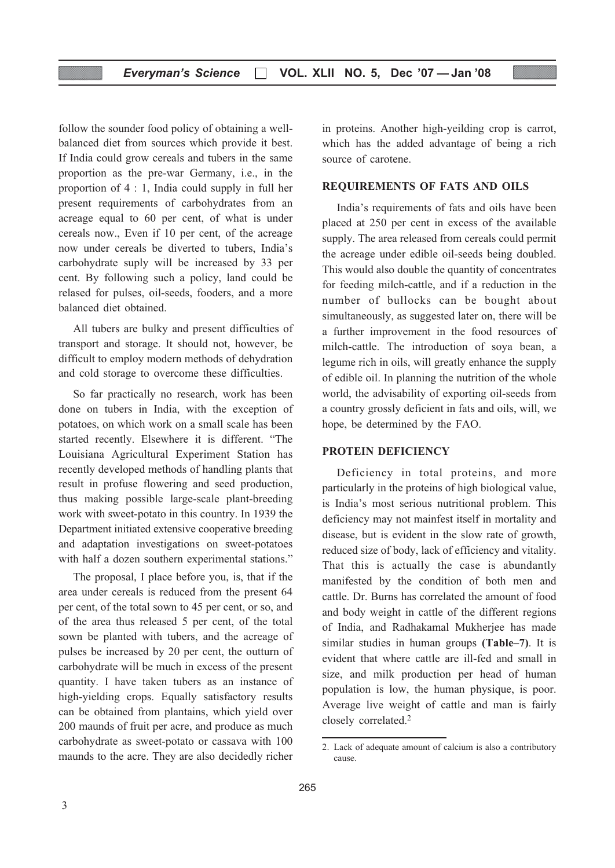follow the sounder food policy of obtaining a wellbalanced diet from sources which provide it best. If India could grow cereals and tubers in the same proportion as the pre-war Germany, i.e., in the proportion of 4 : 1, India could supply in full her present requirements of carbohydrates from an acreage equal to 60 per cent, of what is under cereals now., Even if 10 per cent, of the acreage now under cereals be diverted to tubers, India's carbohydrate suply will be increased by 33 per cent. By following such a policy, land could be relased for pulses, oil-seeds, fooders, and a more balanced diet obtained.

All tubers are bulky and present difficulties of transport and storage. It should not, however, be difficult to employ modern methods of dehydration and cold storage to overcome these difficulties.

So far practically no research, work has been done on tubers in India, with the exception of potatoes, on which work on a small scale has been started recently. Elsewhere it is different. "The Louisiana Agricultural Experiment Station has recently developed methods of handling plants that result in profuse flowering and seed production, thus making possible large-scale plant-breeding work with sweet-potato in this country. In 1939 the Department initiated extensive cooperative breeding and adaptation investigations on sweet-potatoes with half a dozen southern experimental stations."

The proposal, I place before you, is, that if the area under cereals is reduced from the present 64 per cent, of the total sown to 45 per cent, or so, and of the area thus released 5 per cent, of the total sown be planted with tubers, and the acreage of pulses be increased by 20 per cent, the outturn of carbohydrate will be much in excess of the present quantity. I have taken tubers as an instance of high-yielding crops. Equally satisfactory results can be obtained from plantains, which yield over 200 maunds of fruit per acre, and produce as much carbohydrate as sweet-potato or cassava with 100 maunds to the acre. They are also decidedly richer

in proteins. Another high-yeilding crop is carrot, which has the added advantage of being a rich source of carotene.

#### REQUIREMENTS OF FATS AND OILS

India's requirements of fats and oils have been placed at 250 per cent in excess of the available supply. The area released from cereals could permit the acreage under edible oil-seeds being doubled. This would also double the quantity of concentrates for feeding milch-cattle, and if a reduction in the number of bullocks can be bought about simultaneously, as suggested later on, there will be a further improvement in the food resources of milch-cattle. The introduction of soya bean, a legume rich in oils, will greatly enhance the supply of edible oil. In planning the nutrition of the whole world, the advisability of exporting oil-seeds from a country grossly deficient in fats and oils, will, we hope, be determined by the FAO.

#### PROTEIN DEFICIENCY

Deficiency in total proteins, and more particularly in the proteins of high biological value, is India's most serious nutritional problem. This deficiency may not mainfest itself in mortality and disease, but is evident in the slow rate of growth, reduced size of body, lack of efficiency and vitality. That this is actually the case is abundantly manifested by the condition of both men and cattle. Dr. Burns has correlated the amount of food and body weight in cattle of the different regions of India, and Radhakamal Mukherjee has made similar studies in human groups (Table–7). It is evident that where cattle are ill-fed and small in size, and milk production per head of human population is low, the human physique, is poor. Average live weight of cattle and man is fairly closely correlated.2

<sup>2.</sup> Lack of adequate amount of calcium is also a contributory cause.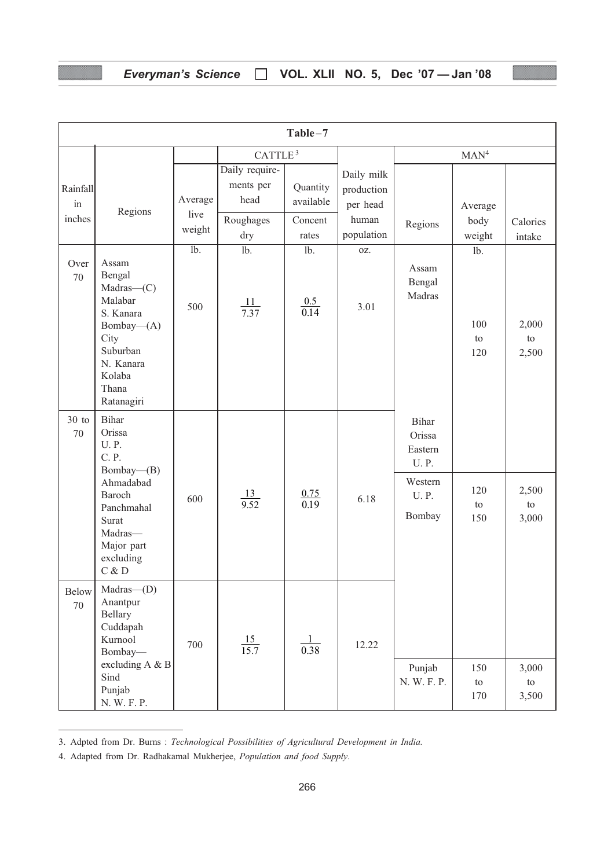## Everyman's Science □ VOL. XLII NO. 5, Dec '07 - Jan '08

|                          | Table-7                                                                                                                                                                         |                                 |                                                         |                                           |                                                             |                                                                               |                            |                      |
|--------------------------|---------------------------------------------------------------------------------------------------------------------------------------------------------------------------------|---------------------------------|---------------------------------------------------------|-------------------------------------------|-------------------------------------------------------------|-------------------------------------------------------------------------------|----------------------------|----------------------|
|                          |                                                                                                                                                                                 |                                 | CATTLE <sup>3</sup>                                     |                                           |                                                             |                                                                               | MAN <sup>4</sup>           |                      |
| Rainfall<br>in<br>inches | Regions                                                                                                                                                                         | Average<br>live<br>weight       | Daily require-<br>ments per<br>head<br>Roughages<br>dry | Quantity<br>available<br>Concent<br>rates | Daily milk<br>production<br>per head<br>human<br>population | Regions                                                                       | Average<br>body<br>weight  | Calories<br>intake   |
| Over<br>70               | Assam<br>Bengal<br>Madras—(C)<br>Malabar<br>S. Kanara<br>Bombay-(A)<br>City<br>Suburban<br>N. Kanara<br>Kolaba<br>Thana<br>Ratanagiri                                           | $\overline{\text{lb}}$ .<br>500 | $1b$ .<br>$\frac{11}{7.37}$                             | lb.<br>$\frac{0.5}{0.14}$                 | OZ.<br>3.01                                                 | Assam<br>Bengal<br>Madras                                                     | $1b$ .<br>100<br>to<br>120 | 2,000<br>to<br>2,500 |
| $30$ to<br>70            | <b>Bihar</b><br>Orissa<br><b>U.P.</b><br>C. P.<br>Bombay—(B)<br>Ahmadabad<br>Baroch<br>Panchmahal<br>Surat<br>Madras-<br>Major part<br>excluding<br>$\mathrm{C}$ & $\mathrm{D}$ | 600                             | $\frac{13}{9.52}$                                       | $\frac{0.75}{0.19}$                       | 6.18                                                        | Bihar<br>Orissa<br>Eastern<br><b>U.P.</b><br>Western<br><b>U.P.</b><br>Bombay | 120<br>to<br>150           | 2,500<br>to<br>3,000 |
| <b>Below</b><br>70       | Madras-(D)<br>Anantpur<br>Bellary<br>Cuddapah<br>Kurnool<br>Bombay-<br>excluding A & B<br>Sind<br>Punjab<br>N. W. F. P.                                                         | 700                             | $\frac{15}{15.7}$                                       | $\frac{1}{0.38}$                          | 12.22                                                       | Punjab<br>N. W. F. P.                                                         | 150<br>to<br>170           | 3,000<br>to<br>3,500 |

<sup>3.</sup> Adpted from Dr. Burns : Technological Possibilities of Agricultural Development in India.

<sup>4.</sup> Adapted from Dr. Radhakamal Mukherjee, Population and food Supply.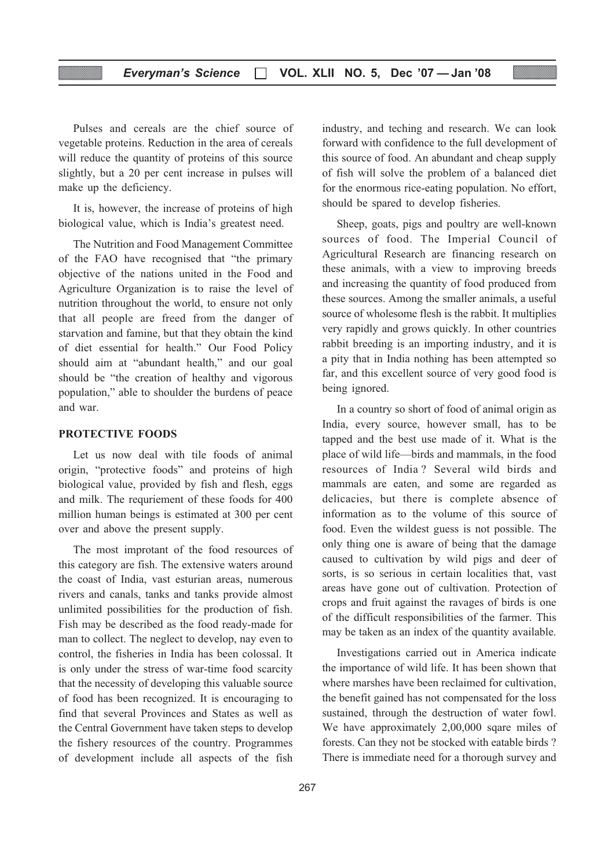Pulses and cereals are the chief source of vegetable proteins. Reduction in the area of cereals will reduce the quantity of proteins of this source slightly, but a 20 per cent increase in pulses will make up the deficiency.

It is, however, the increase of proteins of high biological value, which is India's greatest need.

The Nutrition and Food Management Committee of the FAO have recognised that "the primary objective of the nations united in the Food and Agriculture Organization is to raise the level of nutrition throughout the world, to ensure not only that all people are freed from the danger of starvation and famine, but that they obtain the kind of diet essential for health." Our Food Policy should aim at "abundant health," and our goal should be "the creation of healthy and vigorous population," able to shoulder the burdens of peace and war.

#### PROTECTIVE FOODS

Let us now deal with tile foods of animal origin, "protective foods" and proteins of high biological value, provided by fish and flesh, eggs and milk. The requriement of these foods for 400 million human beings is estimated at 300 per cent over and above the present supply.

The most improtant of the food resources of this category are fish. The extensive waters around the coast of India, vast esturian areas, numerous rivers and canals, tanks and tanks provide almost unlimited possibilities for the production of fish. Fish may be described as the food ready-made for man to collect. The neglect to develop, nay even to control, the fisheries in India has been colossal. It is only under the stress of war-time food scarcity that the necessity of developing this valuable source of food has been recognized. It is encouraging to find that several Provinces and States as well as the Central Government have taken steps to develop the fishery resources of the country. Programmes of development include all aspects of the fish

industry, and teching and research. We can look forward with confidence to the full development of this source of food. An abundant and cheap supply of fish will solve the problem of a balanced diet for the enormous rice-eating population. No effort, should be spared to develop fisheries.

Sheep, goats, pigs and poultry are well-known sources of food. The Imperial Council of Agricultural Research are financing research on these animals, with a view to improving breeds and increasing the quantity of food produced from these sources. Among the smaller animals, a useful source of wholesome flesh is the rabbit. It multiplies very rapidly and grows quickly. In other countries rabbit breeding is an importing industry, and it is a pity that in India nothing has been attempted so far, and this excellent source of very good food is being ignored.

In a country so short of food of animal origin as India, every source, however small, has to be tapped and the best use made of it. What is the place of wild life—birds and mammals, in the food resources of India ? Several wild birds and mammals are eaten, and some are regarded as delicacies, but there is complete absence of information as to the volume of this source of food. Even the wildest guess is not possible. The only thing one is aware of being that the damage caused to cultivation by wild pigs and deer of sorts, is so serious in certain localities that, vast areas have gone out of cultivation. Protection of crops and fruit against the ravages of birds is one of the difficult responsibilities of the farmer. This may be taken as an index of the quantity available.

Investigations carried out in America indicate the importance of wild life. It has been shown that where marshes have been reclaimed for cultivation, the benefit gained has not compensated for the loss sustained, through the destruction of water fowl. We have approximately 2,00,000 sqare miles of forests. Can they not be stocked with eatable birds ? There is immediate need for a thorough survey and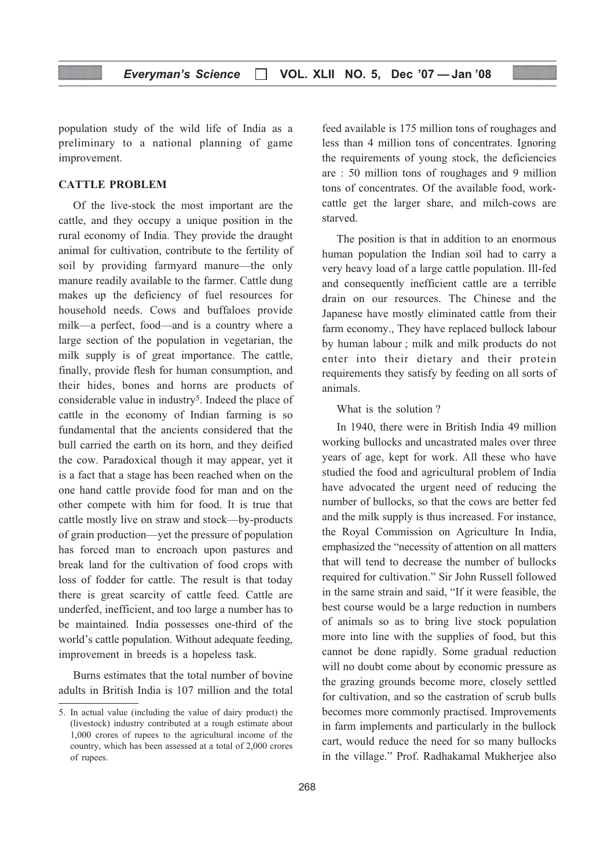population study of the wild life of India as a preliminary to a national planning of game improvement.

#### CATTLE PROBLEM

Of the live-stock the most important are the cattle, and they occupy a unique position in the rural economy of India. They provide the draught animal for cultivation, contribute to the fertility of soil by providing farmyard manure—the only manure readily available to the farmer. Cattle dung makes up the deficiency of fuel resources for household needs. Cows and buffaloes provide milk—a perfect, food—and is a country where a large section of the population in vegetarian, the milk supply is of great importance. The cattle, finally, provide flesh for human consumption, and their hides, bones and horns are products of considerable value in industry<sup>5</sup>. Indeed the place of cattle in the economy of Indian farming is so fundamental that the ancients considered that the bull carried the earth on its horn, and they deified the cow. Paradoxical though it may appear, yet it is a fact that a stage has been reached when on the one hand cattle provide food for man and on the other compete with him for food. It is true that cattle mostly live on straw and stock—by-products of grain production—yet the pressure of population has forced man to encroach upon pastures and break land for the cultivation of food crops with loss of fodder for cattle. The result is that today there is great scarcity of cattle feed. Cattle are underfed, inefficient, and too large a number has to be maintained. India possesses one-third of the world's cattle population. Without adequate feeding, improvement in breeds is a hopeless task.

Burns estimates that the total number of bovine adults in British India is 107 million and the total feed available is 175 million tons of roughages and less than 4 million tons of concentrates. Ignoring the requirements of young stock, the deficiencies are : 50 million tons of roughages and 9 million tons of concentrates. Of the available food, workcattle get the larger share, and milch-cows are starved.

The position is that in addition to an enormous human population the Indian soil had to carry a very heavy load of a large cattle population. Ill-fed and consequently inefficient cattle are a terrible drain on our resources. The Chinese and the Japanese have mostly eliminated cattle from their farm economy., They have replaced bullock labour by human labour ; milk and milk products do not enter into their dietary and their protein requirements they satisfy by feeding on all sorts of animals.

#### What is the solution ?

In 1940, there were in British India 49 million working bullocks and uncastrated males over three years of age, kept for work. All these who have studied the food and agricultural problem of India have advocated the urgent need of reducing the number of bullocks, so that the cows are better fed and the milk supply is thus increased. For instance, the Royal Commission on Agriculture In India, emphasized the "necessity of attention on all matters that will tend to decrease the number of bullocks required for cultivation." Sir John Russell followed in the same strain and said, "If it were feasible, the best course would be a large reduction in numbers of animals so as to bring live stock population more into line with the supplies of food, but this cannot be done rapidly. Some gradual reduction will no doubt come about by economic pressure as the grazing grounds become more, closely settled for cultivation, and so the castration of scrub bulls becomes more commonly practised. Improvements in farm implements and particularly in the bullock cart, would reduce the need for so many bullocks in the village." Prof. Radhakamal Mukherjee also

<sup>5.</sup> In actual value (including the value of dairy product) the (livestock) industry contributed at a rough estimate about 1,000 crores of rupees to the agricultural income of the country, which has been assessed at a total of 2,000 crores of rupees.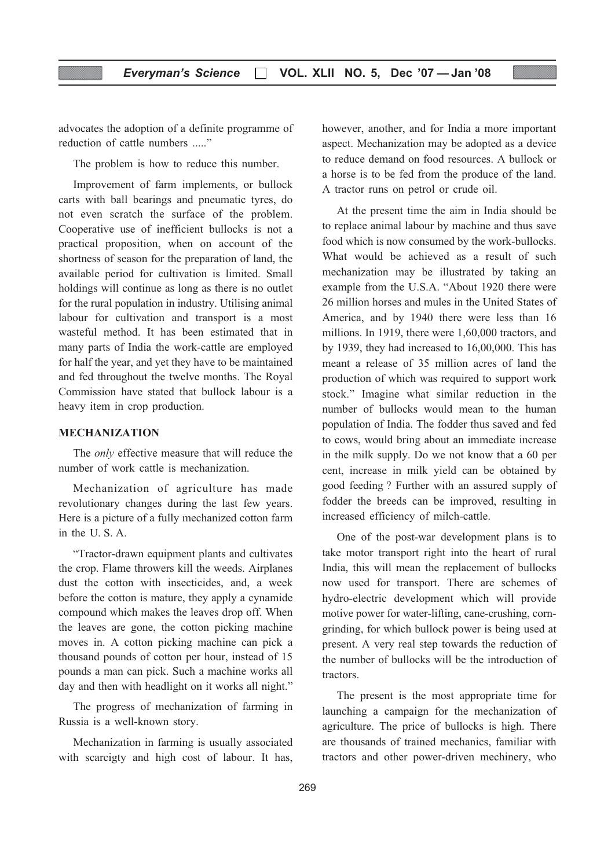advocates the adoption of a definite programme of reduction of cattle numbers ....."

The problem is how to reduce this number.

Improvement of farm implements, or bullock carts with ball bearings and pneumatic tyres, do not even scratch the surface of the problem. Cooperative use of inefficient bullocks is not a practical proposition, when on account of the shortness of season for the preparation of land, the available period for cultivation is limited. Small holdings will continue as long as there is no outlet for the rural population in industry. Utilising animal labour for cultivation and transport is a most wasteful method. It has been estimated that in many parts of India the work-cattle are employed for half the year, and yet they have to be maintained and fed throughout the twelve months. The Royal Commission have stated that bullock labour is a heavy item in crop production.

#### MECHANIZATION

The only effective measure that will reduce the number of work cattle is mechanization.

Mechanization of agriculture has made revolutionary changes during the last few years. Here is a picture of a fully mechanized cotton farm in the U. S. A.

"Tractor-drawn equipment plants and cultivates the crop. Flame throwers kill the weeds. Airplanes dust the cotton with insecticides, and, a week before the cotton is mature, they apply a cynamide compound which makes the leaves drop off. When the leaves are gone, the cotton picking machine moves in. A cotton picking machine can pick a thousand pounds of cotton per hour, instead of 15 pounds a man can pick. Such a machine works all day and then with headlight on it works all night."

The progress of mechanization of farming in Russia is a well-known story.

Mechanization in farming is usually associated with scarcigty and high cost of labour. It has, however, another, and for India a more important aspect. Mechanization may be adopted as a device to reduce demand on food resources. A bullock or a horse is to be fed from the produce of the land. A tractor runs on petrol or crude oil.

At the present time the aim in India should be to replace animal labour by machine and thus save food which is now consumed by the work-bullocks. What would be achieved as a result of such mechanization may be illustrated by taking an example from the U.S.A. "About 1920 there were 26 million horses and mules in the United States of America, and by 1940 there were less than 16 millions. In 1919, there were 1,60,000 tractors, and by 1939, they had increased to 16,00,000. This has meant a release of 35 million acres of land the production of which was required to support work stock." Imagine what similar reduction in the number of bullocks would mean to the human population of India. The fodder thus saved and fed to cows, would bring about an immediate increase in the milk supply. Do we not know that a 60 per cent, increase in milk yield can be obtained by good feeding ? Further with an assured supply of fodder the breeds can be improved, resulting in increased efficiency of milch-cattle.

One of the post-war development plans is to take motor transport right into the heart of rural India, this will mean the replacement of bullocks now used for transport. There are schemes of hydro-electric development which will provide motive power for water-lifting, cane-crushing, corngrinding, for which bullock power is being used at present. A very real step towards the reduction of the number of bullocks will be the introduction of tractors.

The present is the most appropriate time for launching a campaign for the mechanization of agriculture. The price of bullocks is high. There are thousands of trained mechanics, familiar with tractors and other power-driven mechinery, who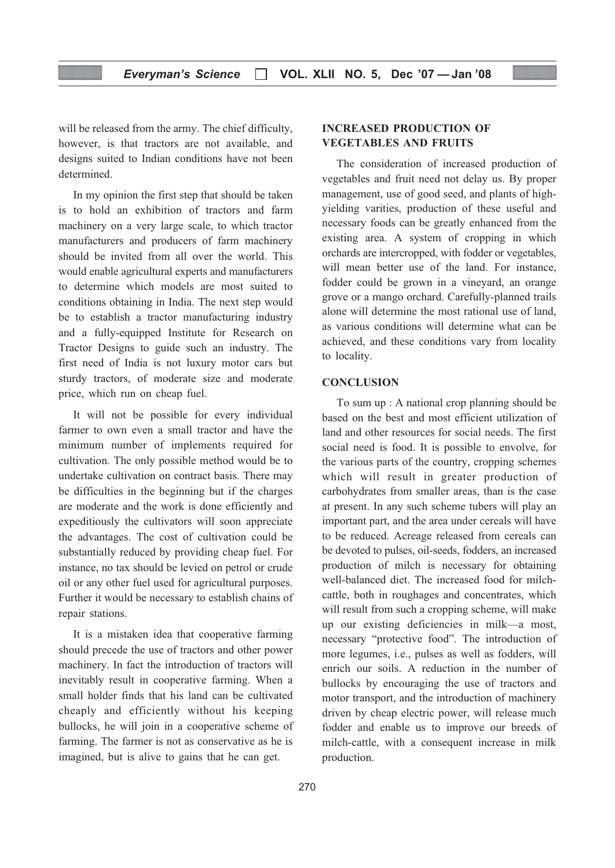will be released from the army. The chief difficulty, however, is that tractors are not available, and designs suited to Indian conditions have not been determined.

In my opinion the first step that should be taken is to hold an exhibition of tractors and farm machinery on a very large scale, to which tractor manufacturers and producers of farm machinery should be invited from all over the world. This would enable agricultural experts and manufacturers to determine which models are most suited to conditions obtaining in India. The next step would be to establish a tractor manufacturing industry and a fully-equipped Institute for Research on Tractor Designs to guide such an industry. The first need of India is not luxury motor cars but sturdy tractors, of moderate size and moderate price, which run on cheap fuel.

It will not be possible for every individual farmer to own even a small tractor and have the minimum number of implements required for cultivation. The only possible method would be to undertake cultivation on contract basis. There may be difficulties in the beginning but if the charges are moderate and the work is done efficiently and expeditiously the cultivators will soon appreciate the advantages. The cost of cultivation could be substantially reduced by providing cheap fuel. For instance, no tax should be levied on petrol or crude oil or any other fuel used for agricultural purposes. Further it would be necessary to establish chains of repair stations.

It is a mistaken idea that cooperative farming should precede the use of tractors and other power machinery. In fact the introduction of tractors will inevitably result in cooperative farming. When a small holder finds that his land can be cultivated cheaply and efficiently without his keeping bullocks, he will join in a cooperative scheme of farming. The farmer is not as conservative as he is imagined, but is alive to gains that he can get.

## INCREASED PRODUCTION OF VEGETABLES AND FRUITS

The consideration of increased production of vegetables and fruit need not delay us. By proper management, use of good seed, and plants of highyielding varities, production of these useful and necessary foods can be greatly enhanced from the existing area. A system of cropping in which orchards are intercropped, with fodder or vegetables, will mean better use of the land. For instance, fodder could be grown in a vineyard, an orange grove or a mango orchard. Carefully-planned trails alone will determine the most rational use of land, as various conditions will determine what can be achieved, and these conditions vary from locality to locality.

#### **CONCLUSION**

To sum up : A national crop planning should be based on the best and most efficient utilization of land and other resources for social needs. The first social need is food. It is possible to envolve, for the various parts of the country, cropping schemes which will result in greater production of carbohydrates from smaller areas, than is the case at present. In any such scheme tubers will play an important part, and the area under cereals will have to be reduced. Acreage released from cereals can be devoted to pulses, oil-seeds, fodders, an increased production of milch is necessary for obtaining well-balanced diet. The increased food for milchcattle, both in roughages and concentrates, which will result from such a cropping scheme, will make up our existing deficiencies in milk—a most, necessary "protective food". The introduction of more legumes, i.e., pulses as well as fodders, will enrich our soils. A reduction in the number of bullocks by encouraging the use of tractors and motor transport, and the introduction of machinery driven by cheap electric power, will release much fodder and enable us to improve our breeds of milch-cattle, with a consequent increase in milk production.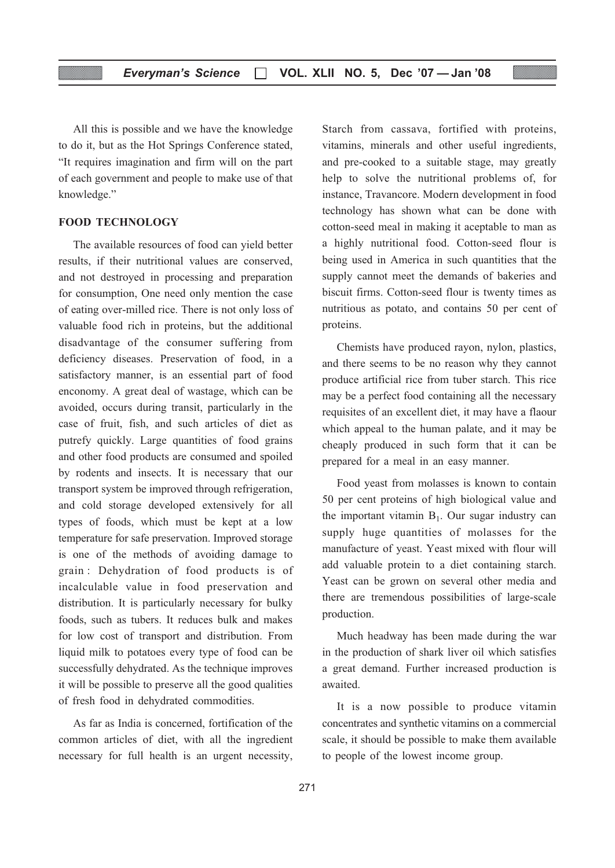All this is possible and we have the knowledge to do it, but as the Hot Springs Conference stated, "It requires imagination and firm will on the part of each government and people to make use of that knowledge."

#### FOOD TECHNOLOGY

The available resources of food can yield better results, if their nutritional values are conserved, and not destroyed in processing and preparation for consumption, One need only mention the case of eating over-milled rice. There is not only loss of valuable food rich in proteins, but the additional disadvantage of the consumer suffering from deficiency diseases. Preservation of food, in a satisfactory manner, is an essential part of food enconomy. A great deal of wastage, which can be avoided, occurs during transit, particularly in the case of fruit, fish, and such articles of diet as putrefy quickly. Large quantities of food grains and other food products are consumed and spoiled by rodents and insects. It is necessary that our transport system be improved through refrigeration, and cold storage developed extensively for all types of foods, which must be kept at a low temperature for safe preservation. Improved storage is one of the methods of avoiding damage to grain : Dehydration of food products is of incalculable value in food preservation and distribution. It is particularly necessary for bulky foods, such as tubers. It reduces bulk and makes for low cost of transport and distribution. From liquid milk to potatoes every type of food can be successfully dehydrated. As the technique improves it will be possible to preserve all the good qualities of fresh food in dehydrated commodities.

As far as India is concerned, fortification of the common articles of diet, with all the ingredient necessary for full health is an urgent necessity,

Starch from cassava, fortified with proteins, vitamins, minerals and other useful ingredients, and pre-cooked to a suitable stage, may greatly help to solve the nutritional problems of, for instance, Travancore. Modern development in food technology has shown what can be done with cotton-seed meal in making it aceptable to man as a highly nutritional food. Cotton-seed flour is being used in America in such quantities that the supply cannot meet the demands of bakeries and biscuit firms. Cotton-seed flour is twenty times as nutritious as potato, and contains 50 per cent of proteins.

Chemists have produced rayon, nylon, plastics, and there seems to be no reason why they cannot produce artificial rice from tuber starch. This rice may be a perfect food containing all the necessary requisites of an excellent diet, it may have a flaour which appeal to the human palate, and it may be cheaply produced in such form that it can be prepared for a meal in an easy manner.

Food yeast from molasses is known to contain 50 per cent proteins of high biological value and the important vitamin  $B_1$ . Our sugar industry can supply huge quantities of molasses for the manufacture of yeast. Yeast mixed with flour will add valuable protein to a diet containing starch. Yeast can be grown on several other media and there are tremendous possibilities of large-scale production.

Much headway has been made during the war in the production of shark liver oil which satisfies a great demand. Further increased production is awaited.

It is a now possible to produce vitamin concentrates and synthetic vitamins on a commercial scale, it should be possible to make them available to people of the lowest income group.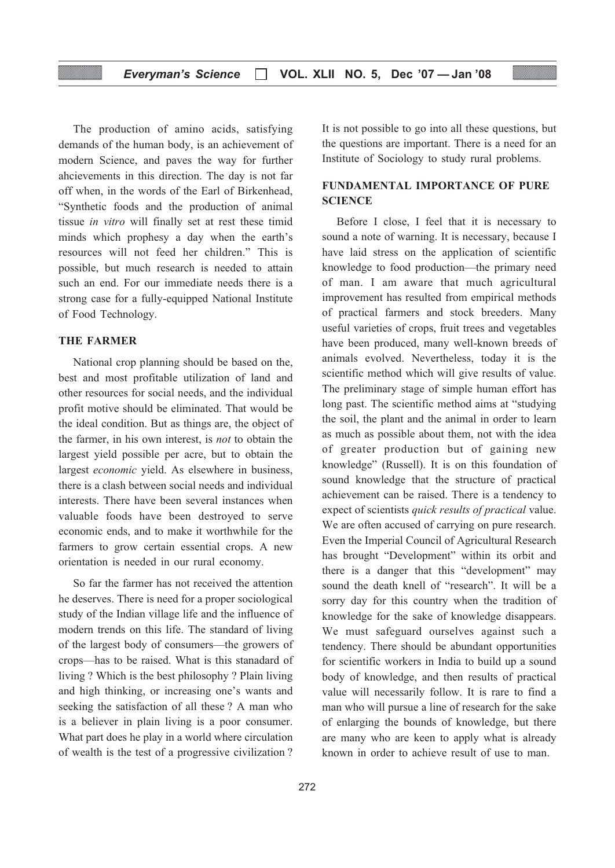#### Everyman's Science  $\Box$  VOL. XLII NO. 5, Dec '07 - Jan '08

The production of amino acids, satisfying demands of the human body, is an achievement of modern Science, and paves the way for further ahcievements in this direction. The day is not far off when, in the words of the Earl of Birkenhead, "Synthetic foods and the production of animal tissue in vitro will finally set at rest these timid minds which prophesy a day when the earth's resources will not feed her children." This is possible, but much research is needed to attain such an end. For our immediate needs there is a strong case for a fully-equipped National Institute of Food Technology.

#### THE FARMER

National crop planning should be based on the, best and most profitable utilization of land and other resources for social needs, and the individual profit motive should be eliminated. That would be the ideal condition. But as things are, the object of the farmer, in his own interest, is not to obtain the largest yield possible per acre, but to obtain the largest economic yield. As elsewhere in business, there is a clash between social needs and individual interests. There have been several instances when valuable foods have been destroyed to serve economic ends, and to make it worthwhile for the farmers to grow certain essential crops. A new orientation is needed in our rural economy.

So far the farmer has not received the attention he deserves. There is need for a proper sociological study of the Indian village life and the influence of modern trends on this life. The standard of living of the largest body of consumers—the growers of crops—has to be raised. What is this stanadard of living ? Which is the best philosophy ? Plain living and high thinking, or increasing one's wants and seeking the satisfaction of all these ? A man who is a believer in plain living is a poor consumer. What part does he play in a world where circulation of wealth is the test of a progressive civilization ?

It is not possible to go into all these questions, but the questions are important. There is a need for an Institute of Sociology to study rural problems.

### FUNDAMENTAL IMPORTANCE OF PURE **SCIENCE**

Before I close, I feel that it is necessary to sound a note of warning. It is necessary, because I have laid stress on the application of scientific knowledge to food production—the primary need of man. I am aware that much agricultural improvement has resulted from empirical methods of practical farmers and stock breeders. Many useful varieties of crops, fruit trees and vegetables have been produced, many well-known breeds of animals evolved. Nevertheless, today it is the scientific method which will give results of value. The preliminary stage of simple human effort has long past. The scientific method aims at "studying the soil, the plant and the animal in order to learn as much as possible about them, not with the idea of greater production but of gaining new knowledge" (Russell). It is on this foundation of sound knowledge that the structure of practical achievement can be raised. There is a tendency to expect of scientists quick results of practical value. We are often accused of carrying on pure research. Even the Imperial Council of Agricultural Research has brought "Development" within its orbit and there is a danger that this "development" may sound the death knell of "research". It will be a sorry day for this country when the tradition of knowledge for the sake of knowledge disappears. We must safeguard ourselves against such a tendency. There should be abundant opportunities for scientific workers in India to build up a sound body of knowledge, and then results of practical value will necessarily follow. It is rare to find a man who will pursue a line of research for the sake of enlarging the bounds of knowledge, but there are many who are keen to apply what is already known in order to achieve result of use to man.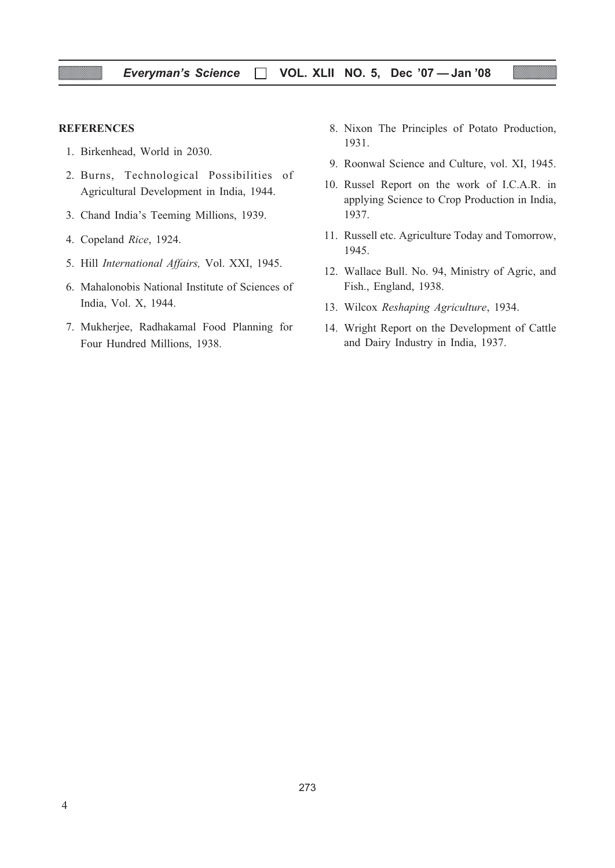#### **REFERENCES**

- 1. Birkenhead, World in 2030.
- 2. Burns, Technological Possibilities of Agricultural Development in India, 1944.
- 3. Chand India's Teeming Millions, 1939.
- 4. Copeland Rice, 1924.
- 5. Hill International Affairs, Vol. XXI, 1945.
- 6. Mahalonobis National Institute of Sciences of India, Vol. X, 1944.
- 7. Mukherjee, Radhakamal Food Planning for Four Hundred Millions, 1938.
- 8. Nixon The Principles of Potato Production, 1931.
- 9. Roonwal Science and Culture, vol. XI, 1945.
- 10. Russel Report on the work of I.C.A.R. in applying Science to Crop Production in India, 1937.
- 11. Russell etc. Agriculture Today and Tomorrow, 1945.
- 12. Wallace Bull. No. 94, Ministry of Agric, and Fish., England, 1938.
- 13. Wilcox Reshaping Agriculture, 1934.
- 14. Wright Report on the Development of Cattle and Dairy Industry in India, 1937.

273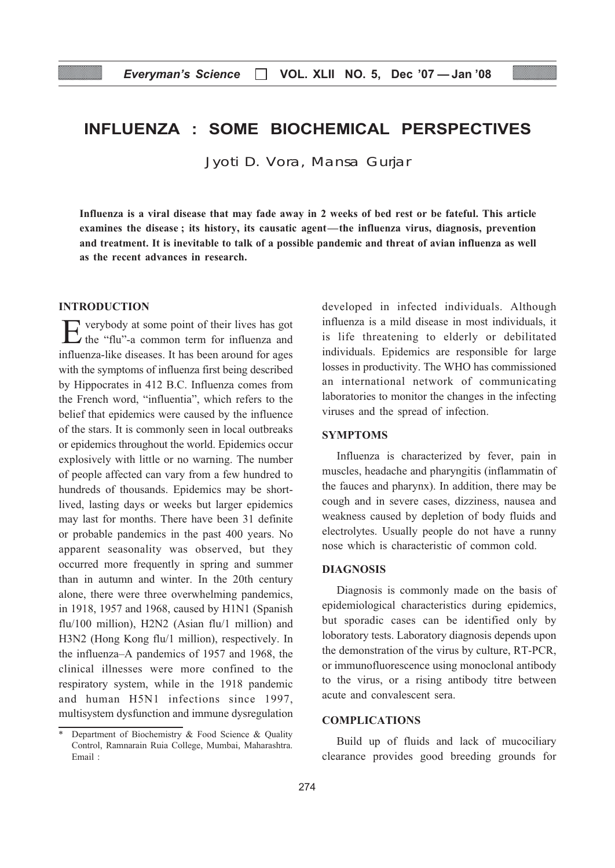## INFLUENZA : SOME BIOCHEMICAL PERSPECTIVES

Jyoti D. Vora, Mansa Gurjar

Influenza is a viral disease that may fade away in 2 weeks of bed rest or be fateful. This article examines the disease ; its history, its causatic agent—the influenza virus, diagnosis, prevention and treatment. It is inevitable to talk of a possible pandemic and threat of avian influenza as well as the recent advances in research.

#### INTRODUCTION

Everybody at some point of their lives has got  $\overrightarrow{a}$  the "flu"-a common term for influenza and influenza-like diseases. It has been around for ages with the symptoms of influenza first being described by Hippocrates in 412 B.C. Influenza comes from the French word, "influentia", which refers to the belief that epidemics were caused by the influence of the stars. It is commonly seen in local outbreaks or epidemics throughout the world. Epidemics occur explosively with little or no warning. The number of people affected can vary from a few hundred to hundreds of thousands. Epidemics may be shortlived, lasting days or weeks but larger epidemics may last for months. There have been 31 definite or probable pandemics in the past 400 years. No apparent seasonality was observed, but they occurred more frequently in spring and summer than in autumn and winter. In the 20th century alone, there were three overwhelming pandemics, in 1918, 1957 and 1968, caused by H1N1 (Spanish flu/100 million), H2N2 (Asian flu/1 million) and H3N2 (Hong Kong flu/1 million), respectively. In the influenza–A pandemics of 1957 and 1968, the clinical illnesses were more confined to the respiratory system, while in the 1918 pandemic and human H5N1 infections since 1997, multisystem dysfunction and immune dysregulation developed in infected individuals. Although influenza is a mild disease in most individuals, it is life threatening to elderly or debilitated individuals. Epidemics are responsible for large losses in productivity. The WHO has commissioned an international network of communicating laboratories to monitor the changes in the infecting viruses and the spread of infection.

#### SYMPTOMS

Influenza is characterized by fever, pain in muscles, headache and pharyngitis (inflammatin of the fauces and pharynx). In addition, there may be cough and in severe cases, dizziness, nausea and weakness caused by depletion of body fluids and electrolytes. Usually people do not have a runny nose which is characteristic of common cold.

#### DIAGNOSIS

Diagnosis is commonly made on the basis of epidemiological characteristics during epidemics, but sporadic cases can be identified only by loboratory tests. Laboratory diagnosis depends upon the demonstration of the virus by culture, RT-PCR, or immunofluorescence using monoclonal antibody to the virus, or a rising antibody titre between acute and convalescent sera.

#### COMPLICATIONS

Build up of fluids and lack of mucociliary clearance provides good breeding grounds for

Department of Biochemistry & Food Science & Quality Control, Ramnarain Ruia College, Mumbai, Maharashtra. Email :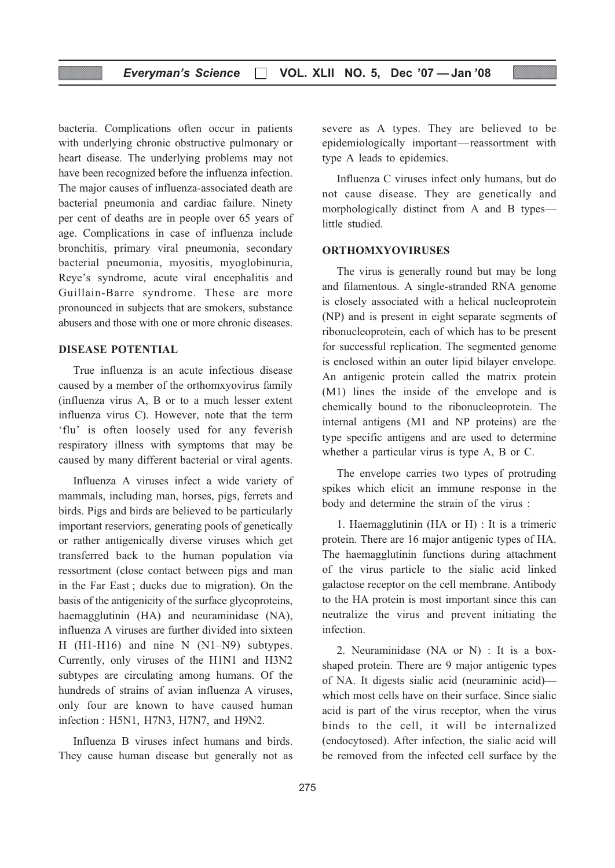bacteria. Complications often occur in patients with underlying chronic obstructive pulmonary or heart disease. The underlying problems may not have been recognized before the influenza infection. The major causes of influenza-associated death are bacterial pneumonia and cardiac failure. Ninety per cent of deaths are in people over 65 years of age. Complications in case of influenza include bronchitis, primary viral pneumonia, secondary bacterial pneumonia, myositis, myoglobinuria, Reye's syndrome, acute viral encephalitis and Guillain-Barre syndrome. These are more pronounced in subjects that are smokers, substance abusers and those with one or more chronic diseases.

#### DISEASE POTENTIAL

True influenza is an acute infectious disease caused by a member of the orthomxyovirus family (influenza virus A, B or to a much lesser extent influenza virus C). However, note that the term 'flu' is often loosely used for any feverish respiratory illness with symptoms that may be caused by many different bacterial or viral agents.

Influenza A viruses infect a wide variety of mammals, including man, horses, pigs, ferrets and birds. Pigs and birds are believed to be particularly important reserviors, generating pools of genetically or rather antigenically diverse viruses which get transferred back to the human population via ressortment (close contact between pigs and man in the Far East ; ducks due to migration). On the basis of the antigenicity of the surface glycoproteins, haemagglutinin (HA) and neuraminidase (NA), influenza A viruses are further divided into sixteen H (H1-H16) and nine N (N1–N9) subtypes. Currently, only viruses of the H1N1 and H3N2 subtypes are circulating among humans. Of the hundreds of strains of avian influenza A viruses, only four are known to have caused human infection : H5N1, H7N3, H7N7, and H9N2.

Influenza B viruses infect humans and birds. They cause human disease but generally not as severe as A types. They are believed to be epidemiologically important—reassortment with type A leads to epidemics.

Influenza C viruses infect only humans, but do not cause disease. They are genetically and morphologically distinct from A and B types little studied.

#### ORTHOMXYOVIRUSES

The virus is generally round but may be long and filamentous. A single-stranded RNA genome is closely associated with a helical nucleoprotein (NP) and is present in eight separate segments of ribonucleoprotein, each of which has to be present for successful replication. The segmented genome is enclosed within an outer lipid bilayer envelope. An antigenic protein called the matrix protein (M1) lines the inside of the envelope and is chemically bound to the ribonucleoprotein. The internal antigens (M1 and NP proteins) are the type specific antigens and are used to determine whether a particular virus is type A, B or C.

The envelope carries two types of protruding spikes which elicit an immune response in the body and determine the strain of the virus :

1. Haemagglutinin (HA or H) : It is a trimeric protein. There are 16 major antigenic types of HA. The haemagglutinin functions during attachment of the virus particle to the sialic acid linked galactose receptor on the cell membrane. Antibody to the HA protein is most important since this can neutralize the virus and prevent initiating the infection.

2. Neuraminidase (NA or N) : It is a boxshaped protein. There are 9 major antigenic types of NA. It digests sialic acid (neuraminic acid) which most cells have on their surface. Since sialic acid is part of the virus receptor, when the virus binds to the cell, it will be internalized (endocytosed). After infection, the sialic acid will be removed from the infected cell surface by the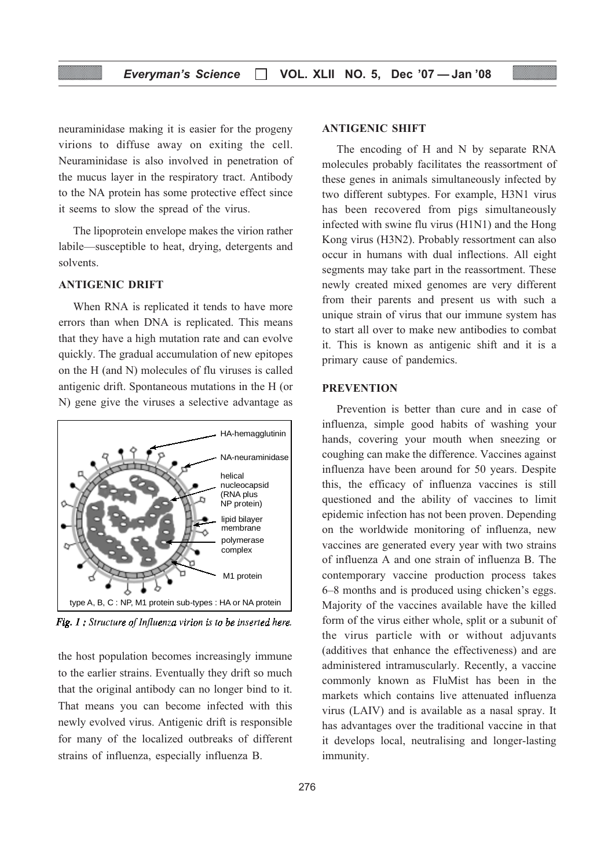neuraminidase making it is easier for the progeny virions to diffuse away on exiting the cell. Neuraminidase is also involved in penetration of the mucus layer in the respiratory tract. Antibody to the NA protein has some protective effect since it seems to slow the spread of the virus.

The lipoprotein envelope makes the virion rather labile—susceptible to heat, drying, detergents and solvents.

#### ANTIGENIC DRIFT

When RNA is replicated it tends to have more errors than when DNA is replicated. This means that they have a high mutation rate and can evolve quickly. The gradual accumulation of new epitopes on the H (and N) molecules of flu viruses is called antigenic drift. Spontaneous mutations in the H (or N) gene give the viruses a selective advantage as



Fig. 1 : Structure of Influenza virion is to be inserted here.

the host population becomes increasingly immune to the earlier strains. Eventually they drift so much that the original antibody can no longer bind to it. That means you can become infected with this newly evolved virus. Antigenic drift is responsible for many of the localized outbreaks of different strains of influenza, especially influenza B.

#### ANTIGENIC SHIFT

The encoding of H and N by separate RNA molecules probably facilitates the reassortment of these genes in animals simultaneously infected by two different subtypes. For example, H3N1 virus has been recovered from pigs simultaneously infected with swine flu virus (H1N1) and the Hong Kong virus (H3N2). Probably ressortment can also occur in humans with dual inflections. All eight segments may take part in the reassortment. These newly created mixed genomes are very different from their parents and present us with such a unique strain of virus that our immune system has to start all over to make new antibodies to combat it. This is known as antigenic shift and it is a primary cause of pandemics.

#### **PREVENTION**

Prevention is better than cure and in case of influenza, simple good habits of washing your hands, covering your mouth when sneezing or coughing can make the difference. Vaccines against influenza have been around for 50 years. Despite this, the efficacy of influenza vaccines is still questioned and the ability of vaccines to limit epidemic infection has not been proven. Depending on the worldwide monitoring of influenza, new vaccines are generated every year with two strains of influenza A and one strain of influenza B. The contemporary vaccine production process takes 6–8 months and is produced using chicken's eggs. Majority of the vaccines available have the killed form of the virus either whole, split or a subunit of the virus particle with or without adjuvants (additives that enhance the effectiveness) and are administered intramuscularly. Recently, a vaccine commonly known as FluMist has been in the markets which contains live attenuated influenza virus (LAIV) and is available as a nasal spray. It has advantages over the traditional vaccine in that it develops local, neutralising and longer-lasting immunity.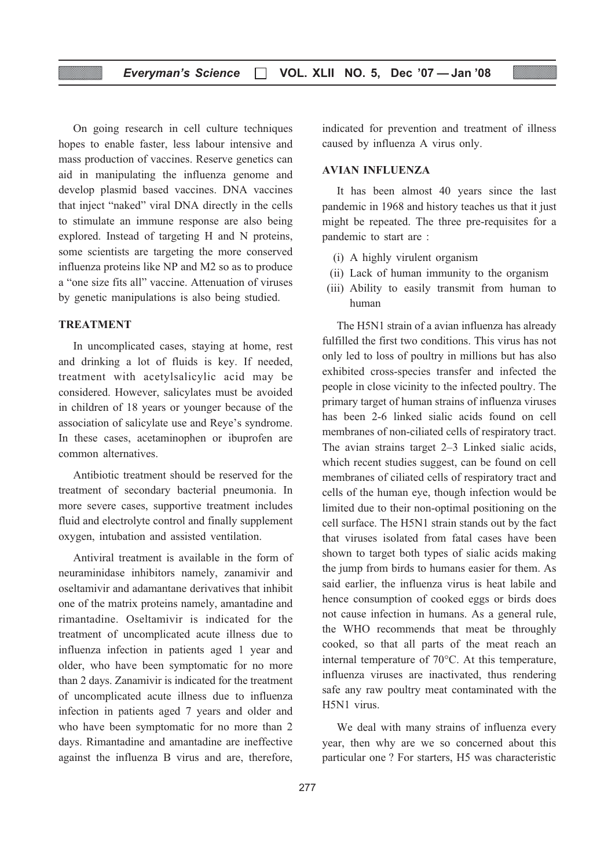#### Everyman's Science  $\Box$  VOL. XLII NO. 5, Dec '07 - Jan '08

On going research in cell culture techniques hopes to enable faster, less labour intensive and mass production of vaccines. Reserve genetics can aid in manipulating the influenza genome and develop plasmid based vaccines. DNA vaccines that inject "naked" viral DNA directly in the cells to stimulate an immune response are also being explored. Instead of targeting H and N proteins, some scientists are targeting the more conserved influenza proteins like NP and M2 so as to produce a "one size fits all" vaccine. Attenuation of viruses by genetic manipulations is also being studied.

#### TREATMENT

In uncomplicated cases, staying at home, rest and drinking a lot of fluids is key. If needed, treatment with acetylsalicylic acid may be considered. However, salicylates must be avoided in children of 18 years or younger because of the association of salicylate use and Reye's syndrome. In these cases, acetaminophen or ibuprofen are common alternatives.

Antibiotic treatment should be reserved for the treatment of secondary bacterial pneumonia. In more severe cases, supportive treatment includes fluid and electrolyte control and finally supplement oxygen, intubation and assisted ventilation.

Antiviral treatment is available in the form of neuraminidase inhibitors namely, zanamivir and oseltamivir and adamantane derivatives that inhibit one of the matrix proteins namely, amantadine and rimantadine. Oseltamivir is indicated for the treatment of uncomplicated acute illness due to influenza infection in patients aged 1 year and older, who have been symptomatic for no more than 2 days. Zanamivir is indicated for the treatment of uncomplicated acute illness due to influenza infection in patients aged 7 years and older and who have been symptomatic for no more than 2 days. Rimantadine and amantadine are ineffective against the influenza B virus and are, therefore,

indicated for prevention and treatment of illness caused by influenza A virus only.

#### AVIAN INFLUENZA

It has been almost 40 years since the last pandemic in 1968 and history teaches us that it just might be repeated. The three pre-requisites for a pandemic to start are :

- (i) A highly virulent organism
- (ii) Lack of human immunity to the organism
- (iii) Ability to easily transmit from human to human

The H5N1 strain of a avian influenza has already fulfilled the first two conditions. This virus has not only led to loss of poultry in millions but has also exhibited cross-species transfer and infected the people in close vicinity to the infected poultry. The primary target of human strains of influenza viruses has been 2-6 linked sialic acids found on cell membranes of non-ciliated cells of respiratory tract. The avian strains target 2–3 Linked sialic acids, which recent studies suggest, can be found on cell membranes of ciliated cells of respiratory tract and cells of the human eye, though infection would be limited due to their non-optimal positioning on the cell surface. The H5N1 strain stands out by the fact that viruses isolated from fatal cases have been shown to target both types of sialic acids making the jump from birds to humans easier for them. As said earlier, the influenza virus is heat labile and hence consumption of cooked eggs or birds does not cause infection in humans. As a general rule, the WHO recommends that meat be throughly cooked, so that all parts of the meat reach an internal temperature of 70°C. At this temperature, influenza viruses are inactivated, thus rendering safe any raw poultry meat contaminated with the H5N1 virus.

We deal with many strains of influenza every year, then why are we so concerned about this particular one ? For starters, H5 was characteristic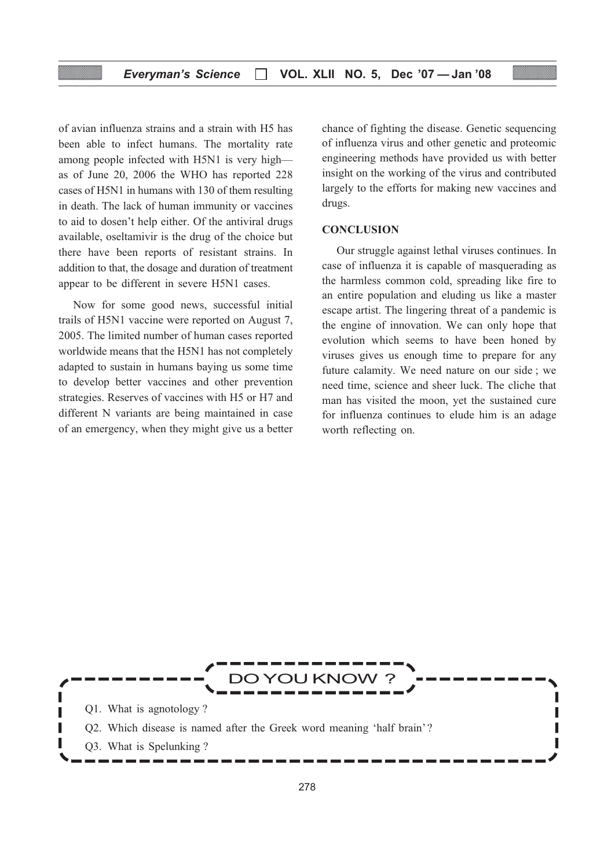of avian influenza strains and a strain with H5 has been able to infect humans. The mortality rate among people infected with H5N1 is very high as of June 20, 2006 the WHO has reported 228 cases of H5N1 in humans with 130 of them resulting in death. The lack of human immunity or vaccines to aid to dosen't help either. Of the antiviral drugs available, oseltamivir is the drug of the choice but there have been reports of resistant strains. In addition to that, the dosage and duration of treatment appear to be different in severe H5N1 cases.

Now for some good news, successful initial trails of H5N1 vaccine were reported on August 7, 2005. The limited number of human cases reported worldwide means that the H5N1 has not completely adapted to sustain in humans baying us some time to develop better vaccines and other prevention strategies. Reserves of vaccines with H5 or H7 and different N variants are being maintained in case of an emergency, when they might give us a better chance of fighting the disease. Genetic sequencing of influenza virus and other genetic and proteomic engineering methods have provided us with better insight on the working of the virus and contributed largely to the efforts for making new vaccines and drugs.

#### **CONCLUSION**

Our struggle against lethal viruses continues. In case of influenza it is capable of masquerading as the harmless common cold, spreading like fire to an entire population and eluding us like a master escape artist. The lingering threat of a pandemic is the engine of innovation. We can only hope that evolution which seems to have been honed by viruses gives us enough time to prepare for any future calamity. We need nature on our side ; we need time, science and sheer luck. The cliche that man has visited the moon, yet the sustained cure for influenza continues to elude him is an adage worth reflecting on.

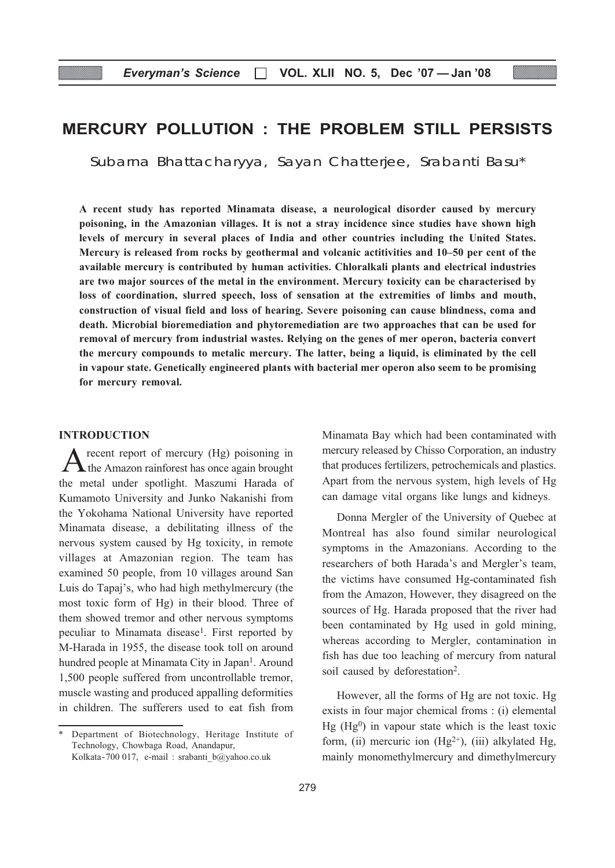## MERCURY POLLUTION : THE PROBLEM STILL PERSISTS

Subarna Bhattacharyya, Sayan Chatterjee, Srabanti Basu\*

A recent study has reported Minamata disease, a neurological disorder caused by mercury poisoning, in the Amazonian villages. It is not a stray incidence since studies have shown high levels of mercury in several places of India and other countries including the United States. Mercury is released from rocks by geothermal and volcanic actitivities and 10–50 per cent of the available mercury is contributed by human activities. Chloralkali plants and electrical industries are two major sources of the metal in the environment. Mercury toxicity can be characterised by loss of coordination, slurred speech, loss of sensation at the extremities of limbs and mouth, construction of visual field and loss of hearing. Severe poisoning can cause blindness, coma and death. Microbial bioremediation and phytoremediation are two approaches that can be used for removal of mercury from industrial wastes. Relying on the genes of mer operon, bacteria convert the mercury compounds to metalic mercury. The latter, being a liquid, is eliminated by the cell in vapour state. Genetically engineered plants with bacterial mer operon also seem to be promising for mercury removal.

#### INTRODUCTION

recent report of mercury (Hg) poisoning in the Amazon rainforest has once again brought the metal under spotlight. Maszumi Harada of Kumamoto University and Junko Nakanishi from the Yokohama National University have reported Minamata disease, a debilitating illness of the nervous system caused by Hg toxicity, in remote villages at Amazonian region. The team has examined 50 people, from 10 villages around San Luis do Tapaj's, who had high methylmercury (the most toxic form of Hg) in their blood. Three of them showed tremor and other nervous symptoms peculiar to Minamata disease<sup>1</sup>. First reported by M-Harada in 1955, the disease took toll on around hundred people at Minamata City in Japan<sup>1</sup>. Around 1,500 people suffered from uncontrollable tremor, muscle wasting and produced appalling deformities in children. The sufferers used to eat fish from Minamata Bay which had been contaminated with mercury released by Chisso Corporation, an industry that produces fertilizers, petrochemicals and plastics. Apart from the nervous system, high levels of Hg can damage vital organs like lungs and kidneys.

Donna Mergler of the University of Quebec at Montreal has also found similar neurological symptoms in the Amazonians. According to the researchers of both Harada's and Mergler's team, the victims have consumed Hg-contaminated fish from the Amazon, However, they disagreed on the sources of Hg. Harada proposed that the river had been contaminated by Hg used in gold mining, whereas according to Mergler, contamination in fish has due too leaching of mercury from natural soil caused by deforestation<sup>2</sup>.

However, all the forms of Hg are not toxic. Hg exists in four major chemical froms : (i) elemental  $Hg$  (Hg<sup>0</sup>) in vapour state which is the least toxic form, (ii) mercuric ion  $(Hg^{2+})$ , (iii) alkylated Hg, mainly monomethylmercury and dimethylmercury

Department of Biotechnology, Heritage Institute of Technology, Chowbaga Road, Anandapur, Kolkata-700 017, e-mail : srabanti\_b@yahoo.co.uk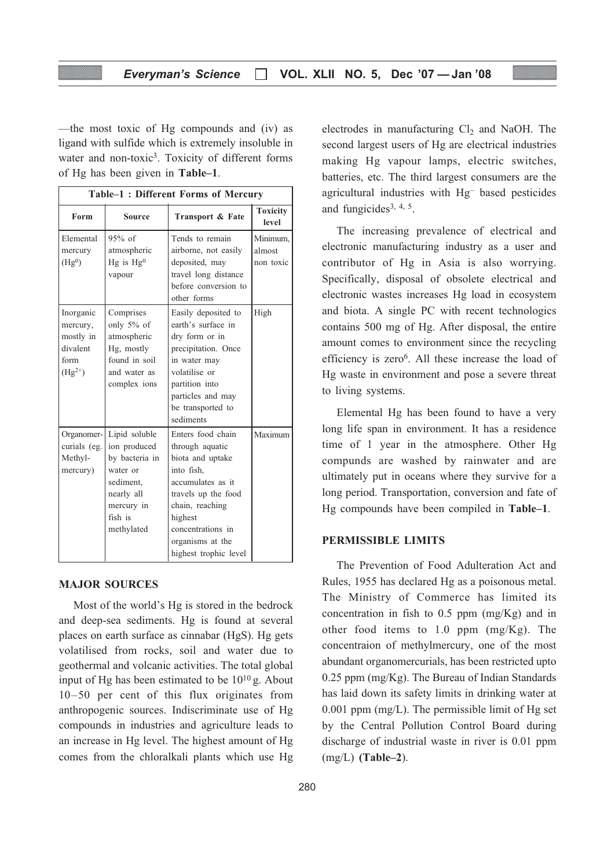—the most toxic of Hg compounds and (iv) as ligand with sulfide which is extremely insoluble in water and non-toxic<sup>3</sup>. Toxicity of different forms of Hg has been given in Table–1.

|                                                                       | Table-1: Different Forms of Mercury                                                                                           |                                                                                                                                                                                                                    |                                 |  |  |  |
|-----------------------------------------------------------------------|-------------------------------------------------------------------------------------------------------------------------------|--------------------------------------------------------------------------------------------------------------------------------------------------------------------------------------------------------------------|---------------------------------|--|--|--|
| Form                                                                  | <b>Source</b>                                                                                                                 | Transport & Fate                                                                                                                                                                                                   | <b>Toxicity</b><br>level        |  |  |  |
| Elemental<br>mercury<br>(Hg <sup>0</sup> )                            | $95%$ of<br>atmospheric<br>$Hg$ is $Hg^0$<br>vapour                                                                           | Tends to remain<br>airborne, not easily<br>deposited, may<br>travel long distance<br>before conversion to<br>other forms                                                                                           | Minimum,<br>almost<br>non toxic |  |  |  |
| Inorganic<br>mercury,<br>mostly in<br>divalent<br>form<br>$(Hg^{2+})$ | Comprises<br>only $5\%$ of<br>atmospheric<br>Hg, mostly<br>found in soil<br>and water as<br>complex ions                      | Easily deposited to<br>earth's surface in<br>dry form or in<br>precipitation. Once<br>in water may<br>volatilise or<br>partition into<br>particles and may<br>be transported to<br>sediments                       | High                            |  |  |  |
| Organomer-<br>curials (eg.<br>Methyl-<br>mercury)                     | Lipid soluble<br>ion produced<br>by bacteria in<br>water or<br>sediment,<br>nearly all<br>mercury in<br>fish is<br>methylated | Enters food chain<br>through aquatic<br>biota and uptake<br>into fish.<br>accumulates as it<br>travels up the food<br>chain, reaching<br>highest<br>concentrations in<br>organisms at the<br>highest trophic level | Maximum                         |  |  |  |

#### MAJOR SOURCES

Most of the world's Hg is stored in the bedrock and deep-sea sediments. Hg is found at several places on earth surface as cinnabar (HgS). Hg gets volatilised from rocks, soil and water due to geothermal and volcanic activities. The total global input of Hg has been estimated to be  $10^{10}$  g. About 10–50 per cent of this flux originates from anthropogenic sources. Indiscriminate use of Hg compounds in industries and agriculture leads to an increase in Hg level. The highest amount of Hg comes from the chloralkali plants which use Hg

280

electrodes in manufacturing  $Cl<sub>2</sub>$  and NaOH. The second largest users of Hg are electrical industries making Hg vapour lamps, electric switches, batteries, etc. The third largest consumers are the agricultural industries with Hg– based pesticides and fungicides<sup>3, 4, 5</sup>.

The increasing prevalence of electrical and electronic manufacturing industry as a user and contributor of Hg in Asia is also worrying. Specifically, disposal of obsolete electrical and electronic wastes increases Hg load in ecosystem and biota. A single PC with recent technologics contains 500 mg of Hg. After disposal, the entire amount comes to environment since the recycling efficiency is zero<sup>6</sup>. All these increase the load of Hg waste in environment and pose a severe threat to living systems.

Elemental Hg has been found to have a very long life span in environment. It has a residence time of 1 year in the atmosphere. Other Hg compunds are washed by rainwater and are ultimately put in oceans where they survive for a long period. Transportation, conversion and fate of Hg compounds have been compiled in Table–1.

#### PERMISSIBLE LIMITS

The Prevention of Food Adulteration Act and Rules, 1955 has declared Hg as a poisonous metal. The Ministry of Commerce has limited its concentration in fish to 0.5 ppm (mg/Kg) and in other food items to 1.0 ppm (mg/Kg). The concentraion of methylmercury, one of the most abundant organomercurials, has been restricted upto 0.25 ppm (mg/Kg). The Bureau of Indian Standards has laid down its safety limits in drinking water at 0.001 ppm (mg/L). The permissible limit of Hg set by the Central Pollution Control Board during discharge of industrial waste in river is 0.01 ppm  $(mg/L)$  (Table–2).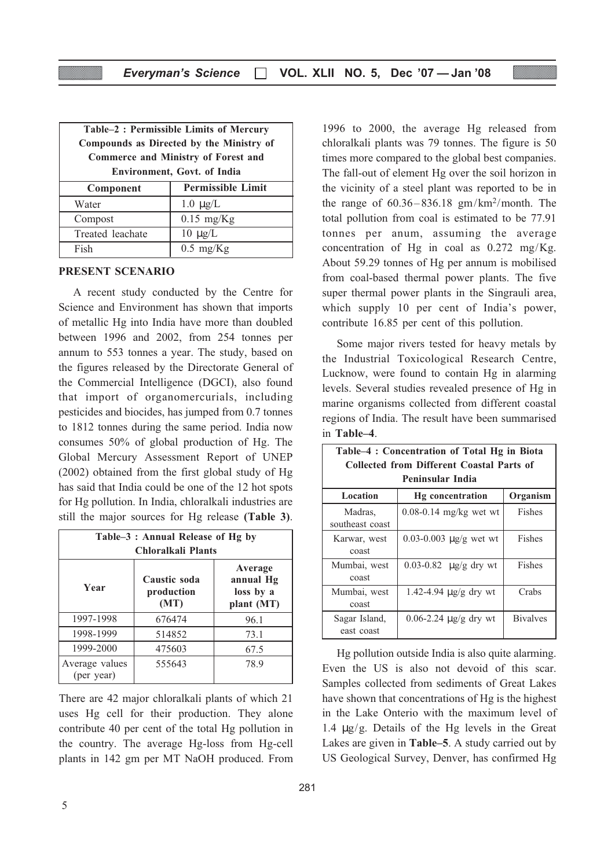| Table-2: Permissible Limits of Mercury<br>Compounds as Directed by the Ministry of<br><b>Commerce and Ministry of Forest and</b><br><b>Environment, Govt. of India</b> |                          |  |  |  |
|------------------------------------------------------------------------------------------------------------------------------------------------------------------------|--------------------------|--|--|--|
| Component                                                                                                                                                              | <b>Permissible Limit</b> |  |  |  |
| Water                                                                                                                                                                  | $1.0 \mu g/L$            |  |  |  |
| Compost                                                                                                                                                                | $0.15$ mg/Kg             |  |  |  |
| Treated leachate                                                                                                                                                       | $10 \mu g/L$             |  |  |  |
| Fish                                                                                                                                                                   | $0.5$ mg/Kg              |  |  |  |

#### PRESENT SCENARIO

A recent study conducted by the Centre for Science and Environment has shown that imports of metallic Hg into India have more than doubled between 1996 and 2002, from 254 tonnes per annum to 553 tonnes a year. The study, based on the figures released by the Directorate General of the Commercial Intelligence (DGCI), also found that import of organomercurials, including pesticides and biocides, has jumped from 0.7 tonnes to 1812 tonnes during the same period. India now consumes 50% of global production of Hg. The Global Mercury Assessment Report of UNEP (2002) obtained from the first global study of Hg has said that India could be one of the 12 hot spots for Hg pollution. In India, chloralkali industries are still the major sources for Hg release (Table 3).

| Table–3 : Annual Release of Hg by<br>Chloralkali Plants |                                    |                                                 |  |
|---------------------------------------------------------|------------------------------------|-------------------------------------------------|--|
| Year                                                    | Caustic soda<br>production<br>(MT) | Average<br>annual Hg<br>loss by a<br>plant (MT) |  |
| 1997-1998                                               | 676474                             | 96.1                                            |  |
| 1998-1999                                               | 514852                             | 73.1                                            |  |
| 1999-2000                                               | 475603                             | 67.5                                            |  |
| Average values<br>(per year)                            | 555643                             | 78.9                                            |  |

There are 42 major chloralkali plants of which 21 uses Hg cell for their production. They alone contribute 40 per cent of the total Hg pollution in the country. The average Hg-loss from Hg-cell plants in 142 gm per MT NaOH produced. From 1996 to 2000, the average Hg released from chloralkali plants was 79 tonnes. The figure is 50 times more compared to the global best companies. The fall-out of element Hg over the soil horizon in the vicinity of a steel plant was reported to be in the range of  $60.36 - 836.18$  gm/km<sup>2</sup>/month. The total pollution from coal is estimated to be 77.91 tonnes per anum, assuming the average concentration of Hg in coal as 0.272 mg/Kg. About 59.29 tonnes of Hg per annum is mobilised from coal-based thermal power plants. The five super thermal power plants in the Singrauli area, which supply 10 per cent of India's power, contribute 16.85 per cent of this pollution.

Some major rivers tested for heavy metals by the Industrial Toxicological Research Centre, Lucknow, were found to contain Hg in alarming levels. Several studies revealed presence of Hg in marine organisms collected from different coastal regions of India. The result have been summarised in Table–4.

| Table–4 : Concentration of Total Hg in Biota |                              |                  |  |
|----------------------------------------------|------------------------------|------------------|--|
| Collected from Different Coastal Parts of    |                              |                  |  |
| Peninsular India                             |                              |                  |  |
| Location                                     | <b>Hg</b> concentration      | Organism         |  |
| Madras.<br>southeast coast                   | $0.08 - 0.14$ mg/kg wet wt   | Fishes           |  |
| Karwar, west<br>coast                        | 0.03-0.003 $\mu$ g/g wet wt  | Fishes           |  |
| Mumbai, west<br>coast                        | 0.03-0.82 $\mu$ g/g dry wt   | <b>Fishes</b>    |  |
| Mumbai, west<br>coast                        | $1.42 - 4.94$ µg/g dry wt    | Crabs            |  |
| Sagar Island,<br>east coast                  | $0.06 - 2.24 \mu g/g$ dry wt | <b>B</b> ivalves |  |

Hg pollution outside India is also quite alarming. Even the US is also not devoid of this scar. Samples collected from sediments of Great Lakes have shown that concentrations of Hg is the highest in the Lake Onterio with the maximum level of 1.4  $\mu$ g/g. Details of the Hg levels in the Great Lakes are given in Table–5. A study carried out by US Geological Survey, Denver, has confirmed Hg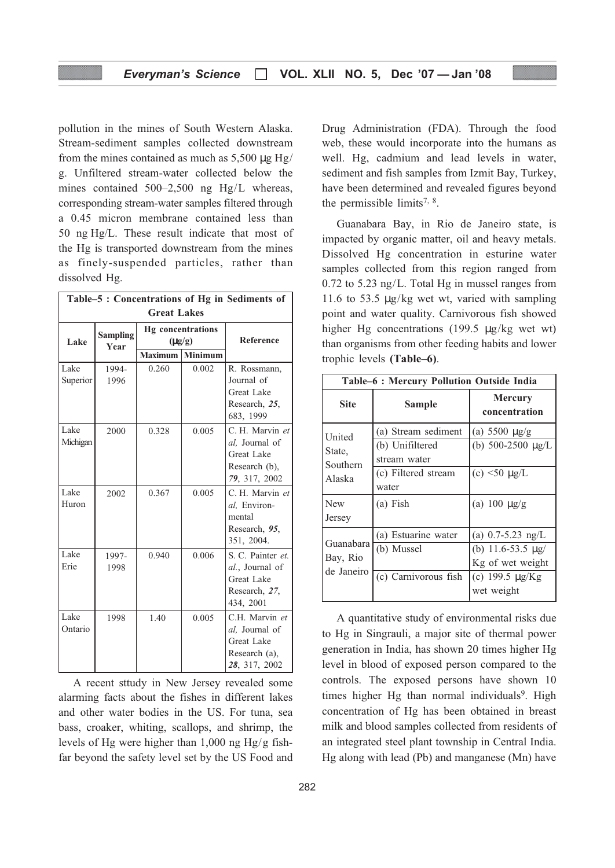pollution in the mines of South Western Alaska. Stream-sediment samples collected downstream from the mines contained as much as  $5{,}500 \mu$ g Hg/ g. Unfiltered stream-water collected below the mines contained 500–2,500 ng Hg/L whereas, corresponding stream-water samples filtered through a 0.45 micron membrane contained less than 50 ng Hg/L. These result indicate that most of the Hg is transported downstream from the mines as finely-suspended particles, rather than dissolved Hg.

| Table-5: Concentrations of Hg in Sediments of |                         |                |                                                    |                                                                                         |
|-----------------------------------------------|-------------------------|----------------|----------------------------------------------------|-----------------------------------------------------------------------------------------|
| <b>Great Lakes</b>                            |                         |                |                                                    |                                                                                         |
| Lake                                          | <b>Sampling</b><br>Year | <b>Maximum</b> | <b>Hg</b> concentrations<br>$(\mu g/g)$<br>Minimum | Reference                                                                               |
| Lake<br>Superior                              | 1994-<br>1996           | 0.260          | 0.002                                              | R. Rossmann,<br>Journal of<br><b>Great Lake</b><br>Research, 25,<br>683, 1999           |
| Lake<br>Michigan                              | 2000                    | 0.328          | 0.005                                              | C. H. Marvin et<br>al, Journal of<br>Great Lake<br>Research (b),<br>79, 317, 2002       |
| Lake<br>Huron                                 | 2002                    | 0.367          | 0.005                                              | C. H. Marvin et<br>al, Environ-<br>mental<br>Research, 95,<br>351, 2004.                |
| Lake<br>Erie                                  | 1997-<br>1998           | 0.940          | 0.006                                              | S. C. Painter et.<br>al., Journal of<br><b>Great Lake</b><br>Research, 27,<br>434, 2001 |
| Lake<br>Ontario                               | 1998                    | 1.40           | 0.005                                              | C.H. Marvin et<br>al, Journal of<br>Great Lake<br>Research (a),<br>28, 317, 2002        |

A recent sttudy in New Jersey revealed some alarming facts about the fishes in different lakes and other water bodies in the US. For tuna, sea bass, croaker, whiting, scallops, and shrimp, the levels of Hg were higher than 1,000 ng Hg/g fishfar beyond the safety level set by the US Food and

282

Drug Administration (FDA). Through the food web, these would incorporate into the humans as well. Hg, cadmium and lead levels in water, sediment and fish samples from Izmit Bay, Turkey, have been determined and revealed figures beyond the permissible limits<sup>7, 8</sup>.

Guanabara Bay, in Rio de Janeiro state, is impacted by organic matter, oil and heavy metals. Dissolved Hg concentration in esturine water samples collected from this region ranged from 0.72 to 5.23 ng/L. Total Hg in mussel ranges from 11.6 to 53.5 µg/kg wet wt, varied with sampling point and water quality. Carnivorous fish showed higher Hg concentrations (199.5 µg/kg wet wt) than organisms from other feeding habits and lower trophic levels (Table–6).

| Table–6 : Mercury Pollution Outside India |                                 |                                                   |  |
|-------------------------------------------|---------------------------------|---------------------------------------------------|--|
| <b>Site</b>                               | Sample                          | <b>Mercury</b><br>concentration                   |  |
| United<br>State,<br>Southern<br>Alaska    | (a) Stream sediment             | (a) $5500 \mu g/g$                                |  |
|                                           | (b) Unifiltered<br>stream water | (b) $500-2500 \mu g/L$                            |  |
|                                           | (c) Filtered stream<br>water    | (c) $\leq 50 \mu g/L$                             |  |
| New<br>Jersey                             | $(a)$ Fish                      | (a) $100 \mu g/g$                                 |  |
| Guanabara<br>Bay, Rio<br>de Janeiro       | (a) Estuarine water             | (a) $0.7 - 5.23$ ng/L                             |  |
|                                           | (b) Mussel                      | (b) 11.6-53.5 $\mu$ g/                            |  |
|                                           | (c) Carnivorous fish            | Kg of wet weight<br>(c) 199.5 µg/Kg<br>wet weight |  |

A quantitative study of environmental risks due to Hg in Singrauli, a major site of thermal power generation in India, has shown 20 times higher Hg level in blood of exposed person compared to the controls. The exposed persons have shown 10 times higher Hg than normal individuals<sup>9</sup>. High concentration of Hg has been obtained in breast milk and blood samples collected from residents of an integrated steel plant township in Central India. Hg along with lead (Pb) and manganese (Mn) have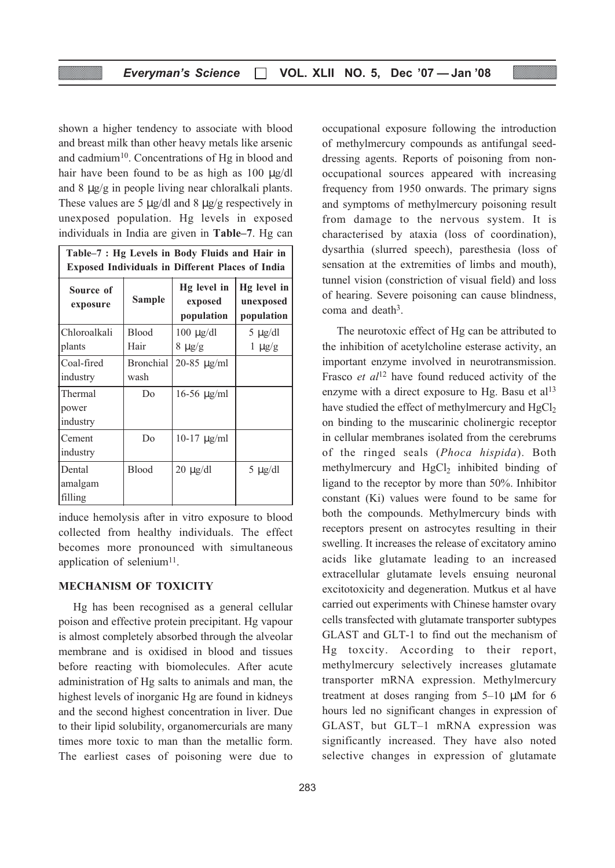shown a higher tendency to associate with blood and breast milk than other heavy metals like arsenic and cadmium<sup>10</sup>. Concentrations of Hg in blood and hair have been found to be as high as 100  $\mu$ g/dl and 8 µg/g in people living near chloralkali plants. These values are 5  $\mu$ g/dl and 8  $\mu$ g/g respectively in unexposed population. Hg levels in exposed individuals in India are given in Table–7. Hg can

| Table-7 : Hg Levels in Body Fluids and Hair in<br><b>Exposed Individuals in Different Places of India</b> |                          |                                      |                                        |
|-----------------------------------------------------------------------------------------------------------|--------------------------|--------------------------------------|----------------------------------------|
| Source of<br>exposure                                                                                     | <b>Sample</b>            | Hg level in<br>exposed<br>population | Hg level in<br>unexposed<br>population |
| Chloroalkali                                                                                              | <b>Blood</b>             | $100 \mu g/dl$                       | $5 \mu$ g/dl                           |
| plants                                                                                                    | Hair                     | $8 \mu g/g$                          | $1 \mu g/g$                            |
| Coal-fired<br>industry                                                                                    | <b>Bronchial</b><br>wash | $20 - 85 \text{ µg/ml}$              |                                        |
| Thermal<br>power<br>industry                                                                              | Do                       | $16-56 \mu g/ml$                     |                                        |
| Cement<br>industry                                                                                        | Do                       | $10-17 \mu g/ml$                     |                                        |
| Dental<br>amalgam<br>filling                                                                              | Blood                    | $20 \mu g/dl$                        | $5 \mu g/dl$                           |

induce hemolysis after in vitro exposure to blood collected from healthy individuals. The effect becomes more pronounced with simultaneous application of selenium<sup>11</sup>.

#### MECHANISM OF TOXICITY

Hg has been recognised as a general cellular poison and effective protein precipitant. Hg vapour is almost completely absorbed through the alveolar membrane and is oxidised in blood and tissues before reacting with biomolecules. After acute administration of Hg salts to animals and man, the highest levels of inorganic Hg are found in kidneys and the second highest concentration in liver. Due to their lipid solubility, organomercurials are many times more toxic to man than the metallic form. The earliest cases of poisoning were due to occupational exposure following the introduction of methylmercury compounds as antifungal seeddressing agents. Reports of poisoning from nonoccupational sources appeared with increasing frequency from 1950 onwards. The primary signs and symptoms of methylmercury poisoning result from damage to the nervous system. It is characterised by ataxia (loss of coordination), dysarthia (slurred speech), paresthesia (loss of sensation at the extremities of limbs and mouth), tunnel vision (constriction of visual field) and loss of hearing. Severe poisoning can cause blindness, coma and death<sup>3</sup>.

The neurotoxic effect of Hg can be attributed to the inhibition of acetylcholine esterase activity, an important enzyme involved in neurotransmission. Frasco *et al*<sup>12</sup> have found reduced activity of the enzyme with a direct exposure to Hg. Basu et al<sup>13</sup> have studied the effect of methylmercury and  $HgCl<sub>2</sub>$ on binding to the muscarinic cholinergic receptor in cellular membranes isolated from the cerebrums of the ringed seals (Phoca hispida). Both methylmercury and HgCl<sub>2</sub> inhibited binding of ligand to the receptor by more than 50%. Inhibitor constant (Ki) values were found to be same for both the compounds. Methylmercury binds with receptors present on astrocytes resulting in their swelling. It increases the release of excitatory amino acids like glutamate leading to an increased extracellular glutamate levels ensuing neuronal excitotoxicity and degeneration. Mutkus et al have carried out experiments with Chinese hamster ovary cells transfected with glutamate transporter subtypes GLAST and GLT-1 to find out the mechanism of Hg toxcity. According to their report, methylmercury selectively increases glutamate transporter mRNA expression. Methylmercury treatment at doses ranging from 5–10 µM for 6 hours led no significant changes in expression of GLAST, but GLT–1 mRNA expression was significantly increased. They have also noted selective changes in expression of glutamate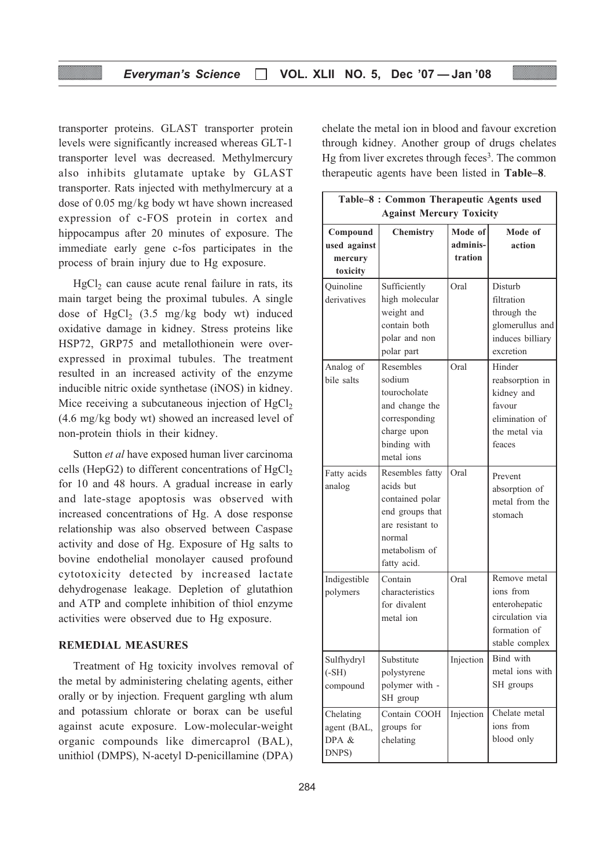transporter proteins. GLAST transporter protein levels were significantly increased whereas GLT-1 transporter level was decreased. Methylmercury also inhibits glutamate uptake by GLAST transporter. Rats injected with methylmercury at a dose of 0.05 mg/kg body wt have shown increased expression of c-FOS protein in cortex and hippocampus after 20 minutes of exposure. The immediate early gene c-fos participates in the process of brain injury due to Hg exposure.

 $HgCl<sub>2</sub>$  can cause acute renal failure in rats, its main target being the proximal tubules. A single dose of HgCl<sub>2</sub>  $(3.5 \text{ mg/kg}$  body wt) induced oxidative damage in kidney. Stress proteins like HSP72, GRP75 and metallothionein were overexpressed in proximal tubules. The treatment resulted in an increased activity of the enzyme inducible nitric oxide synthetase (iNOS) in kidney. Mice receiving a subcutaneous injection of  $HgCl<sub>2</sub>$ (4.6 mg/kg body wt) showed an increased level of non-protein thiols in their kidney.

Sutton et al have exposed human liver carcinoma cells (HepG2) to different concentrations of  $HgCl<sub>2</sub>$ for 10 and 48 hours. A gradual increase in early and late-stage apoptosis was observed with increased concentrations of Hg. A dose response relationship was also observed between Caspase activity and dose of Hg. Exposure of Hg salts to bovine endothelial monolayer caused profound cytotoxicity detected by increased lactate dehydrogenase leakage. Depletion of glutathion and ATP and complete inhibition of thiol enzyme activities were observed due to Hg exposure.

#### REMEDIAL MEASURES

Treatment of Hg toxicity involves removal of the metal by administering chelating agents, either orally or by injection. Frequent gargling wth alum and potassium chlorate or borax can be useful against acute exposure. Low-molecular-weight organic compounds like dimercaprol (BAL), unithiol (DMPS), N-acetyl D-penicillamine (DPA)

chelate the metal ion in blood and favour excretion through kidney. Another group of drugs chelates Hg from liver excretes through feces<sup>3</sup>. The common therapeutic agents have been listed in Table–8.

| Table-8 : Common Therapeutic Agents used        |                                                                                                                                  |                                |                                                                                                 |
|-------------------------------------------------|----------------------------------------------------------------------------------------------------------------------------------|--------------------------------|-------------------------------------------------------------------------------------------------|
| <b>Against Mercury Toxicity</b>                 |                                                                                                                                  |                                |                                                                                                 |
| Compound<br>used against<br>mercury<br>toxicity | <b>Chemistry</b>                                                                                                                 | Mode of<br>adminis-<br>tration | Mode of<br>action                                                                               |
| Quinoline<br>derivatives                        | Sufficiently<br>high molecular<br>weight and<br>contain both<br>polar and non<br>polar part                                      | Oral                           | Disturb<br>filtration<br>through the<br>glomerullus and<br>induces billiary<br>excretion        |
| Analog of<br>bile salts                         | Resembles<br>sodium<br>tourocholate<br>and change the<br>corresponding<br>charge upon<br>binding with<br>metal ions              | Oral                           | Hinder<br>reabsorption in<br>kidney and<br>favour<br>elimination of<br>the metal via<br>feaces  |
| Fatty acids<br>analog                           | Resembles fatty<br>acids but<br>contained polar<br>end groups that<br>are resistant to<br>normal<br>metabolism of<br>fatty acid. | Oral                           | Prevent<br>absorption of<br>metal from the<br>stomach                                           |
| Indigestible<br>polymers                        | Contain<br>characteristics<br>for divalent<br>metal ion                                                                          | Oral                           | Remove metal<br>ions from<br>enterohepatic<br>circulation via<br>formation of<br>stable complex |
| Sulfhydryl<br>$(-SH)$<br>compound               | Substitute<br>polystyrene<br>polymer with -<br>SH group                                                                          | Injection                      | Bind with<br>metal ions with<br>SH groups                                                       |
| Chelating<br>agent (BAL,<br>DPA &<br>DNPS)      | Contain COOH<br>groups for<br>chelating                                                                                          | Injection                      | Chelate metal<br>ions from<br>blood only                                                        |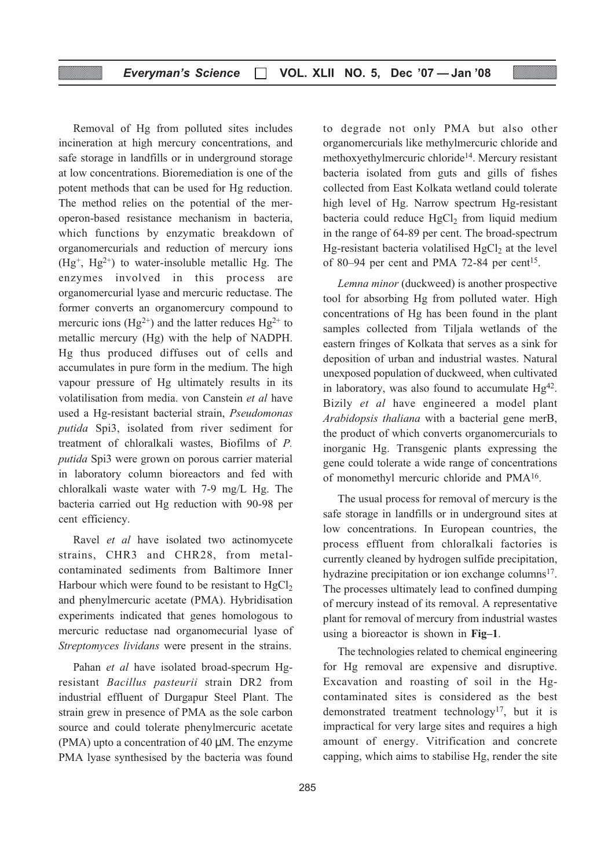Removal of Hg from polluted sites includes incineration at high mercury concentrations, and safe storage in landfills or in underground storage at low concentrations. Bioremediation is one of the potent methods that can be used for Hg reduction. The method relies on the potential of the meroperon-based resistance mechanism in bacteria, which functions by enzymatic breakdown of organomercurials and reduction of mercury ions  $(Hg^+, Hg^{2+})$  to water-insoluble metallic Hg. The enzymes involved in this process are organomercurial lyase and mercuric reductase. The former converts an organomercury compound to mercuric ions (Hg<sup>2+</sup>) and the latter reduces Hg<sup>2+</sup> to metallic mercury (Hg) with the help of NADPH. Hg thus produced diffuses out of cells and accumulates in pure form in the medium. The high vapour pressure of Hg ultimately results in its volatilisation from media. von Canstein et al have used a Hg-resistant bacterial strain, Pseudomonas putida Spi3, isolated from river sediment for treatment of chloralkali wastes, Biofilms of P. putida Spi3 were grown on porous carrier material in laboratory column bioreactors and fed with chloralkali waste water with 7-9 mg/L Hg. The bacteria carried out Hg reduction with 90-98 per cent efficiency.

Ravel *et al* have isolated two actinomycete strains, CHR3 and CHR28, from metalcontaminated sediments from Baltimore Inner Harbour which were found to be resistant to  $HgCl<sub>2</sub>$ and phenylmercuric acetate (PMA). Hybridisation experiments indicated that genes homologous to mercuric reductase nad organomecurial lyase of Streptomyces lividans were present in the strains.

Pahan et al have isolated broad-specrum Hgresistant Bacillus pasteurii strain DR2 from industrial effluent of Durgapur Steel Plant. The strain grew in presence of PMA as the sole carbon source and could tolerate phenylmercuric acetate (PMA) upto a concentration of 40 µM. The enzyme PMA lyase synthesised by the bacteria was found

to degrade not only PMA but also other organomercurials like methylmercuric chloride and methoxyethylmercuric chloride<sup>14</sup>. Mercury resistant bacteria isolated from guts and gills of fishes collected from East Kolkata wetland could tolerate high level of Hg. Narrow spectrum Hg-resistant bacteria could reduce  $HgCl<sub>2</sub>$  from liquid medium in the range of 64-89 per cent. The broad-spectrum Hg-resistant bacteria volatilised  $HgCl<sub>2</sub>$  at the level of 80–94 per cent and PMA 72-84 per cent<sup>15</sup>.

Lemna minor (duckweed) is another prospective tool for absorbing Hg from polluted water. High concentrations of Hg has been found in the plant samples collected from Tiljala wetlands of the eastern fringes of Kolkata that serves as a sink for deposition of urban and industrial wastes. Natural unexposed population of duckweed, when cultivated in laboratory, was also found to accumulate  $Hg<sup>42</sup>$ . Bizily et al have engineered a model plant Arabidopsis thaliana with a bacterial gene merB, the product of which converts organomercurials to inorganic Hg. Transgenic plants expressing the gene could tolerate a wide range of concentrations of monomethyl mercuric chloride and PMA16.

The usual process for removal of mercury is the safe storage in landfills or in underground sites at low concentrations. In European countries, the process effluent from chloralkali factories is currently cleaned by hydrogen sulfide precipitation, hydrazine precipitation or ion exchange columns<sup>17</sup>. The processes ultimately lead to confined dumping of mercury instead of its removal. A representative plant for removal of mercury from industrial wastes using a bioreactor is shown in Fig–1.

The technologies related to chemical engineering for Hg removal are expensive and disruptive. Excavation and roasting of soil in the Hgcontaminated sites is considered as the best demonstrated treatment technology<sup>17</sup>, but it is impractical for very large sites and requires a high amount of energy. Vitrification and concrete capping, which aims to stabilise Hg, render the site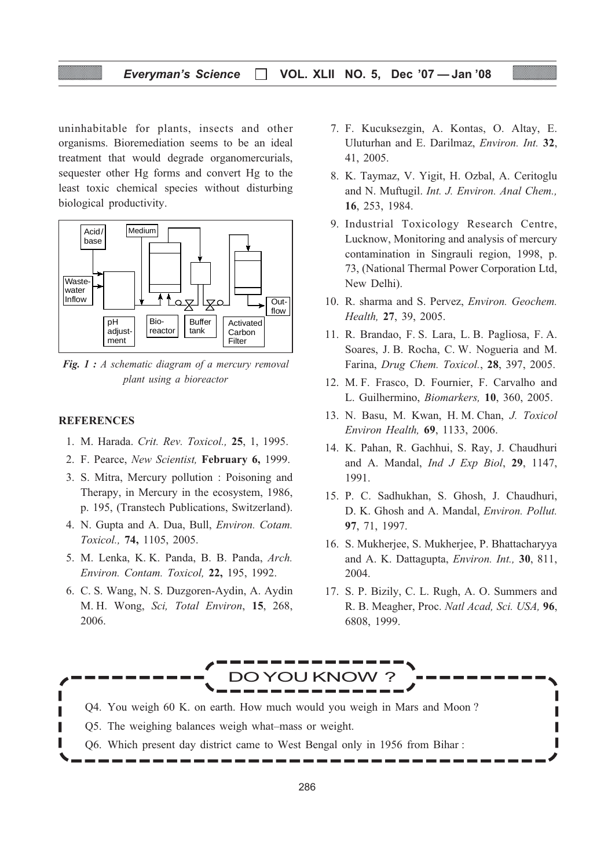#### Everyman's Science  $\Box$  VOL. XLII NO. 5, Dec '07 - Jan '08

uninhabitable for plants, insects and other organisms. Bioremediation seems to be an ideal treatment that would degrade organomercurials, sequester other Hg forms and convert Hg to the least toxic chemical species without disturbing biological productivity.



**Fig. 1** : A schematic diagram of a mercury removal plant using a bioreactor

#### **REFERENCES**

- 1. M. Harada. Crit. Rev. Toxicol., 25, 1, 1995.
- 2. F. Pearce, New Scientist, February 6, 1999.
- 3. S. Mitra, Mercury pollution : Poisoning and Therapy, in Mercury in the ecosystem, 1986, p. 195, (Transtech Publications, Switzerland).
- 4. N. Gupta and A. Dua, Bull, Environ. Cotam. Toxicol., 74, 1105, 2005.
- 5. M. Lenka, K. K. Panda, B. B. Panda, Arch. Environ. Contam. Toxicol, 22, 195, 1992.
- 6. C. S. Wang, N. S. Duzgoren-Aydin, A. Aydin M. H. Wong, Sci, Total Environ, 15, 268, 2006.
- 7. F. Kucuksezgin, A. Kontas, O. Altay, E. Uluturhan and E. Darilmaz, Environ. Int. 32, 41, 2005.
- 8. K. Taymaz, V. Yigit, H. Ozbal, A. Ceritoglu and N. Muftugil. Int. J. Environ. Anal Chem., 16, 253, 1984.
- 9. Industrial Toxicology Research Centre, Lucknow, Monitoring and analysis of mercury contamination in Singrauli region, 1998, p. 73, (National Thermal Power Corporation Ltd, New Delhi).
- 10. R. sharma and S. Pervez, Environ. Geochem. Health, 27, 39, 2005.
- 11. R. Brandao, F. S. Lara, L. B. Pagliosa, F. A. Soares, J. B. Rocha, C. W. Nogueria and M. Farina, Drug Chem. Toxicol., 28, 397, 2005.
- 12. M. F. Frasco, D. Fournier, F. Carvalho and L. Guilhermino, Biomarkers, 10, 360, 2005.
- 13. N. Basu, M. Kwan, H. M. Chan, J. Toxicol Environ Health, 69, 1133, 2006.
- 14. K. Pahan, R. Gachhui, S. Ray, J. Chaudhuri and A. Mandal, Ind J Exp Biol, 29, 1147, 1991.
- 15. P. C. Sadhukhan, S. Ghosh, J. Chaudhuri, D. K. Ghosh and A. Mandal, Environ. Pollut. 97, 71, 1997.
- 16. S. Mukherjee, S. Mukherjee, P. Bhattacharyya and A. K. Dattagupta, Environ. Int., 30, 811, 2004.
- 17. S. P. Bizily, C. L. Rugh, A. O. Summers and R. B. Meagher, Proc. Natl Acad, Sci. USA, 96, 6808, 1999.

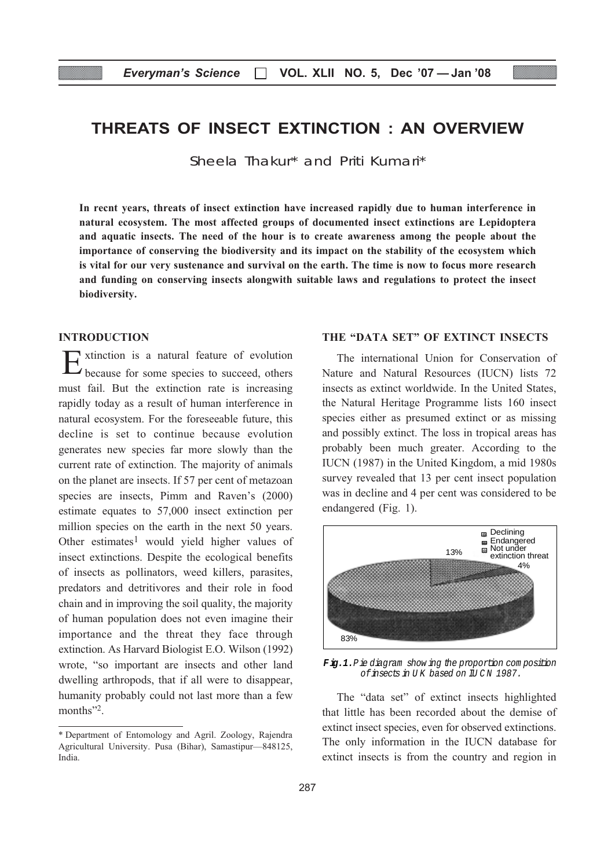## THREATS OF INSECT EXTINCTION : AN OVERVIEW

Sheela Thakur\* and Priti Kumari\*

In recnt years, threats of insect extinction have increased rapidly due to human interference in natural ecosystem. The most affected groups of documented insect extinctions are Lepidoptera and aquatic insects. The need of the hour is to create awareness among the people about the importance of conserving the biodiversity and its impact on the stability of the ecosystem which is vital for our very sustenance and survival on the earth. The time is now to focus more research and funding on conserving insects alongwith suitable laws and regulations to protect the insect biodiversity.

#### INTRODUCTION

Extinction is a natural feature of evolution because for some species to succeed, others must fail. But the extinction rate is increasing rapidly today as a result of human interference in natural ecosystem. For the foreseeable future, this decline is set to continue because evolution generates new species far more slowly than the current rate of extinction. The majority of animals on the planet are insects. If 57 per cent of metazoan species are insects, Pimm and Raven's (2000) estimate equates to 57,000 insect extinction per million species on the earth in the next 50 years. Other estimates<sup>1</sup> would yield higher values of insect extinctions. Despite the ecological benefits of insects as pollinators, weed killers, parasites, predators and detritivores and their role in food chain and in improving the soil quality, the majority of human population does not even imagine their importance and the threat they face through extinction. As Harvard Biologist E.O. Wilson (1992) wrote, "so important are insects and other land dwelling arthropods, that if all were to disappear, humanity probably could not last more than a few months"<sup>2</sup>.

#### THE "DATA SET" OF EXTINCT INSECTS

The international Union for Conservation of Nature and Natural Resources (IUCN) lists 72 insects as extinct worldwide. In the United States, the Natural Heritage Programme lists 160 insect species either as presumed extinct or as missing and possibly extinct. The loss in tropical areas has probably been much greater. According to the IUCN (1987) in the United Kingdom, a mid 1980s survey revealed that 13 per cent insect population was in decline and 4 per cent was considered to be endangered (Fig. 1).



**F ig.1.**P ie diagram show ing the proportion com position of insects in UK based on IU CN 1987.

The "data set" of extinct insects highlighted that little has been recorded about the demise of extinct insect species, even for observed extinctions. The only information in the IUCN database for extinct insects is from the country and region in

<sup>\*</sup> Department of Entomology and Agril. Zoology, Rajendra Agricultural University. Pusa (Bihar), Samastipur—848125, India.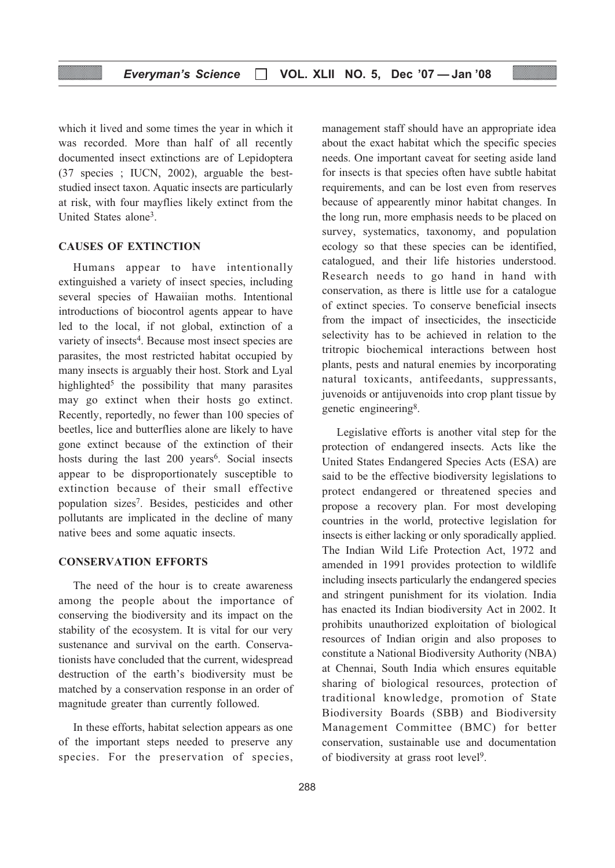which it lived and some times the year in which it was recorded. More than half of all recently documented insect extinctions are of Lepidoptera (37 species ; IUCN, 2002), arguable the beststudied insect taxon. Aquatic insects are particularly at risk, with four mayflies likely extinct from the United States alone3.

#### CAUSES OF EXTINCTION

Humans appear to have intentionally extinguished a variety of insect species, including several species of Hawaiian moths. Intentional introductions of biocontrol agents appear to have led to the local, if not global, extinction of a variety of insects<sup>4</sup>. Because most insect species are parasites, the most restricted habitat occupied by many insects is arguably their host. Stork and Lyal highlighted<sup>5</sup> the possibility that many parasites may go extinct when their hosts go extinct. Recently, reportedly, no fewer than 100 species of beetles, lice and butterflies alone are likely to have gone extinct because of the extinction of their hosts during the last 200 years<sup>6</sup>. Social insects appear to be disproportionately susceptible to extinction because of their small effective population sizes7. Besides, pesticides and other pollutants are implicated in the decline of many native bees and some aquatic insects.

#### CONSERVATION EFFORTS

The need of the hour is to create awareness among the people about the importance of conserving the biodiversity and its impact on the stability of the ecosystem. It is vital for our very sustenance and survival on the earth. Conservationists have concluded that the current, widespread destruction of the earth's biodiversity must be matched by a conservation response in an order of magnitude greater than currently followed.

In these efforts, habitat selection appears as one of the important steps needed to preserve any species. For the preservation of species, management staff should have an appropriate idea about the exact habitat which the specific species needs. One important caveat for seeting aside land for insects is that species often have subtle habitat requirements, and can be lost even from reserves because of appearently minor habitat changes. In the long run, more emphasis needs to be placed on survey, systematics, taxonomy, and population ecology so that these species can be identified, catalogued, and their life histories understood. Research needs to go hand in hand with conservation, as there is little use for a catalogue of extinct species. To conserve beneficial insects from the impact of insecticides, the insecticide selectivity has to be achieved in relation to the tritropic biochemical interactions between host plants, pests and natural enemies by incorporating natural toxicants, antifeedants, suppressants, juvenoids or antijuvenoids into crop plant tissue by genetic engineering8.

Legislative efforts is another vital step for the protection of endangered insects. Acts like the United States Endangered Species Acts (ESA) are said to be the effective biodiversity legislations to protect endangered or threatened species and propose a recovery plan. For most developing countries in the world, protective legislation for insects is either lacking or only sporadically applied. The Indian Wild Life Protection Act, 1972 and amended in 1991 provides protection to wildlife including insects particularly the endangered species and stringent punishment for its violation. India has enacted its Indian biodiversity Act in 2002. It prohibits unauthorized exploitation of biological resources of Indian origin and also proposes to constitute a National Biodiversity Authority (NBA) at Chennai, South India which ensures equitable sharing of biological resources, protection of traditional knowledge, promotion of State Biodiversity Boards (SBB) and Biodiversity Management Committee (BMC) for better conservation, sustainable use and documentation of biodiversity at grass root level9.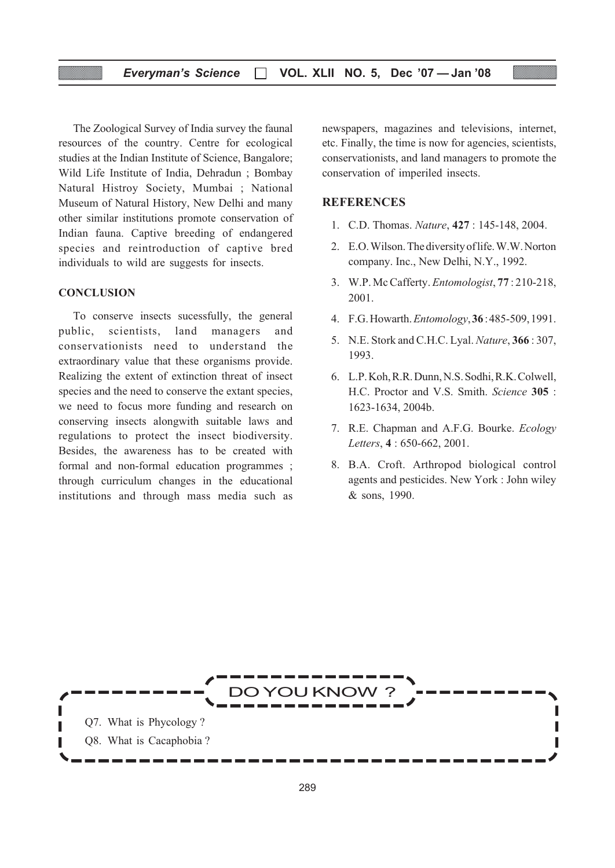#### Everyman's Science  $\Box$  VOL. XLII NO. 5, Dec '07 - Jan '08

The Zoological Survey of India survey the faunal resources of the country. Centre for ecological studies at the Indian Institute of Science, Bangalore; Wild Life Institute of India, Dehradun ; Bombay Natural Histroy Society, Mumbai ; National Museum of Natural History, New Delhi and many other similar institutions promote conservation of Indian fauna. Captive breeding of endangered species and reintroduction of captive bred individuals to wild are suggests for insects.

#### **CONCLUSION**

To conserve insects sucessfully, the general public, scientists, land managers and conservationists need to understand the extraordinary value that these organisms provide. Realizing the extent of extinction threat of insect species and the need to conserve the extant species, we need to focus more funding and research on conserving insects alongwith suitable laws and regulations to protect the insect biodiversity. Besides, the awareness has to be created with formal and non-formal education programmes ; through curriculum changes in the educational institutions and through mass media such as

newspapers, magazines and televisions, internet, etc. Finally, the time is now for agencies, scientists, conservationists, and land managers to promote the conservation of imperiled insects.

#### **REFERENCES**

- 1. C.D. Thomas. Nature, 427 : 145-148, 2004.
- 2. E.O. Wilson. The diversity of life. W.W. Norton company. Inc., New Delhi, N.Y., 1992.
- 3. W.P. Mc Cafferty. Entomologist, 77 : 210-218, 2001.
- 4. F.G. Howarth. Entomology, 36 : 485-509, 1991.
- 5. N.E. Stork and C.H.C. Lyal. Nature, 366 : 307, 1993.
- 6. L.P. Koh, R.R. Dunn, N.S. Sodhi, R.K. Colwell, H.C. Proctor and V.S. Smith. Science 305 : 1623-1634, 2004b.
- 7. R.E. Chapman and A.F.G. Bourke. Ecology Letters, 4 : 650-662, 2001.
- 8. B.A. Croft. Arthropod biological control agents and pesticides. New York : John wiley & sons, 1990.

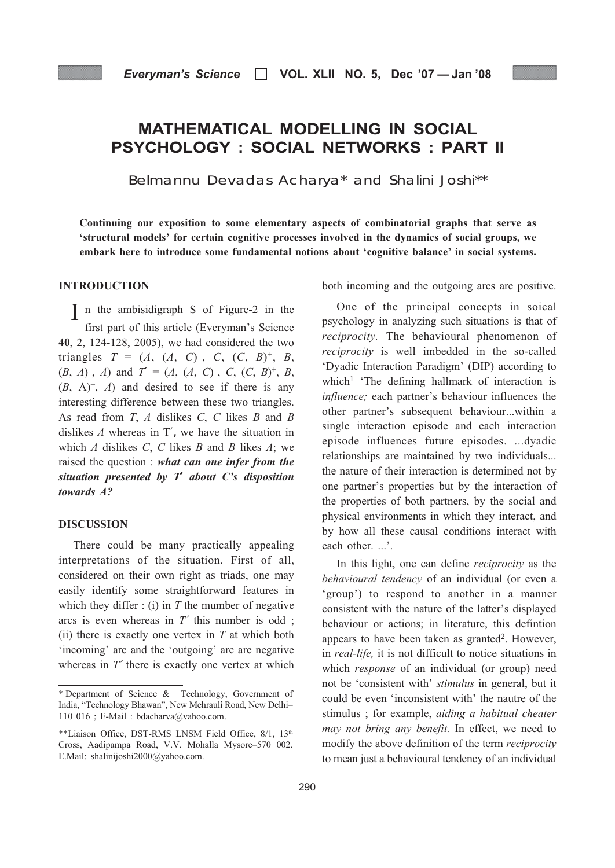## MATHEMATICAL MODELLING IN SOCIAL PSYCHOLOGY : SOCIAL NETWORKS : PART II

Belmannu Devadas Acharya\* and Shalini Joshi\*\*

Continuing our exposition to some elementary aspects of combinatorial graphs that serve as 'structural models' for certain cognitive processes involved in the dynamics of social groups, we embark here to introduce some fundamental notions about 'cognitive balance' in social systems.

#### INTRODUCTION

I n the ambisidigraph S of Figure-2 in the first part of this article (Everyman's Science 40, 2, 124-128, 2005), we had considered the two triangles  $T = (A, (A, C)^{-}, C, (C, B)^{+}, B,$  $(B, A)^{-}$ , A) and  $T' = (A, (A, C)^{-}$ , C,  $(C, B)^{+}$ , B,  $(B, A)^{+}$ , A) and desired to see if there is any interesting difference between these two triangles. As read from  $T$ ,  $A$  dislikes  $C$ ,  $C$  likes  $B$  and  $B$ dislikes  $A$  whereas in T', we have the situation in which  $A$  dislikes  $C$ ,  $C$  likes  $B$  and  $B$  likes  $A$ ; we raised the question : what can one infer from the situation presented by  $T'$  about  $C'$ s disposition towards A?

#### DISCUSSION

There could be many practically appealing interpretations of the situation. First of all, considered on their own right as triads, one may easily identify some straightforward features in which they differ : (i) in  $T$  the mumber of negative arcs is even whereas in  $T'$  this number is odd; (ii) there is exactly one vertex in  $T$  at which both 'incoming' arc and the 'outgoing' arc are negative whereas in  $T'$  there is exactly one vertex at which both incoming and the outgoing arcs are positive.

One of the principal concepts in soical psychology in analyzing such situations is that of reciprocity. The behavioural phenomenon of reciprocity is well imbedded in the so-called 'Dyadic Interaction Paradigm' (DIP) according to which<sup>1</sup> 'The defining hallmark of interaction is influence; each partner's behaviour influences the other partner's subsequent behaviour...within a single interaction episode and each interaction episode influences future episodes. ...dyadic relationships are maintained by two individuals... the nature of their interaction is determined not by one partner's properties but by the interaction of the properties of both partners, by the social and physical environments in which they interact, and by how all these causal conditions interact with each other. ...'.

In this light, one can define *reciprocity* as the behavioural tendency of an individual (or even a 'group') to respond to another in a manner consistent with the nature of the latter's displayed behaviour or actions; in literature, this defintion appears to have been taken as granted<sup>2</sup>. However, in real-life, it is not difficult to notice situations in which *response* of an individual (or group) need not be 'consistent with' stimulus in general, but it could be even 'inconsistent with' the nautre of the stimulus ; for example, aiding a habitual cheater may not bring any benefit. In effect, we need to modify the above definition of the term reciprocity to mean just a behavioural tendency of an individual

<sup>\*</sup> Department of Science & Technology, Government of India, "Technology Bhawan", New Mehrauli Road, New Delhi– 110 016 ; E-Mail : bdacharva@vahoo.com.

<sup>\*\*</sup>Liaison Office, DST-RMS LNSM Field Office, 8/1, 13th Cross, Aadipampa Road, V.V. Mohalla Mysore–570 002. E.Mail: shalinijoshi2000@yahoo.com.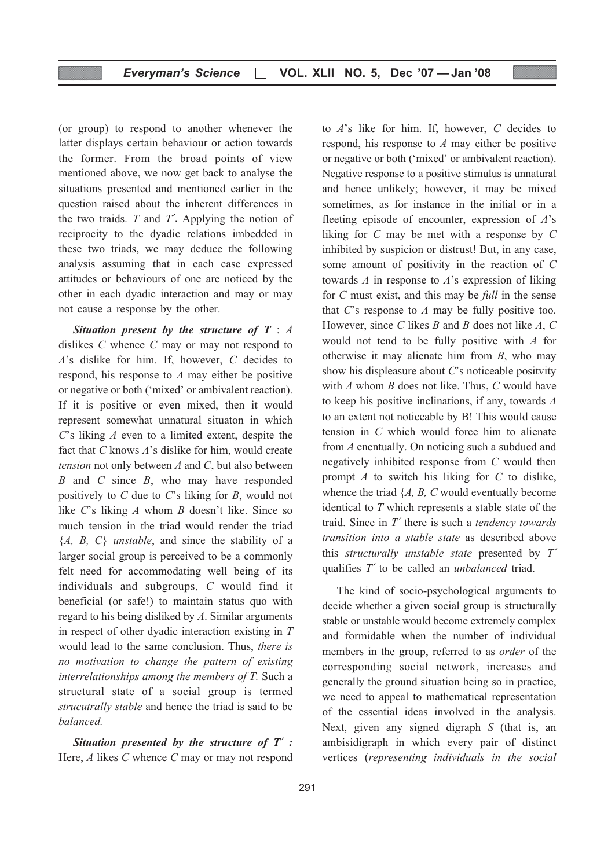(or group) to respond to another whenever the latter displays certain behaviour or action towards the former. From the broad points of view mentioned above, we now get back to analyse the situations presented and mentioned earlier in the question raised about the inherent differences in the two traids.  $T$  and  $T'$ . Applying the notion of reciprocity to the dyadic relations imbedded in these two triads, we may deduce the following analysis assuming that in each case expressed attitudes or behaviours of one are noticed by the other in each dyadic interaction and may or may not cause a response by the other.

Situation present by the structure of  $T : A$ dislikes C whence C may or may not respond to A's dislike for him. If, however, C decides to respond, his response to A may either be positive or negative or both ('mixed' or ambivalent reaction). If it is positive or even mixed, then it would represent somewhat unnatural situaton in which C's liking A even to a limited extent, despite the fact that  $C$  knows  $A$ 's dislike for him, would create tension not only between  $A$  and  $C$ , but also between  $B$  and  $C$  since  $B$ , who may have responded positively to  $C$  due to  $C$ 's liking for  $B$ , would not like C's liking A whom B doesn't like. Since so much tension in the triad would render the triad  ${A, B, C}$  *unstable*, and since the stability of a larger social group is perceived to be a commonly felt need for accommodating well being of its individuals and subgroups, C would find it beneficial (or safe!) to maintain status quo with regard to his being disliked by A. Similar arguments in respect of other dyadic interaction existing in T would lead to the same conclusion. Thus, there is no motivation to change the pattern of existing interrelationships among the members of T. Such a structural state of a social group is termed strucutrally stable and hence the triad is said to be balanced.

Situation presented by the structure of  $T'$ : Here, A likes C whence C may or may not respond

to A's like for him. If, however, C decides to respond, his response to A may either be positive or negative or both ('mixed' or ambivalent reaction). Negative response to a positive stimulus is unnatural and hence unlikely; however, it may be mixed sometimes, as for instance in the initial or in a fleeting episode of encounter, expression of  $A$ 's liking for C may be met with a response by C inhibited by suspicion or distrust! But, in any case, some amount of positivity in the reaction of C towards  $A$  in response to  $A$ 's expression of liking for C must exist, and this may be full in the sense that  $C$ 's response to  $A$  may be fully positive too. However, since C likes  $B$  and  $B$  does not like  $A, C$ would not tend to be fully positive with A for otherwise it may alienate him from B, who may show his displeasure about C's noticeable positvity with  $A$  whom  $B$  does not like. Thus,  $C$  would have to keep his positive inclinations, if any, towards A to an extent not noticeable by B! This would cause tension in C which would force him to alienate from A enentually. On noticing such a subdued and negatively inhibited response from C would then prompt  $A$  to switch his liking for  $C$  to dislike, whence the triad  $\{A, B, C \}$  would eventually become identical to T which represents a stable state of the traid. Since in  $T'$  there is such a *tendency towards* transition into a stable state as described above this structurally unstable state presented by T′ qualifies T′ to be called an unbalanced triad.

The kind of socio-psychological arguments to decide whether a given social group is structurally stable or unstable would become extremely complex and formidable when the number of individual members in the group, referred to as order of the corresponding social network, increases and generally the ground situation being so in practice, we need to appeal to mathematical representation of the essential ideas involved in the analysis. Next, given any signed digraph S (that is, an ambisidigraph in which every pair of distinct vertices (representing individuals in the social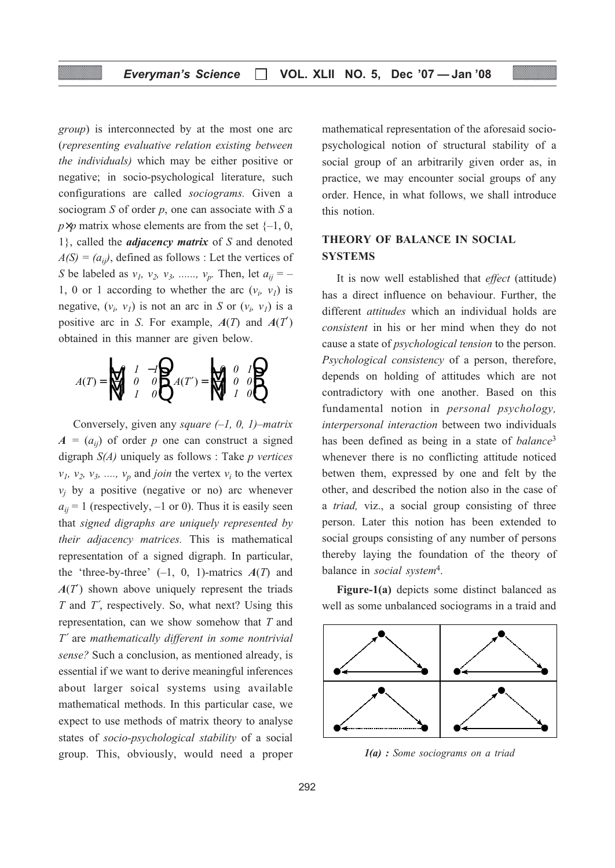group) is interconnected by at the most one arc (representing evaluative relation existing between the individuals) which may be either positive or negative; in socio-psychological literature, such configurations are called sociograms. Given a sociogram  $S$  of order  $p$ , one can associate with  $S$  a  $p \times p$  matrix whose elements are from the set  $\{-1, 0, \}$ 1}, called the *adjacency matrix* of  $S$  and denoted  $A(S) = (a_{ii})$ , defined as follows : Let the vertices of S be labeled as  $v_1$ ,  $v_2$ ,  $v_3$ , ......,  $v_p$ . Then, let  $a_{ij}$  = – 1, 0 or 1 according to whether the arc  $(v_i, v_j)$  is negative,  $(v_i, v_j)$  is not an arc in S or  $(v_i, v_j)$  is a positive arc in S. For example,  $A(T)$  and  $A(T')$ obtained in this manner are given below.

 $A(T) = \mathbf{M} \cdot I \quad 0 \quad 0 \quad A(T')$ −  $\begin{bmatrix} -1 & 0 & 0 \\ 0 & 1 & 0 \end{bmatrix}$   $A(T') = \begin{bmatrix} 0 & 0 \\ 0 & 1 \end{bmatrix}$ L N M M O  $\mathfrak l$ **P**<br>P L N M M (b  $\mathfrak l$ **P**<br>P P  $0 \quad 1 \quad -1$  $1 \quad 0 \quad 0$  $0 \quad 1 \quad 0$  $0 \quad 0 \quad 1$  $1 \quad 0 \quad 0$  $0 \quad 1 \quad 0$ 

Conversely, given any *square*  $(-1, 0, 1)$ –matrix  $A = (a_{ij})$  of order p one can construct a signed digraph  $S(A)$  uniquely as follows : Take *p vertices*  $v_1$ ,  $v_2$ ,  $v_3$ , ...,  $v_p$  and *join* the vertex  $v_i$  to the vertex  $v_i$  by a positive (negative or no) arc whenever  $a_{ii} = 1$  (respectively,  $-1$  or 0). Thus it is easily seen that signed digraphs are uniquely represented by their adjacency matrices. This is mathematical representation of a signed digraph. In particular, the 'three-by-three'  $(-1, 0, 1)$ -matrics  $A(T)$  and  $A(T)$  shown above uniquely represent the triads  $T$  and  $T'$ , respectively. So, what next? Using this representation, can we show somehow that T and T′ are mathematically different in some nontrivial sense? Such a conclusion, as mentioned already, is essential if we want to derive meaningful inferences about larger soical systems using available mathematical methods. In this particular case, we expect to use methods of matrix theory to analyse states of socio-psychological stability of a social group. This, obviously, would need a proper mathematical representation of the aforesaid sociopsychological notion of structural stability of a social group of an arbitrarily given order as, in practice, we may encounter social groups of any order. Hence, in what follows, we shall introduce this notion.

### THEORY OF BALANCE IN SOCIAL **SYSTEMS**

It is now well established that effect (attitude) has a direct influence on behaviour. Further, the different *attitudes* which an individual holds are consistent in his or her mind when they do not cause a state of psychological tension to the person. Psychological consistency of a person, therefore, depends on holding of attitudes which are not contradictory with one another. Based on this fundamental notion in personal psychology, interpersonal interaction between two individuals has been defined as being in a state of *balance*<sup>3</sup> whenever there is no conflicting attitude noticed betwen them, expressed by one and felt by the other, and described the notion also in the case of a triad, viz., a social group consisting of three person. Later this notion has been extended to social groups consisting of any number of persons thereby laying the foundation of the theory of balance in *social* system<sup>4</sup>.

Figure-1(a) depicts some distinct balanced as well as some unbalanced sociograms in a traid and



1(a) : Some sociograms on a triad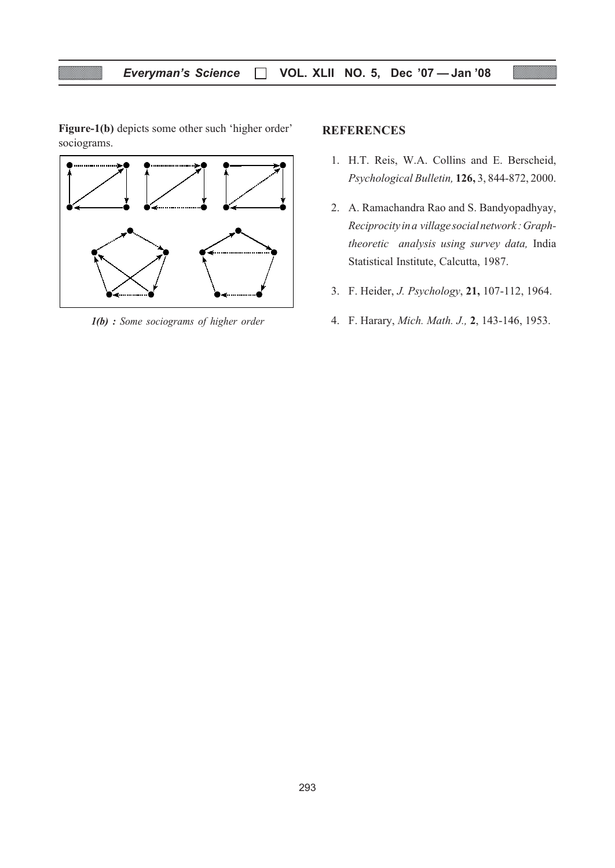Figure-1(b) depicts some other such 'higher order' sociograms.



#### **REFERENCES**

- 1. H.T. Reis, W.A. Collins and E. Berscheid, Psychological Bulletin, 126, 3, 844-872, 2000.
- 2. A. Ramachandra Rao and S. Bandyopadhyay, Reciprocity in a village social network : Graphtheoretic analysis using survey data, India Statistical Institute, Calcutta, 1987.
- 3. F. Heider, J. Psychology, 21, 107-112, 1964.
- $1(b)$ : Some sociograms of higher order 4. F. Harary, Mich. Math. J., 2, 143-146, 1953.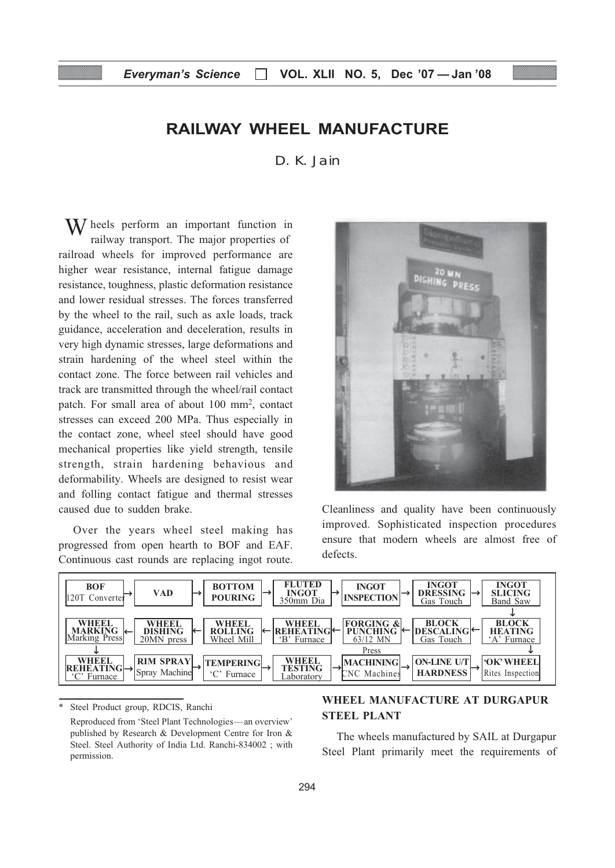## RAILWAY WHEEL MANUFACTURE

D. K. Jain

W heels perform an important function in railway transport. The major properties of railroad wheels for improved performance are higher wear resistance, internal fatigue damage resistance, toughness, plastic deformation resistance and lower residual stresses. The forces transferred by the wheel to the rail, such as axle loads, track guidance, acceleration and deceleration, results in very high dynamic stresses, large deformations and strain hardening of the wheel steel within the contact zone. The force between rail vehicles and track are transmitted through the wheel/rail contact patch. For small area of about 100 mm2, contact stresses can exceed 200 MPa. Thus especially in the contact zone, wheel steel should have good mechanical properties like yield strength, tensile strength, strain hardening behavious and deformability. Wheels are designed to resist wear and folling contact fatigue and thermal stresses caused due to sudden brake.

Over the years wheel steel making has progressed from open hearth to BOF and EAF. Continuous cast rounds are replacing ingot route.



Cleanliness and quality have been continuously improved. Sophisticated inspection procedures ensure that modern wheels are almost free of defects.



Steel Product group, RDCIS, Ranchi Reproduced from 'Steel Plant Technologies—an overview' published by Research & Development Centre for Iron & Steel. Steel Authority of India Ltd. Ranchi-834002 ; with permission.

#### WHEEL MANUFACTURE AT DURGAPUR STEEL PLANT

The wheels manufactured by SAIL at Durgapur Steel Plant primarily meet the requirements of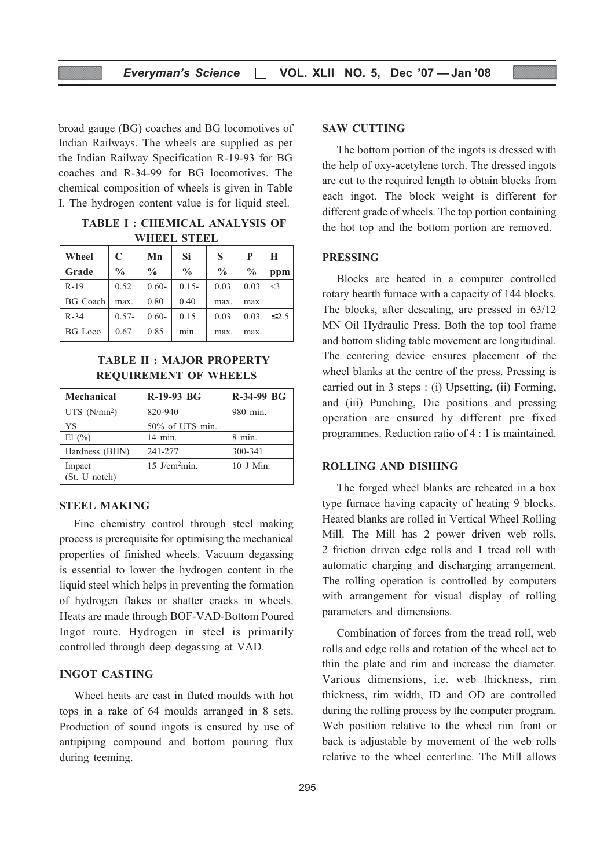broad gauge (BG) coaches and BG locomotives of Indian Railways. The wheels are supplied as per the Indian Railway Specification R-19-93 for BG coaches and R-34-99 for BG locomotives. The chemical composition of wheels is given in Table I. The hydrogen content value is for liquid steel.

TABLE I : CHEMICAL ANALYSIS OF WHEEL STEEL

| Wheel           | C             | Mn            | Si            | S             | P             | H          |
|-----------------|---------------|---------------|---------------|---------------|---------------|------------|
| Grade           | $\frac{0}{0}$ | $\frac{0}{0}$ | $\frac{0}{0}$ | $\frac{0}{0}$ | $\frac{0}{0}$ | ppm        |
| $R-19$          | 0.52          | $0.60 -$      | $0.15 -$      | 0.03          | 0.03          | $\leq$ 3   |
| <b>BG</b> Coach | max.          | 0.80          | 0.40          | max.          | max.          |            |
| $R-34$          | $0.57 -$      | $0.60 -$      | 0.15          | 0.03          | 0.03          | $\leq 2.5$ |
| <b>BG</b> Loco  | 0.67          | 0.85          | mın.          | max.          | max.          |            |

#### TABLE II : MAJOR PROPERTY REQUIREMENT OF WHEELS

| <b>Mechanical</b>       | R-19-93 BG                | R-34-99 BG |
|-------------------------|---------------------------|------------|
| UTS $(N/mm^2)$          | 820-940                   | 980 min.   |
| YS                      | 50% of UTS min.           |            |
| El (%)                  | 14 min.                   | $8$ min.   |
| Hardness (BHN)          | 241-277                   | 300-341    |
| Impact<br>(St. U notch) | 15 J/cm <sup>2</sup> min. | 10 J Min.  |

#### STEEL MAKING

Fine chemistry control through steel making process is prerequisite for optimising the mechanical properties of finished wheels. Vacuum degassing is essential to lower the hydrogen content in the liquid steel which helps in preventing the formation of hydrogen flakes or shatter cracks in wheels. Heats are made through BOF-VAD-Bottom Poured Ingot route. Hydrogen in steel is primarily controlled through deep degassing at VAD.

#### INGOT CASTING

Wheel heats are cast in fluted moulds with hot tops in a rake of 64 moulds arranged in 8 sets. Production of sound ingots is ensured by use of antipiping compound and bottom pouring flux during teeming.

#### SAW CUTTING

The bottom portion of the ingots is dressed with the help of oxy-acetylene torch. The dressed ingots are cut to the required length to obtain blocks from each ingot. The block weight is different for different grade of wheels. The top portion containing the hot top and the bottom portion are removed.

#### PRESSING

Blocks are heated in a computer controlled rotary hearth furnace with a capacity of 144 blocks. The blocks, after descaling, are pressed in 63/12 MN Oil Hydraulic Press. Both the top tool frame and bottom sliding table movement are longitudinal. The centering device ensures placement of the wheel blanks at the centre of the press. Pressing is carried out in 3 steps : (i) Upsetting, (ii) Forming, and (iii) Punching, Die positions and pressing operation are ensured by different pre fixed programmes. Reduction ratio of 4 : 1 is maintained.

#### ROLLING AND DISHING

The forged wheel blanks are reheated in a box type furnace having capacity of heating 9 blocks. Heated blanks are rolled in Vertical Wheel Rolling Mill. The Mill has 2 power driven web rolls, 2 friction driven edge rolls and 1 tread roll with automatic charging and discharging arrangement. The rolling operation is controlled by computers with arrangement for visual display of rolling parameters and dimensions.

Combination of forces from the tread roll, web rolls and edge rolls and rotation of the wheel act to thin the plate and rim and increase the diameter. Various dimensions, i.e. web thickness, rim thickness, rim width, ID and OD are controlled during the rolling process by the computer program. Web position relative to the wheel rim front or back is adjustable by movement of the web rolls relative to the wheel centerline. The Mill allows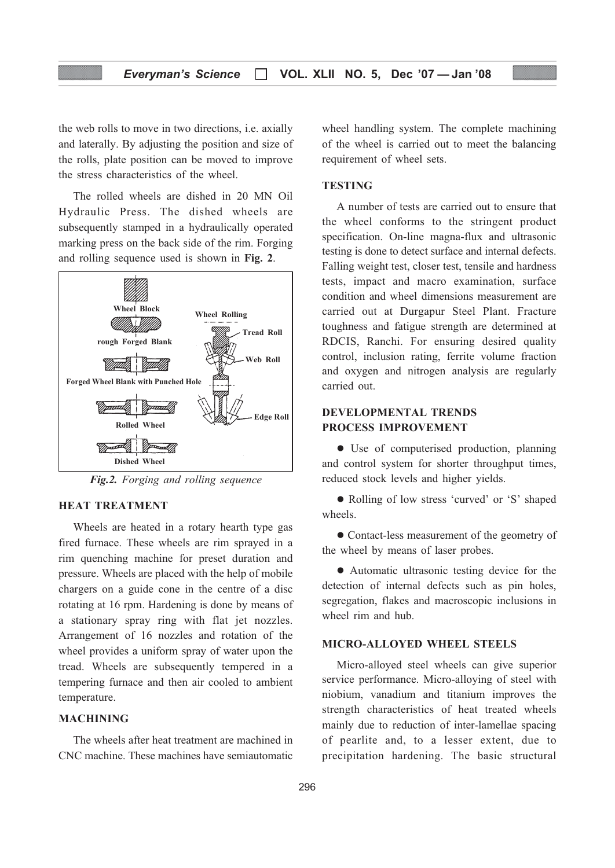#### Everyman's Science  $\Box$  VOL. XLII NO. 5, Dec '07 - Jan '08

the web rolls to move in two directions, i.e. axially and laterally. By adjusting the position and size of the rolls, plate position can be moved to improve the stress characteristics of the wheel.

The rolled wheels are dished in 20 MN Oil Hydraulic Press. The dished wheels are subsequently stamped in a hydraulically operated marking press on the back side of the rim. Forging and rolling sequence used is shown in Fig. 2.



Fig.2. Forging and rolling sequence

#### HEAT TREATMENT

Wheels are heated in a rotary hearth type gas fired furnace. These wheels are rim sprayed in a rim quenching machine for preset duration and pressure. Wheels are placed with the help of mobile chargers on a guide cone in the centre of a disc rotating at 16 rpm. Hardening is done by means of a stationary spray ring with flat jet nozzles. Arrangement of 16 nozzles and rotation of the wheel provides a uniform spray of water upon the tread. Wheels are subsequently tempered in a tempering furnace and then air cooled to ambient temperature.

#### MACHINING

The wheels after heat treatment are machined in CNC machine. These machines have semiautomatic

wheel handling system. The complete machining of the wheel is carried out to meet the balancing requirement of wheel sets.

#### **TESTING**

A number of tests are carried out to ensure that the wheel conforms to the stringent product specification. On-line magna-flux and ultrasonic testing is done to detect surface and internal defects. Falling weight test, closer test, tensile and hardness tests, impact and macro examination, surface condition and wheel dimensions measurement are carried out at Durgapur Steel Plant. Fracture toughness and fatigue strength are determined at RDCIS, Ranchi. For ensuring desired quality control, inclusion rating, ferrite volume fraction and oxygen and nitrogen analysis are regularly carried out.

### DEVELOPMENTAL TRENDS PROCESS IMPROVEMENT

• Use of computerised production, planning and control system for shorter throughput times, reduced stock levels and higher yields.

• Rolling of low stress 'curved' or 'S' shaped wheels.

• Contact-less measurement of the geometry of the wheel by means of laser probes.

• Automatic ultrasonic testing device for the detection of internal defects such as pin holes, segregation, flakes and macroscopic inclusions in wheel rim and hub.

#### MICRO-ALLOYED WHEEL STEELS

Micro-alloyed steel wheels can give superior service performance. Micro-alloying of steel with niobium, vanadium and titanium improves the strength characteristics of heat treated wheels mainly due to reduction of inter-lamellae spacing of pearlite and, to a lesser extent, due to precipitation hardening. The basic structural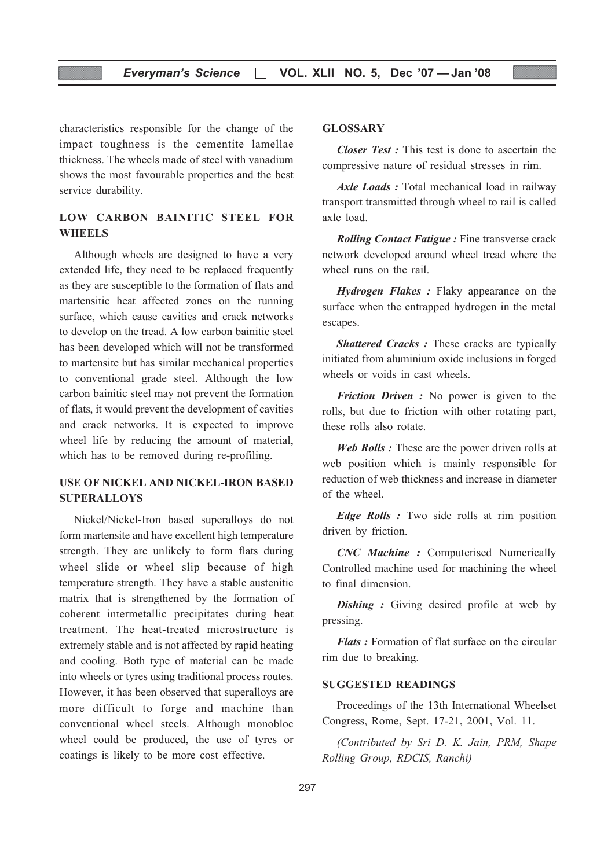characteristics responsible for the change of the impact toughness is the cementite lamellae thickness. The wheels made of steel with vanadium shows the most favourable properties and the best service durability.

### LOW CARBON BAINITIC STEEL FOR **WHEELS**

Although wheels are designed to have a very extended life, they need to be replaced frequently as they are susceptible to the formation of flats and martensitic heat affected zones on the running surface, which cause cavities and crack networks to develop on the tread. A low carbon bainitic steel has been developed which will not be transformed to martensite but has similar mechanical properties to conventional grade steel. Although the low carbon bainitic steel may not prevent the formation of flats, it would prevent the development of cavities and crack networks. It is expected to improve wheel life by reducing the amount of material, which has to be removed during re-profiling.

#### USE OF NICKEL AND NICKEL-IRON BASED **SUPERALLOYS**

Nickel/Nickel-Iron based superalloys do not form martensite and have excellent high temperature strength. They are unlikely to form flats during wheel slide or wheel slip because of high temperature strength. They have a stable austenitic matrix that is strengthened by the formation of coherent intermetallic precipitates during heat treatment. The heat-treated microstructure is extremely stable and is not affected by rapid heating and cooling. Both type of material can be made into wheels or tyres using traditional process routes. However, it has been observed that superalloys are more difficult to forge and machine than conventional wheel steels. Although monobloc wheel could be produced, the use of tyres or coatings is likely to be more cost effective.

#### GLOSSARY

Closer Test : This test is done to ascertain the compressive nature of residual stresses in rim.

Axle Loads : Total mechanical load in railway transport transmitted through wheel to rail is called axle load.

**Rolling Contact Fatigue : Fine transverse crack** network developed around wheel tread where the wheel runs on the rail.

Hydrogen Flakes: Flaky appearance on the surface when the entrapped hydrogen in the metal escapes.

**Shattered Cracks : These cracks are typically** initiated from aluminium oxide inclusions in forged wheels or voids in cast wheels.

Friction Driven : No power is given to the rolls, but due to friction with other rotating part, these rolls also rotate.

Web Rolls : These are the power driven rolls at web position which is mainly responsible for reduction of web thickness and increase in diameter of the wheel.

**Edge Rolls**: Two side rolls at rim position driven by friction.

CNC Machine : Computerised Numerically Controlled machine used for machining the wheel to final dimension.

**Dishing**: Giving desired profile at web by pressing.

Flats : Formation of flat surface on the circular rim due to breaking.

#### SUGGESTED READINGS

Proceedings of the 13th International Wheelset Congress, Rome, Sept. 17-21, 2001, Vol. 11.

(Contributed by Sri D. K. Jain, PRM, Shape Rolling Group, RDCIS, Ranchi)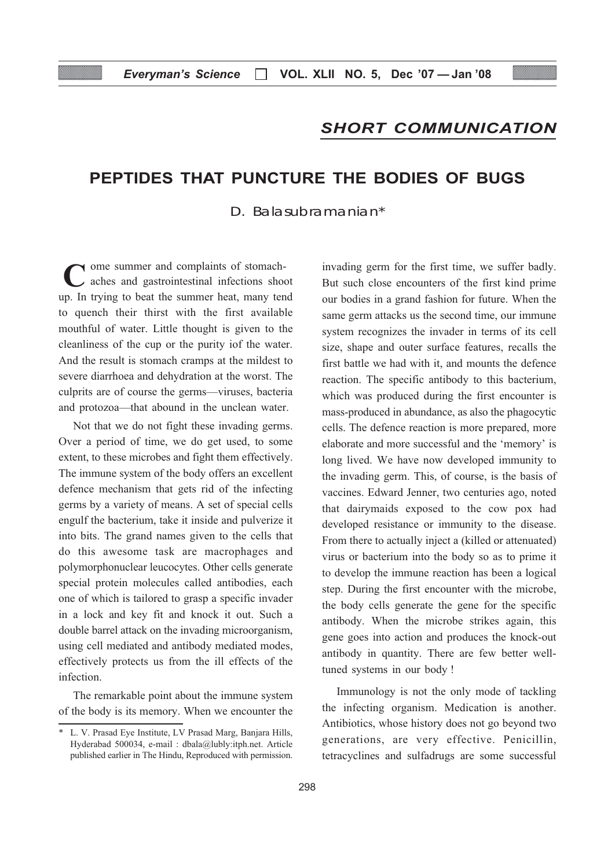## SHORT COMMUNICATION

## PEPTIDES THAT PUNCTURE THE BODIES OF BUGS

D. Balasubramanian\*

ome summer and complaints of stomachaches and gastrointestinal infections shoot up. In trying to beat the summer heat, many tend to quench their thirst with the first available mouthful of water. Little thought is given to the cleanliness of the cup or the purity iof the water. And the result is stomach cramps at the mildest to severe diarrhoea and dehydration at the worst. The culprits are of course the germs—viruses, bacteria and protozoa—that abound in the unclean water. C

Not that we do not fight these invading germs. Over a period of time, we do get used, to some extent, to these microbes and fight them effectively. The immune system of the body offers an excellent defence mechanism that gets rid of the infecting germs by a variety of means. A set of special cells engulf the bacterium, take it inside and pulverize it into bits. The grand names given to the cells that do this awesome task are macrophages and polymorphonuclear leucocytes. Other cells generate special protein molecules called antibodies, each one of which is tailored to grasp a specific invader in a lock and key fit and knock it out. Such a double barrel attack on the invading microorganism, using cell mediated and antibody mediated modes, effectively protects us from the ill effects of the infection.

The remarkable point about the immune system of the body is its memory. When we encounter the

invading germ for the first time, we suffer badly. But such close encounters of the first kind prime our bodies in a grand fashion for future. When the same germ attacks us the second time, our immune system recognizes the invader in terms of its cell size, shape and outer surface features, recalls the first battle we had with it, and mounts the defence reaction. The specific antibody to this bacterium, which was produced during the first encounter is mass-produced in abundance, as also the phagocytic cells. The defence reaction is more prepared, more elaborate and more successful and the 'memory' is long lived. We have now developed immunity to the invading germ. This, of course, is the basis of vaccines. Edward Jenner, two centuries ago, noted that dairymaids exposed to the cow pox had developed resistance or immunity to the disease. From there to actually inject a (killed or attenuated) virus or bacterium into the body so as to prime it to develop the immune reaction has been a logical step. During the first encounter with the microbe, the body cells generate the gene for the specific antibody. When the microbe strikes again, this gene goes into action and produces the knock-out antibody in quantity. There are few better welltuned systems in our body !

Immunology is not the only mode of tackling the infecting organism. Medication is another. Antibiotics, whose history does not go beyond two generations, are very effective. Penicillin, tetracyclines and sulfadrugs are some successful

<sup>\*</sup> L. V. Prasad Eye Institute, LV Prasad Marg, Banjara Hills, Hyderabad 500034, e-mail : dbala@lubly:itph.net. Article published earlier in The Hindu, Reproduced with permission.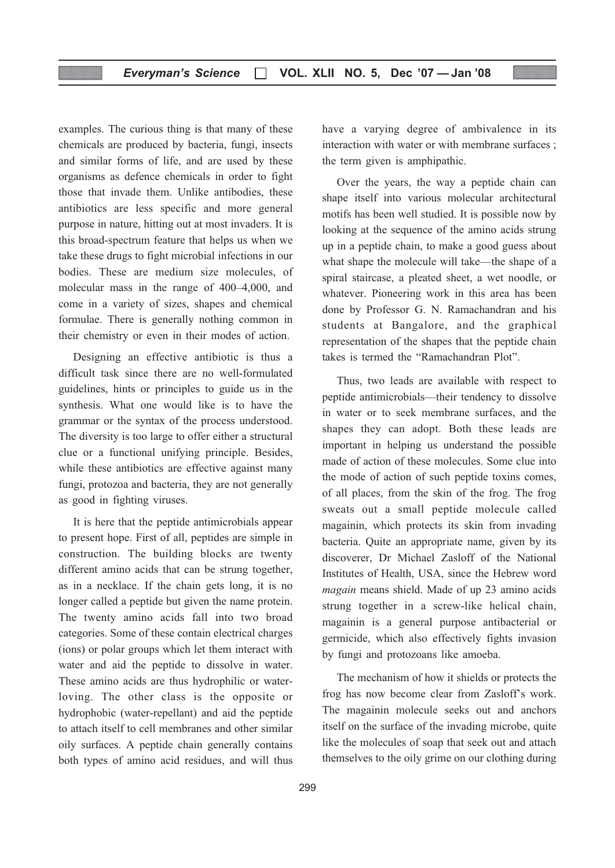examples. The curious thing is that many of these chemicals are produced by bacteria, fungi, insects and similar forms of life, and are used by these organisms as defence chemicals in order to fight those that invade them. Unlike antibodies, these antibiotics are less specific and more general purpose in nature, hitting out at most invaders. It is this broad-spectrum feature that helps us when we take these drugs to fight microbial infections in our bodies. These are medium size molecules, of molecular mass in the range of 400–4,000, and come in a variety of sizes, shapes and chemical formulae. There is generally nothing common in their chemistry or even in their modes of action.

Designing an effective antibiotic is thus a difficult task since there are no well-formulated guidelines, hints or principles to guide us in the synthesis. What one would like is to have the grammar or the syntax of the process understood. The diversity is too large to offer either a structural clue or a functional unifying principle. Besides, while these antibiotics are effective against many fungi, protozoa and bacteria, they are not generally as good in fighting viruses.

It is here that the peptide antimicrobials appear to present hope. First of all, peptides are simple in construction. The building blocks are twenty different amino acids that can be strung together, as in a necklace. If the chain gets long, it is no longer called a peptide but given the name protein. The twenty amino acids fall into two broad categories. Some of these contain electrical charges (ions) or polar groups which let them interact with water and aid the peptide to dissolve in water. These amino acids are thus hydrophilic or waterloving. The other class is the opposite or hydrophobic (water-repellant) and aid the peptide to attach itself to cell membranes and other similar oily surfaces. A peptide chain generally contains both types of amino acid residues, and will thus

have a varying degree of ambivalence in its interaction with water or with membrane surfaces ; the term given is amphipathic.

Over the years, the way a peptide chain can shape itself into various molecular architectural motifs has been well studied. It is possible now by looking at the sequence of the amino acids strung up in a peptide chain, to make a good guess about what shape the molecule will take—the shape of a spiral staircase, a pleated sheet, a wet noodle, or whatever. Pioneering work in this area has been done by Professor G. N. Ramachandran and his students at Bangalore, and the graphical representation of the shapes that the peptide chain takes is termed the "Ramachandran Plot".

Thus, two leads are available with respect to peptide antimicrobials—their tendency to dissolve in water or to seek membrane surfaces, and the shapes they can adopt. Both these leads are important in helping us understand the possible made of action of these molecules. Some clue into the mode of action of such peptide toxins comes, of all places, from the skin of the frog. The frog sweats out a small peptide molecule called magainin, which protects its skin from invading bacteria. Quite an appropriate name, given by its discoverer, Dr Michael Zasloff of the National Institutes of Health, USA, since the Hebrew word magain means shield. Made of up 23 amino acids strung together in a screw-like helical chain, magainin is a general purpose antibacterial or germicide, which also effectively fights invasion by fungi and protozoans like amoeba.

The mechanism of how it shields or protects the frog has now become clear from Zasloff's work. The magainin molecule seeks out and anchors itself on the surface of the invading microbe, quite like the molecules of soap that seek out and attach themselves to the oily grime on our clothing during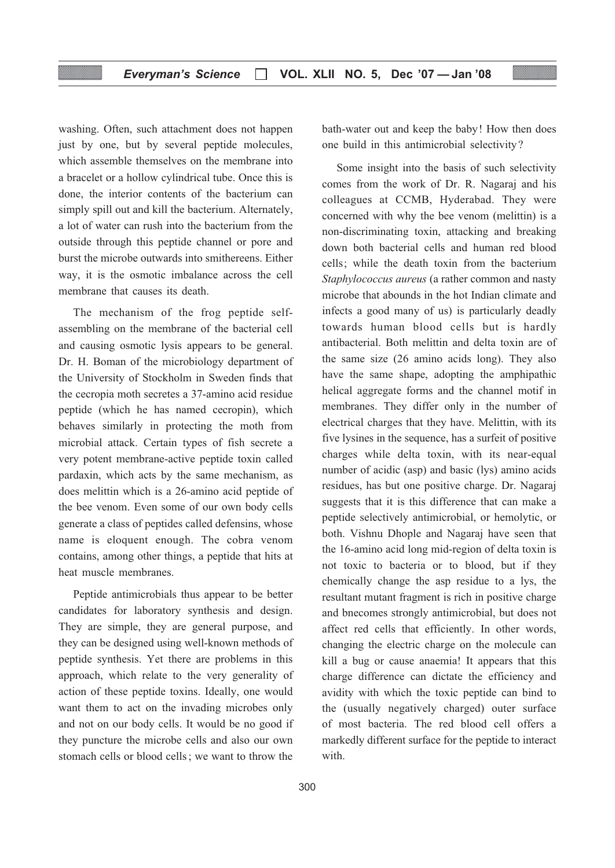washing. Often, such attachment does not happen just by one, but by several peptide molecules, which assemble themselves on the membrane into a bracelet or a hollow cylindrical tube. Once this is done, the interior contents of the bacterium can simply spill out and kill the bacterium. Alternately, a lot of water can rush into the bacterium from the outside through this peptide channel or pore and burst the microbe outwards into smithereens. Either way, it is the osmotic imbalance across the cell membrane that causes its death.

The mechanism of the frog peptide selfassembling on the membrane of the bacterial cell and causing osmotic lysis appears to be general. Dr. H. Boman of the microbiology department of the University of Stockholm in Sweden finds that the cecropia moth secretes a 37-amino acid residue peptide (which he has named cecropin), which behaves similarly in protecting the moth from microbial attack. Certain types of fish secrete a very potent membrane-active peptide toxin called pardaxin, which acts by the same mechanism, as does melittin which is a 26-amino acid peptide of the bee venom. Even some of our own body cells generate a class of peptides called defensins, whose name is eloquent enough. The cobra venom contains, among other things, a peptide that hits at heat muscle membranes.

Peptide antimicrobials thus appear to be better candidates for laboratory synthesis and design. They are simple, they are general purpose, and they can be designed using well-known methods of peptide synthesis. Yet there are problems in this approach, which relate to the very generality of action of these peptide toxins. Ideally, one would want them to act on the invading microbes only and not on our body cells. It would be no good if they puncture the microbe cells and also our own stomach cells or blood cells ; we want to throw the

bath-water out and keep the baby! How then does one build in this antimicrobial selectivity?

Some insight into the basis of such selectivity comes from the work of Dr. R. Nagaraj and his colleagues at CCMB, Hyderabad. They were concerned with why the bee venom (melittin) is a non-discriminating toxin, attacking and breaking down both bacterial cells and human red blood cells; while the death toxin from the bacterium Staphylococcus aureus (a rather common and nasty microbe that abounds in the hot Indian climate and infects a good many of us) is particularly deadly towards human blood cells but is hardly antibacterial. Both melittin and delta toxin are of the same size (26 amino acids long). They also have the same shape, adopting the amphipathic helical aggregate forms and the channel motif in membranes. They differ only in the number of electrical charges that they have. Melittin, with its five lysines in the sequence, has a surfeit of positive charges while delta toxin, with its near-equal number of acidic (asp) and basic (lys) amino acids residues, has but one positive charge. Dr. Nagaraj suggests that it is this difference that can make a peptide selectively antimicrobial, or hemolytic, or both. Vishnu Dhople and Nagaraj have seen that the 16-amino acid long mid-region of delta toxin is not toxic to bacteria or to blood, but if they chemically change the asp residue to a lys, the resultant mutant fragment is rich in positive charge and bnecomes strongly antimicrobial, but does not affect red cells that efficiently. In other words, changing the electric charge on the molecule can kill a bug or cause anaemia! It appears that this charge difference can dictate the efficiency and avidity with which the toxic peptide can bind to the (usually negatively charged) outer surface of most bacteria. The red blood cell offers a markedly different surface for the peptide to interact with.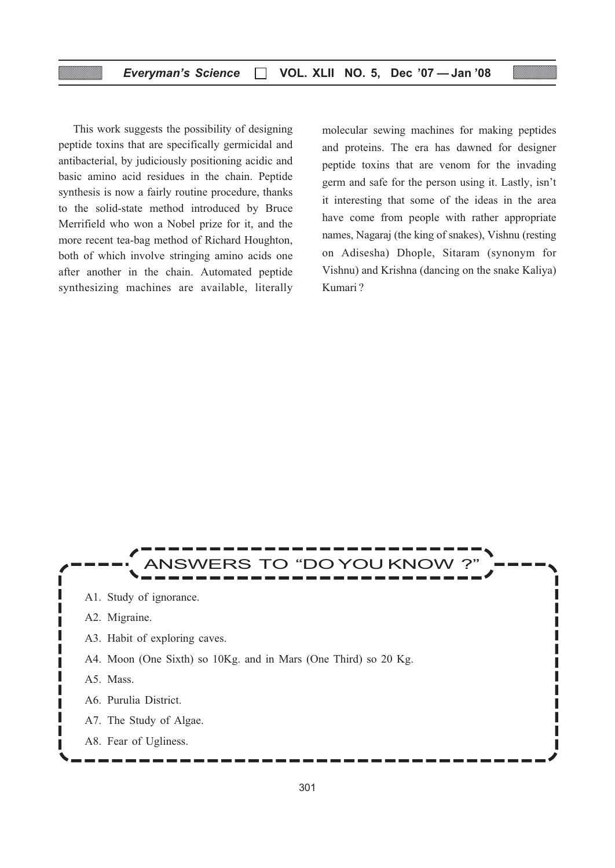This work suggests the possibility of designing peptide toxins that are specifically germicidal and antibacterial, by judiciously positioning acidic and basic amino acid residues in the chain. Peptide synthesis is now a fairly routine procedure, thanks to the solid-state method introduced by Bruce Merrifield who won a Nobel prize for it, and the more recent tea-bag method of Richard Houghton, both of which involve stringing amino acids one after another in the chain. Automated peptide synthesizing machines are available, literally

molecular sewing machines for making peptides and proteins. The era has dawned for designer peptide toxins that are venom for the invading germ and safe for the person using it. Lastly, isn't it interesting that some of the ideas in the area have come from people with rather appropriate names, Nagaraj (the king of snakes), Vishnu (resting on Adisesha) Dhople, Sitaram (synonym for Vishnu) and Krishna (dancing on the snake Kaliya) Kumari ?

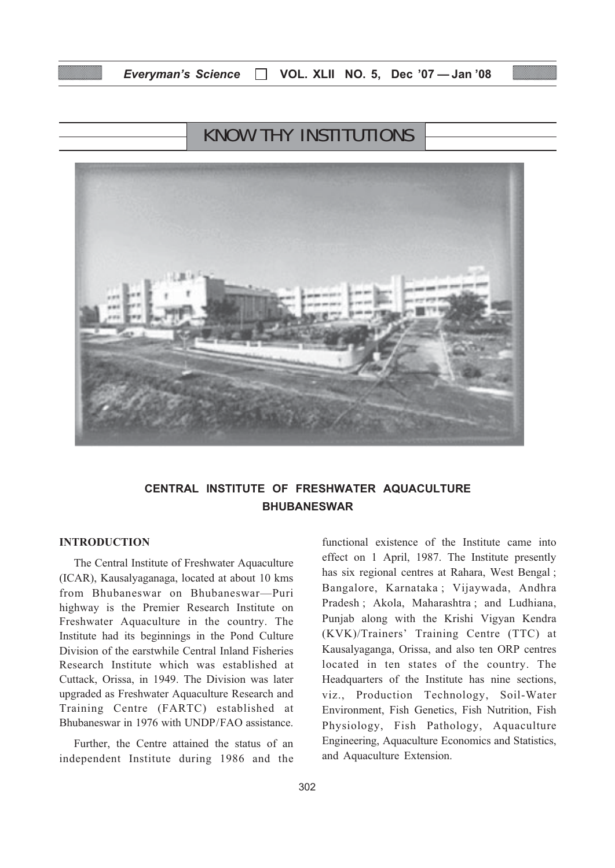## KNOW THY INSTITUTIONS



## CENTRAL INSTITUTE OF FRESHWATER AQUACULTURE BHUBANESWAR

#### INTRODUCTION

The Central Institute of Freshwater Aquaculture (ICAR), Kausalyaganaga, located at about 10 kms from Bhubaneswar on Bhubaneswar—Puri highway is the Premier Research Institute on Freshwater Aquaculture in the country. The Institute had its beginnings in the Pond Culture Division of the earstwhile Central Inland Fisheries Research Institute which was established at Cuttack, Orissa, in 1949. The Division was later upgraded as Freshwater Aquaculture Research and Training Centre (FARTC) established at Bhubaneswar in 1976 with UNDP/FAO assistance.

Further, the Centre attained the status of an independent Institute during 1986 and the functional existence of the Institute came into effect on 1 April, 1987. The Institute presently has six regional centres at Rahara, West Bengal ; Bangalore, Karnataka ; Vijaywada, Andhra Pradesh ; Akola, Maharashtra ; and Ludhiana, Punjab along with the Krishi Vigyan Kendra (KVK)/Trainers' Training Centre (TTC) at Kausalyaganga, Orissa, and also ten ORP centres located in ten states of the country. The Headquarters of the Institute has nine sections, viz., Production Technology, Soil-Water Environment, Fish Genetics, Fish Nutrition, Fish Physiology, Fish Pathology, Aquaculture Engineering, Aquaculture Economics and Statistics, and Aquaculture Extension.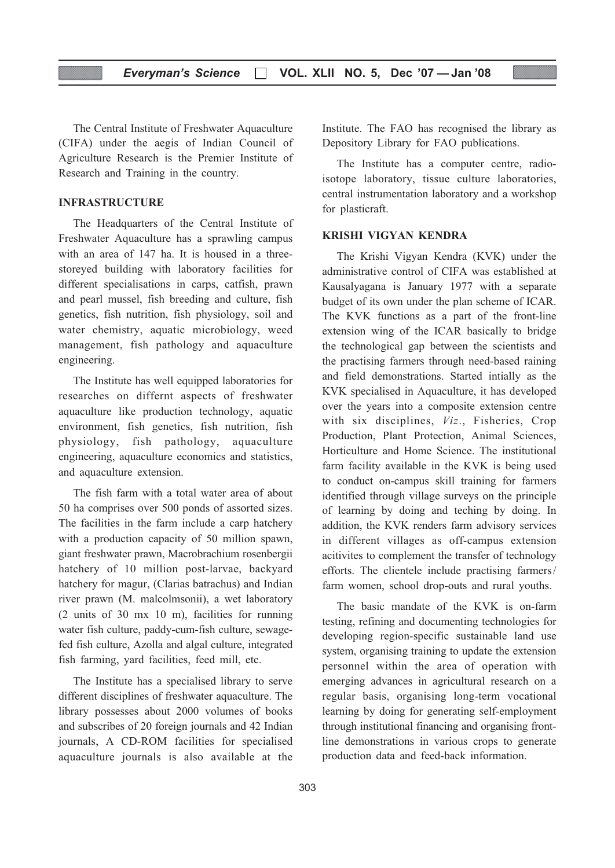The Central Institute of Freshwater Aquaculture (CIFA) under the aegis of Indian Council of Agriculture Research is the Premier Institute of Research and Training in the country.

#### INFRASTRUCTURE

The Headquarters of the Central Institute of Freshwater Aquaculture has a sprawling campus with an area of 147 ha. It is housed in a threestoreyed building with laboratory facilities for different specialisations in carps, catfish, prawn and pearl mussel, fish breeding and culture, fish genetics, fish nutrition, fish physiology, soil and water chemistry, aquatic microbiology, weed management, fish pathology and aquaculture engineering.

The Institute has well equipped laboratories for researches on differnt aspects of freshwater aquaculture like production technology, aquatic environment, fish genetics, fish nutrition, fish physiology, fish pathology, aquaculture engineering, aquaculture economics and statistics, and aquaculture extension.

The fish farm with a total water area of about 50 ha comprises over 500 ponds of assorted sizes. The facilities in the farm include a carp hatchery with a production capacity of 50 million spawn, giant freshwater prawn, Macrobrachium rosenbergii hatchery of 10 million post-larvae, backyard hatchery for magur, (Clarias batrachus) and Indian river prawn (M. malcolmsonii), a wet laboratory (2 units of 30 mx 10 m), facilities for running water fish culture, paddy-cum-fish culture, sewagefed fish culture, Azolla and algal culture, integrated fish farming, yard facilities, feed mill, etc.

The Institute has a specialised library to serve different disciplines of freshwater aquaculture. The library possesses about 2000 volumes of books and subscribes of 20 foreign journals and 42 Indian journals, A CD-ROM facilities for specialised aquaculture journals is also available at the Institute. The FAO has recognised the library as Depository Library for FAO publications.

The Institute has a computer centre, radioisotope laboratory, tissue culture laboratories, central instrumentation laboratory and a workshop for plasticraft.

#### KRISHI VIGYAN KENDRA

The Krishi Vigyan Kendra (KVK) under the administrative control of CIFA was established at Kausalyagana is January 1977 with a separate budget of its own under the plan scheme of ICAR. The KVK functions as a part of the front-line extension wing of the ICAR basically to bridge the technological gap between the scientists and the practising farmers through need-based raining and field demonstrations. Started intially as the KVK specialised in Aquaculture, it has developed over the years into a composite extension centre with six disciplines, Viz., Fisheries, Crop Production, Plant Protection, Animal Sciences, Horticulture and Home Science. The institutional farm facility available in the KVK is being used to conduct on-campus skill training for farmers identified through village surveys on the principle of learning by doing and teching by doing. In addition, the KVK renders farm advisory services in different villages as off-campus extension acitivites to complement the transfer of technology efforts. The clientele include practising farmers/ farm women, school drop-outs and rural youths.

The basic mandate of the KVK is on-farm testing, refining and documenting technologies for developing region-specific sustainable land use system, organising training to update the extension personnel within the area of operation with emerging advances in agricultural research on a regular basis, organising long-term vocational learning by doing for generating self-employment through institutional financing and organising frontline demonstrations in various crops to generate production data and feed-back information.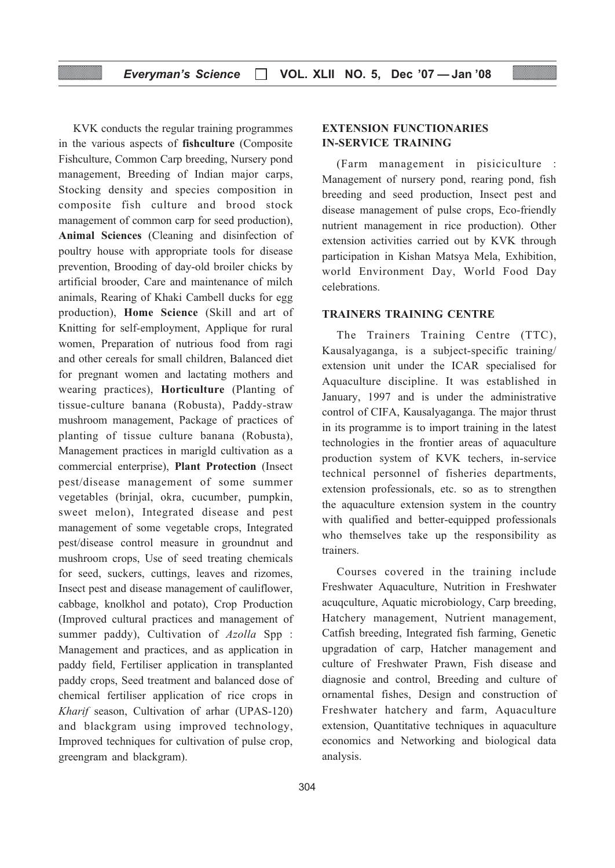#### Everyman's Science  $\Box$  VOL. XLII NO. 5, Dec '07 - Jan '08

KVK conducts the regular training programmes in the various aspects of fishculture (Composite Fishculture, Common Carp breeding, Nursery pond management, Breeding of Indian major carps, Stocking density and species composition in composite fish culture and brood stock management of common carp for seed production), Animal Sciences (Cleaning and disinfection of poultry house with appropriate tools for disease prevention, Brooding of day-old broiler chicks by artificial brooder, Care and maintenance of milch animals, Rearing of Khaki Cambell ducks for egg production), Home Science (Skill and art of Knitting for self-employment, Applique for rural women, Preparation of nutrious food from ragi and other cereals for small children, Balanced diet for pregnant women and lactating mothers and wearing practices), Horticulture (Planting of tissue-culture banana (Robusta), Paddy-straw mushroom management, Package of practices of planting of tissue culture banana (Robusta), Management practices in marigld cultivation as a commercial enterprise), Plant Protection (Insect pest/disease management of some summer vegetables (brinjal, okra, cucumber, pumpkin, sweet melon), Integrated disease and pest management of some vegetable crops, Integrated pest/disease control measure in groundnut and mushroom crops, Use of seed treating chemicals for seed, suckers, cuttings, leaves and rizomes, Insect pest and disease management of cauliflower, cabbage, knolkhol and potato), Crop Production (Improved cultural practices and management of summer paddy), Cultivation of Azolla Spp : Management and practices, and as application in paddy field, Fertiliser application in transplanted paddy crops, Seed treatment and balanced dose of chemical fertiliser application of rice crops in Kharif season, Cultivation of arhar (UPAS-120) and blackgram using improved technology, Improved techniques for cultivation of pulse crop, greengram and blackgram).

#### EXTENSION FUNCTIONARIES IN-SERVICE TRAINING

(Farm management in pisiciculture : Management of nursery pond, rearing pond, fish breeding and seed production, Insect pest and disease management of pulse crops, Eco-friendly nutrient management in rice production). Other extension activities carried out by KVK through participation in Kishan Matsya Mela, Exhibition, world Environment Day, World Food Day celebrations.

#### TRAINERS TRAINING CENTRE

The Trainers Training Centre (TTC), Kausalyaganga, is a subject-specific training/ extension unit under the ICAR specialised for Aquaculture discipline. It was established in January, 1997 and is under the administrative control of CIFA, Kausalyaganga. The major thrust in its programme is to import training in the latest technologies in the frontier areas of aquaculture production system of KVK techers, in-service technical personnel of fisheries departments, extension professionals, etc. so as to strengthen the aquaculture extension system in the country with qualified and better-equipped professionals who themselves take up the responsibility as trainers.

Courses covered in the training include Freshwater Aquaculture, Nutrition in Freshwater acuqculture, Aquatic microbiology, Carp breeding, Hatchery management, Nutrient management, Catfish breeding, Integrated fish farming, Genetic upgradation of carp, Hatcher management and culture of Freshwater Prawn, Fish disease and diagnosie and control, Breeding and culture of ornamental fishes, Design and construction of Freshwater hatchery and farm, Aquaculture extension, Quantitative techniques in aquaculture economics and Networking and biological data analysis.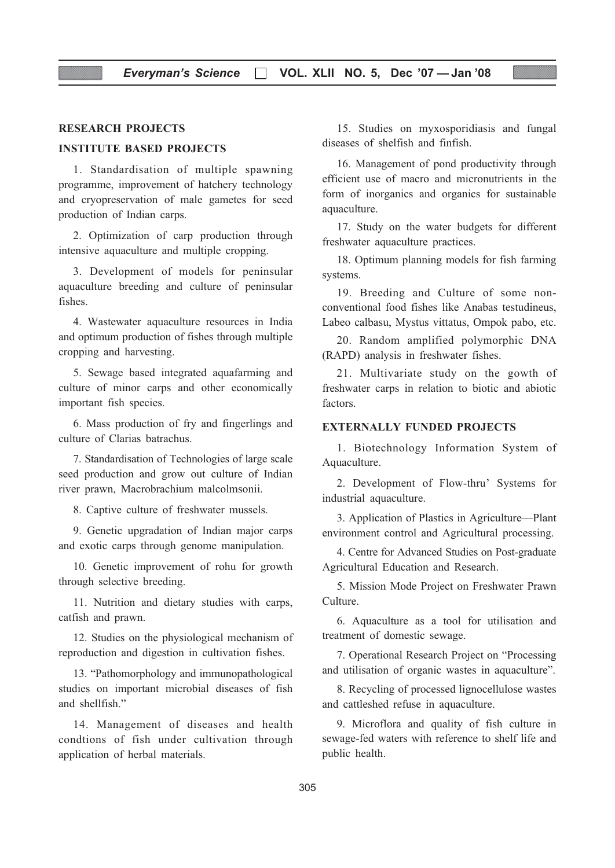#### RESEARCH PROJECTS

#### INSTITUTE BASED PROJECTS

1. Standardisation of multiple spawning programme, improvement of hatchery technology and cryopreservation of male gametes for seed production of Indian carps.

2. Optimization of carp production through intensive aquaculture and multiple cropping.

3. Development of models for peninsular aquaculture breeding and culture of peninsular fishes.

4. Wastewater aquaculture resources in India and optimum production of fishes through multiple cropping and harvesting.

5. Sewage based integrated aquafarming and culture of minor carps and other economically important fish species.

6. Mass production of fry and fingerlings and culture of Clarias batrachus.

7. Standardisation of Technologies of large scale seed production and grow out culture of Indian river prawn, Macrobrachium malcolmsonii.

8. Captive culture of freshwater mussels.

9. Genetic upgradation of Indian major carps and exotic carps through genome manipulation.

10. Genetic improvement of rohu for growth through selective breeding.

11. Nutrition and dietary studies with carps, catfish and prawn.

12. Studies on the physiological mechanism of reproduction and digestion in cultivation fishes.

13. "Pathomorphology and immunopathological studies on important microbial diseases of fish and shellfish."

14. Management of diseases and health condtions of fish under cultivation through application of herbal materials.

15. Studies on myxosporidiasis and fungal diseases of shelfish and finfish.

16. Management of pond productivity through efficient use of macro and micronutrients in the form of inorganics and organics for sustainable aquaculture.

17. Study on the water budgets for different freshwater aquaculture practices.

18. Optimum planning models for fish farming systems.

19. Breeding and Culture of some nonconventional food fishes like Anabas testudineus, Labeo calbasu, Mystus vittatus, Ompok pabo, etc.

20. Random amplified polymorphic DNA (RAPD) analysis in freshwater fishes.

21. Multivariate study on the gowth of freshwater carps in relation to biotic and abiotic factors.

#### EXTERNALLY FUNDED PROJECTS

1. Biotechnology Information System of Aquaculture.

2. Development of Flow-thru' Systems for industrial aquaculture.

3. Application of Plastics in Agriculture—Plant environment control and Agricultural processing.

4. Centre for Advanced Studies on Post-graduate Agricultural Education and Research.

5. Mission Mode Project on Freshwater Prawn Culture.

6. Aquaculture as a tool for utilisation and treatment of domestic sewage.

7. Operational Research Project on "Processing and utilisation of organic wastes in aquaculture".

8. Recycling of processed lignocellulose wastes and cattleshed refuse in aquaculture.

9. Microflora and quality of fish culture in sewage-fed waters with reference to shelf life and public health.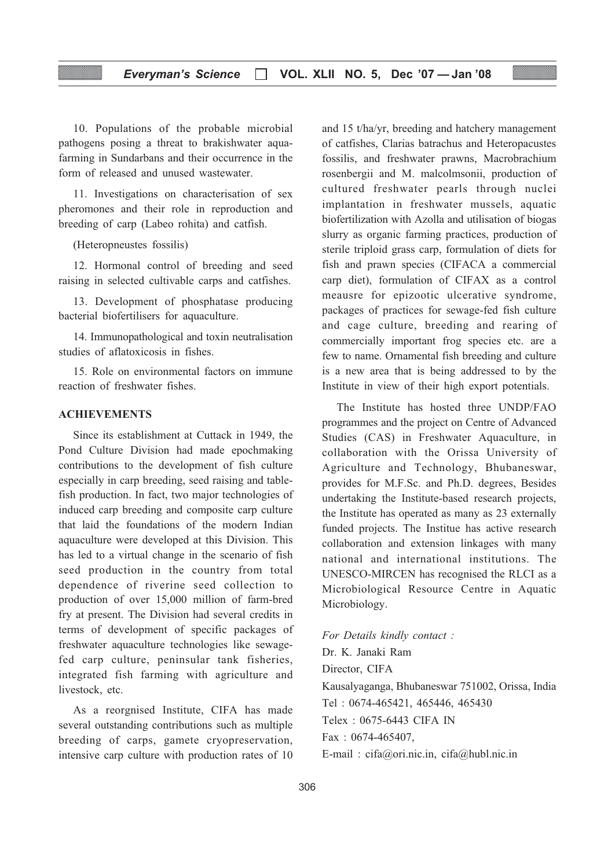#### Everyman's Science  $\Box$  VOL. XLII NO. 5, Dec '07 - Jan '08

10. Populations of the probable microbial pathogens posing a threat to brakishwater aquafarming in Sundarbans and their occurrence in the form of released and unused wastewater.

11. Investigations on characterisation of sex pheromones and their role in reproduction and breeding of carp (Labeo rohita) and catfish.

(Heteropneustes fossilis)

12. Hormonal control of breeding and seed raising in selected cultivable carps and catfishes.

13. Development of phosphatase producing bacterial biofertilisers for aquaculture.

14. Immunopathological and toxin neutralisation studies of aflatoxicosis in fishes.

15. Role on environmental factors on immune reaction of freshwater fishes.

#### ACHIEVEMENTS

Since its establishment at Cuttack in 1949, the Pond Culture Division had made epochmaking contributions to the development of fish culture especially in carp breeding, seed raising and tablefish production. In fact, two major technologies of induced carp breeding and composite carp culture that laid the foundations of the modern Indian aquaculture were developed at this Division. This has led to a virtual change in the scenario of fish seed production in the country from total dependence of riverine seed collection to production of over 15,000 million of farm-bred fry at present. The Division had several credits in terms of development of specific packages of freshwater aquaculture technologies like sewagefed carp culture, peninsular tank fisheries, integrated fish farming with agriculture and livestock, etc.

As a reorgnised Institute, CIFA has made several outstanding contributions such as multiple breeding of carps, gamete cryopreservation, intensive carp culture with production rates of 10 and 15 t/ha/yr, breeding and hatchery management of catfishes, Clarias batrachus and Heteropacustes fossilis, and freshwater prawns, Macrobrachium rosenbergii and M. malcolmsonii, production of cultured freshwater pearls through nuclei implantation in freshwater mussels, aquatic biofertilization with Azolla and utilisation of biogas slurry as organic farming practices, production of sterile triploid grass carp, formulation of diets for fish and prawn species (CIFACA a commercial carp diet), formulation of CIFAX as a control meausre for epizootic ulcerative syndrome, packages of practices for sewage-fed fish culture and cage culture, breeding and rearing of commercially important frog species etc. are a few to name. Ornamental fish breeding and culture is a new area that is being addressed to by the Institute in view of their high export potentials.

The Institute has hosted three UNDP/FAO programmes and the project on Centre of Advanced Studies (CAS) in Freshwater Aquaculture, in collaboration with the Orissa University of Agriculture and Technology, Bhubaneswar, provides for M.F.Sc. and Ph.D. degrees, Besides undertaking the Institute-based research projects, the Institute has operated as many as 23 externally funded projects. The Institue has active research collaboration and extension linkages with many national and international institutions. The UNESCO-MIRCEN has recognised the RLCI as a Microbiological Resource Centre in Aquatic Microbiology.

For Details kindly contact : Dr. K. Janaki Ram Director, CIFA Kausalyaganga, Bhubaneswar 751002, Orissa, India Tel : 0674-465421, 465446, 465430 Telex : 0675-6443 CIFA IN Fax : 0674-465407, E-mail : cifa@ori.nic.in, cifa@hubl.nic.in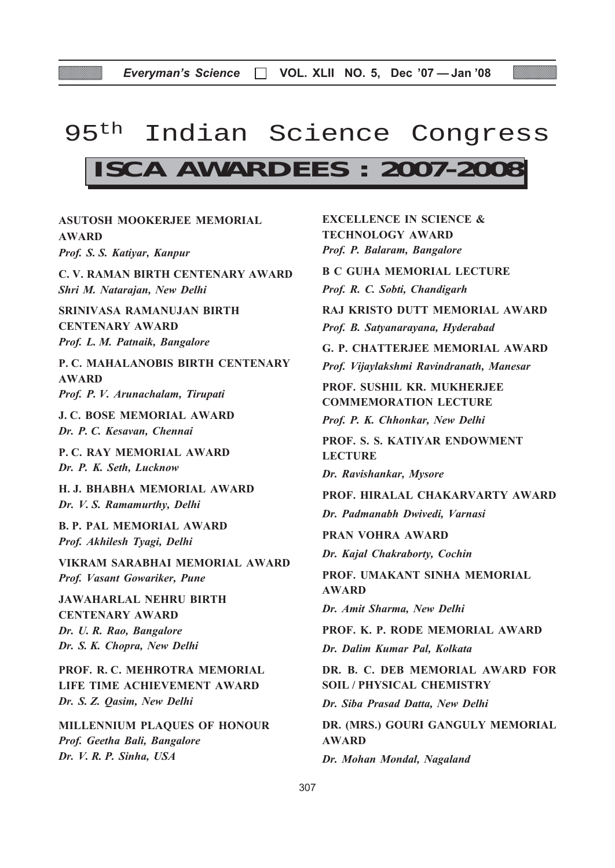## 95<sup>th</sup> Indian Science Congress

## **ISCA AWARDEES : 2007-2008**

ASUTOSH MOOKERJEE MEMORIAL AWARD Prof. S. S. Katiyar, Kanpur C. V. RAMAN BIRTH CENTENARY AWARD Shri M. Natarajan, New Delhi SRINIVASA RAMANUJAN BIRTH CENTENARY AWARD Prof. L. M. Patnaik, Bangalore P. C. MAHALANOBIS BIRTH CENTENARY AWARD Prof. P. V. Arunachalam, Tirupati J. C. BOSE MEMORIAL AWARD Dr. P. C. Kesavan, Chennai P. C. RAY MEMORIAL AWARD Dr. P. K. Seth, Lucknow H. J. BHABHA MEMORIAL AWARD Dr. V. S. Ramamurthy, Delhi B. P. PAL MEMORIAL AWARD Prof. Akhilesh Tyagi, Delhi VIKRAM SARABHAI MEMORIAL AWARD Prof. Vasant Gowariker, Pune JAWAHARLAL NEHRU BIRTH CENTENARY AWARD Dr. U. R. Rao, Bangalore Dr. S. K. Chopra, New Delhi PROF. R. C. MEHROTRA MEMORIAL LIFE TIME ACHIEVEMENT AWARD Dr. S. Z. Qasim, New Delhi MILLENNIUM PLAQUES OF HONOUR Prof. Geetha Bali, Bangalore

Dr. V. R. P. Sinha, USA

EXCELLENCE IN SCIENCE & TECHNOLOGY AWARD Prof. P. Balaram, Bangalore B C GUHA MEMORIAL LECTURE Prof. R. C. Sobti, Chandigarh RAJ KRISTO DUTT MEMORIAL AWARD Prof. B. Satyanarayana, Hyderabad G. P. CHATTERJEE MEMORIAL AWARD Prof. Vijaylakshmi Ravindranath, Manesar PROF. SUSHIL KR. MUKHERJEE COMMEMORATION LECTURE Prof. P. K. Chhonkar, New Delhi PROF. S. S. KATIYAR ENDOWMENT LECTURE Dr. Ravishankar, Mysore PROF. HIRALAL CHAKARVARTY AWARD Dr. Padmanabh Dwivedi, Varnasi PRAN VOHRA AWARD Dr. Kajal Chakraborty, Cochin PROF. UMAKANT SINHA MEMORIAL AWARD Dr. Amit Sharma, New Delhi PROF. K. P. RODE MEMORIAL AWARD Dr. Dalim Kumar Pal, Kolkata DR. B. C. DEB MEMORIAL AWARD FOR SOIL / PHYSICAL CHEMISTRY Dr. Siba Prasad Datta, New Delhi DR. (MRS.) GOURI GANGULY MEMORIAL AWARD Dr. Mohan Mondal, Nagaland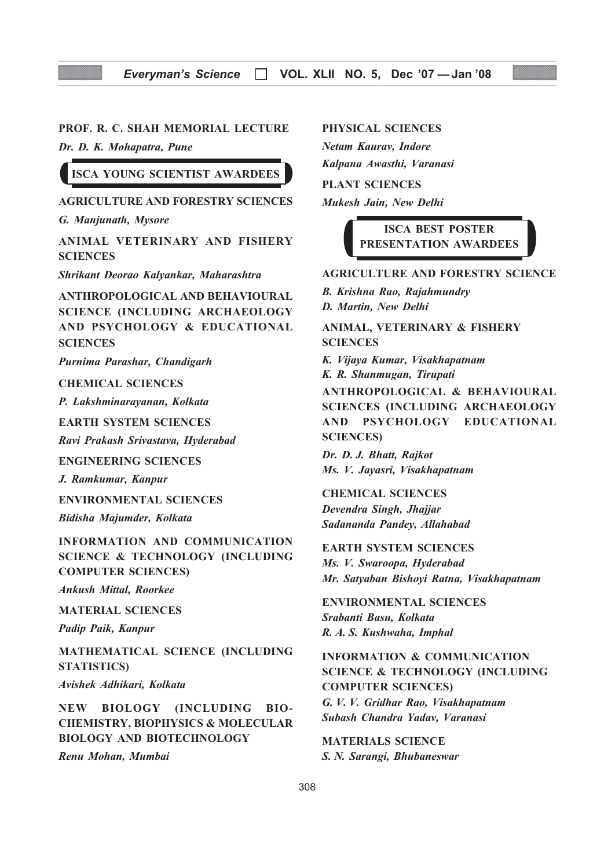#### PROF. R. C. SHAH MEMORIAL LECTURE

Dr. D. K. Mohapatra, Pune

ISCA YOUNG SCIENTIST AWARDEES

#### AGRICULTURE AND FORESTRY SCIENCES

G. Manjunath, Mysore

ANIMAL VETERINARY AND FISHERY **SCIENCES** 

Shrikant Deorao Kalyankar, Maharashtra

ANTHROPOLOGICAL AND BEHAVIOURAL SCIENCE (INCLUDING ARCHAEOLOGY AND PSYCHOLOGY & EDUCATIONAL **SCIENCES** 

Purnima Parashar, Chandigarh

#### CHEMICAL SCIENCES

P. Lakshminarayanan, Kolkata

EARTH SYSTEM SCIENCES

Ravi Prakash Srivastava, Hyderabad

ENGINEERING SCIENCES

J. Ramkumar, Kanpur

ENVIRONMENTAL SCIENCES Bidisha Majumder, Kolkata

INFORMATION AND COMMUNICATION SCIENCE & TECHNOLOGY (INCLUDING COMPUTER SCIENCES)

Ankush Mittal, Roorkee

MATERIAL SCIENCES

Padip Paik, Kanpur

MATHEMATICAL SCIENCE (INCLUDING STATISTICS)

Avishek Adhikari, Kolkata

NEW BIOLOGY (INCLUDING BIO-CHEMISTRY, BIOPHYSICS & MOLECULAR BIOLOGY AND BIOTECHNOLOGY

Renu Mohan, Mumbai

PHYSICAL SCIENCES

Netam Kaurav, Indore Kalpana Awasthi, Varanasi

PLANT SCIENCES

Mukesh Jain, New Delhi

ISCA BEST POSTER PRESENTATION AWARDEES

#### AGRICULTURE AND FORESTRY SCIENCE

B. Krishna Rao, Rajahmundry D. Martin, New Delhi

ANIMAL, VETERINARY & FISHERY **SCIENCES** 

K. Vijaya Kumar, Visakhapatnam K. R. Shanmugan, Tirupati ANTHROPOLOGICAL & BEHAVIOURAL SCIENCES (INCLUDING ARCHAEOLOGY AND PSYCHOLOGY EDUCATIONAL SCIENCES)

Dr. D. J. Bhatt, Rajkot Ms. V. Jayasri, Visakhapatnam

CHEMICAL SCIENCES Devendra Singh, Jhajjar Sadananda Pandey, Allahabad

EARTH SYSTEM SCIENCES

Ms. V. Swaroopa, Hyderabad Mr. Satyaban Bishoyi Ratna, Visakhapatnam

ENVIRONMENTAL SCIENCES Srabanti Basu, Kolkata R. A. S. Kushwaha, Imphal

### INFORMATION & COMMUNICATION SCIENCE & TECHNOLOGY (INCLUDING COMPUTER SCIENCES)

G. V. V. Gridhar Rao, Visakhapatnam Subash Chandra Yadav, Varanasi

MATERIALS SCIENCE S. N. Sarangi, Bhubaneswar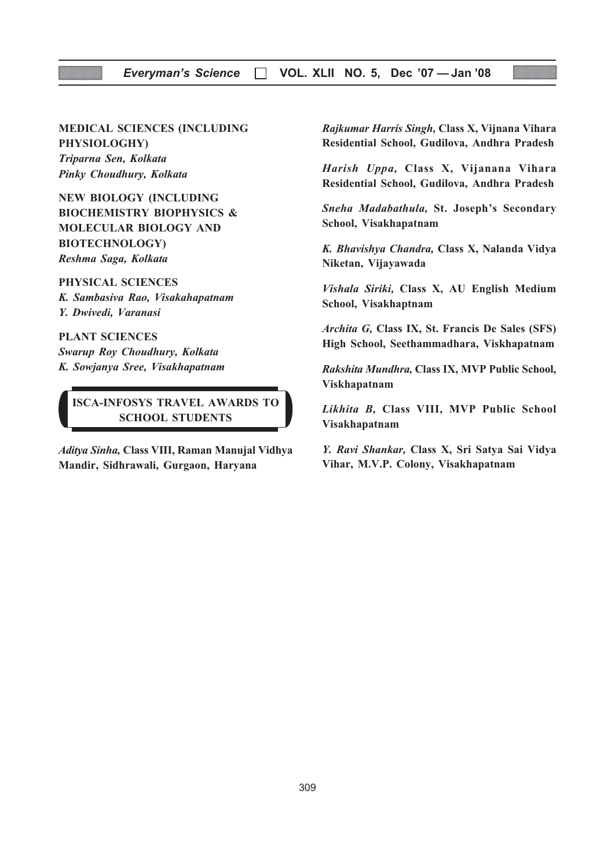#### Everyman's Science □ VOL. XLII NO. 5, Dec '07 — Jan '08

## MEDICAL SCIENCES (INCLUDING

PHYSIOLOGHY) Triparna Sen, Kolkata Pinky Choudhury, Kolkata

NEW BIOLOGY (INCLUDING BIOCHEMISTRY BIOPHYSICS & MOLECULAR BIOLOGY AND BIOTECHNOLOGY) Reshma Saga, Kolkata

PHYSICAL SCIENCES K. Sambasiva Rao, Visakahapatnam

Y. Dwivedi, Varanasi

PLANT SCIENCES Swarup Roy Choudhury, Kolkata K. Sowjanya Sree, Visakhapatnam

ISCA-INFOSYS TRAVEL AWARDS TO SCHOOL STUDENTS

Aditya Sinha, Class VIII, Raman Manujal Vidhya Mandir, Sidhrawali, Gurgaon, Haryana

Rajkumar Harris Singh, Class X, Vijnana Vihara Residential School, Gudilova, Andhra Pradesh

Harish Uppa, Class X, Vijanana Vihara Residential School, Gudilova, Andhra Pradesh

Sneha Madabathula, St. Joseph's Secondary School, Visakhapatnam

K. Bhavishya Chandra, Class X, Nalanda Vidya Niketan, Vijayawada

Vishala Siriki, Class X, AU English Medium School, Visakhaptnam

Archita G, Class IX, St. Francis De Sales (SFS) High School, Seethammadhara, Viskhapatnam

Rakshita Mundhra, Class IX, MVP Public School, Viskhapatnam

Likhita B, Class VIII, MVP Public School Visakhapatnam

Y. Ravi Shankar, Class X, Sri Satya Sai Vidya Vihar, M.V.P. Colony, Visakhapatnam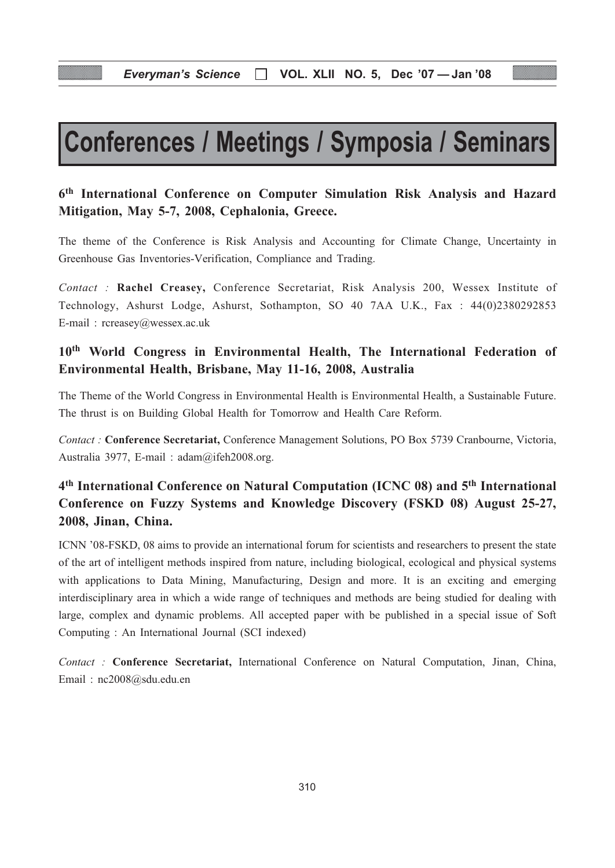# Conferences / Meetings / Symposia / Seminars

## 6th International Conference on Computer Simulation Risk Analysis and Hazard Mitigation, May 5-7, 2008, Cephalonia, Greece.

The theme of the Conference is Risk Analysis and Accounting for Climate Change, Uncertainty in Greenhouse Gas Inventories-Verification, Compliance and Trading.

Contact : Rachel Creasey, Conference Secretariat, Risk Analysis 200, Wessex Institute of Technology, Ashurst Lodge, Ashurst, Sothampton, SO 40 7AA U.K., Fax : 44(0)2380292853 E-mail : rcreasey@wessex.ac.uk

## 10th World Congress in Environmental Health, The International Federation of Environmental Health, Brisbane, May 11-16, 2008, Australia

The Theme of the World Congress in Environmental Health is Environmental Health, a Sustainable Future. The thrust is on Building Global Health for Tomorrow and Health Care Reform.

Contact : Conference Secretariat, Conference Management Solutions, PO Box 5739 Cranbourne, Victoria, Australia 3977, E-mail : adam@ifeh2008.org.

## 4th International Conference on Natural Computation (ICNC 08) and 5th International Conference on Fuzzy Systems and Knowledge Discovery (FSKD 08) August 25-27, 2008, Jinan, China.

ICNN '08-FSKD, 08 aims to provide an international forum for scientists and researchers to present the state of the art of intelligent methods inspired from nature, including biological, ecological and physical systems with applications to Data Mining, Manufacturing, Design and more. It is an exciting and emerging interdisciplinary area in which a wide range of techniques and methods are being studied for dealing with large, complex and dynamic problems. All accepted paper with be published in a special issue of Soft Computing : An International Journal (SCI indexed)

Contact : Conference Secretariat, International Conference on Natural Computation, Jinan, China, Email : nc2008@sdu.edu.en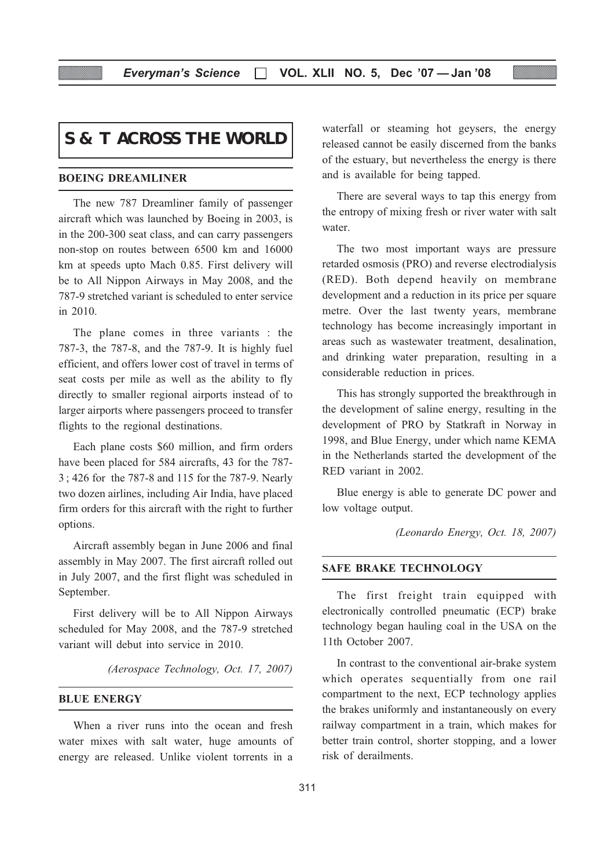## **S & T ACROSS THE WORLD**

#### BOEING DREAMLINER

The new 787 Dreamliner family of passenger aircraft which was launched by Boeing in 2003, is in the 200-300 seat class, and can carry passengers non-stop on routes between 6500 km and 16000 km at speeds upto Mach 0.85. First delivery will be to All Nippon Airways in May 2008, and the 787-9 stretched variant is scheduled to enter service in 2010.

The plane comes in three variants : the 787-3, the 787-8, and the 787-9. It is highly fuel efficient, and offers lower cost of travel in terms of seat costs per mile as well as the ability to fly directly to smaller regional airports instead of to larger airports where passengers proceed to transfer flights to the regional destinations.

Each plane costs \$60 million, and firm orders have been placed for 584 aircrafts, 43 for the 787- 3 ; 426 for the 787-8 and 115 for the 787-9. Nearly two dozen airlines, including Air India, have placed firm orders for this aircraft with the right to further options.

Aircraft assembly began in June 2006 and final assembly in May 2007. The first aircraft rolled out in July 2007, and the first flight was scheduled in September.

First delivery will be to All Nippon Airways scheduled for May 2008, and the 787-9 stretched variant will debut into service in 2010.

(Aerospace Technology, Oct. 17, 2007)

#### BLUE ENERGY

When a river runs into the ocean and fresh water mixes with salt water, huge amounts of energy are released. Unlike violent torrents in a

waterfall or steaming hot geysers, the energy released cannot be easily discerned from the banks of the estuary, but nevertheless the energy is there and is available for being tapped.

There are several ways to tap this energy from the entropy of mixing fresh or river water with salt water.

The two most important ways are pressure retarded osmosis (PRO) and reverse electrodialysis (RED). Both depend heavily on membrane development and a reduction in its price per square metre. Over the last twenty years, membrane technology has become increasingly important in areas such as wastewater treatment, desalination, and drinking water preparation, resulting in a considerable reduction in prices.

This has strongly supported the breakthrough in the development of saline energy, resulting in the development of PRO by Statkraft in Norway in 1998, and Blue Energy, under which name KEMA in the Netherlands started the development of the RED variant in 2002.

Blue energy is able to generate DC power and low voltage output.

(Leonardo Energy, Oct. 18, 2007)

#### SAFE BRAKE TECHNOLOGY

The first freight train equipped with electronically controlled pneumatic (ECP) brake technology began hauling coal in the USA on the 11th October 2007.

In contrast to the conventional air-brake system which operates sequentially from one rail compartment to the next, ECP technology applies the brakes uniformly and instantaneously on every railway compartment in a train, which makes for better train control, shorter stopping, and a lower risk of derailments.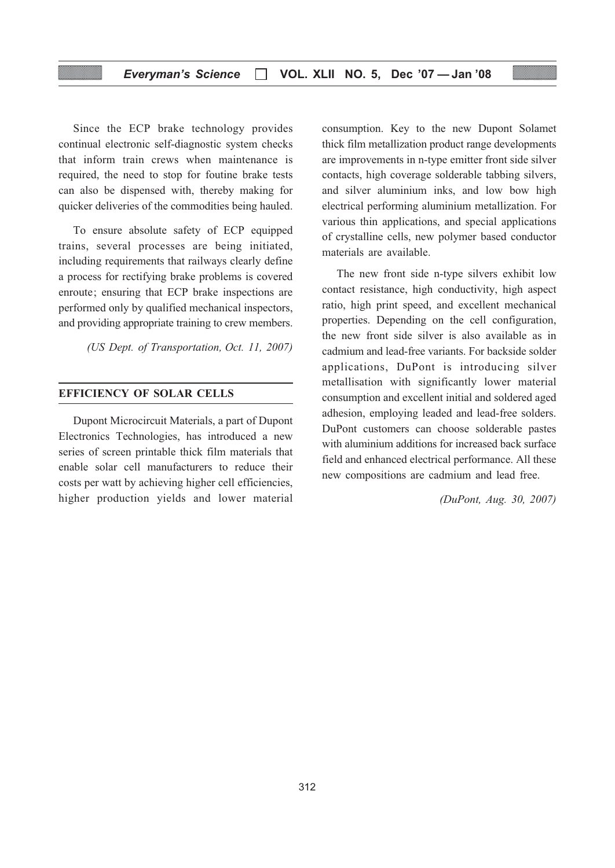Since the ECP brake technology provides continual electronic self-diagnostic system checks that inform train crews when maintenance is required, the need to stop for foutine brake tests can also be dispensed with, thereby making for quicker deliveries of the commodities being hauled.

To ensure absolute safety of ECP equipped trains, several processes are being initiated, including requirements that railways clearly define a process for rectifying brake problems is covered enroute; ensuring that ECP brake inspections are performed only by qualified mechanical inspectors, and providing appropriate training to crew members.

(US Dept. of Transportation, Oct. 11, 2007)

#### EFFICIENCY OF SOLAR CELLS

Dupont Microcircuit Materials, a part of Dupont Electronics Technologies, has introduced a new series of screen printable thick film materials that enable solar cell manufacturers to reduce their costs per watt by achieving higher cell efficiencies, higher production yields and lower material

consumption. Key to the new Dupont Solamet thick film metallization product range developments are improvements in n-type emitter front side silver contacts, high coverage solderable tabbing silvers, and silver aluminium inks, and low bow high electrical performing aluminium metallization. For various thin applications, and special applications of crystalline cells, new polymer based conductor materials are available.

The new front side n-type silvers exhibit low contact resistance, high conductivity, high aspect ratio, high print speed, and excellent mechanical properties. Depending on the cell configuration, the new front side silver is also available as in cadmium and lead-free variants. For backside solder applications, DuPont is introducing silver metallisation with significantly lower material consumption and excellent initial and soldered aged adhesion, employing leaded and lead-free solders. DuPont customers can choose solderable pastes with aluminium additions for increased back surface field and enhanced electrical performance. All these new compositions are cadmium and lead free.

(DuPont, Aug. 30, 2007)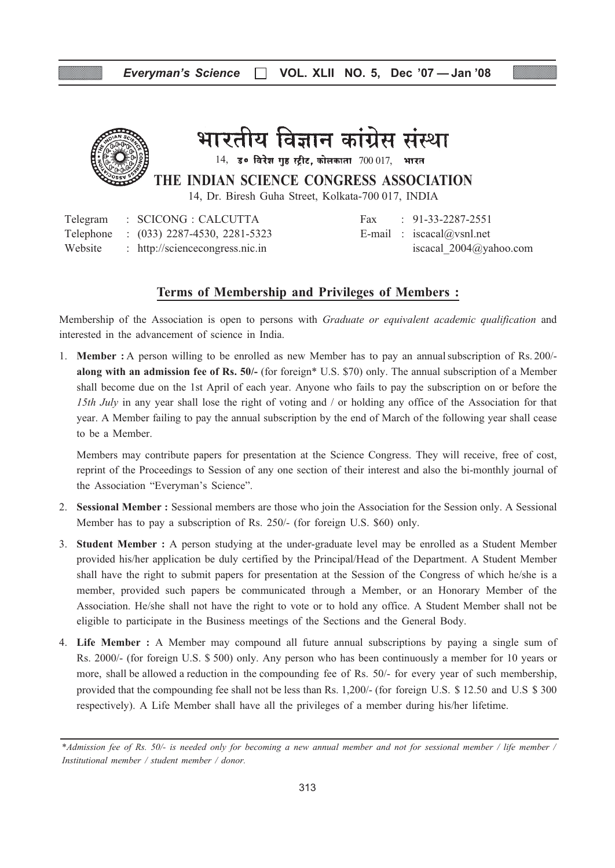

## भारतीय विज्ञान कांग्रेस संस्था

 $14$ , उ० विरेश गुष्ठ स्ट्रीट, कोलकाता  $700017$ , भारत

THE INDIAN SCIENCE CONGRESS ASSOCIATION

14, Dr. Biresh Guha Street, Kolkata-700 017, INDIA

Telegram : SCICONG : CALCUTTA Fax : 91-33-2287-2551 Telephone :  $(033)$  2287-4530, 2281-5323 E-mail : iscacal@vsnl.net Website : http://sciencecongress.nic.in iscacal 2004@yahoo.com

#### Terms of Membership and Privileges of Members :

Membership of the Association is open to persons with *Graduate or equivalent academic qualification* and interested in the advancement of science in India.

1. Member : A person willing to be enrolled as new Member has to pay an annualsubscription of Rs. 200/ along with an admission fee of Rs. 50/- (for foreign\* U.S. \$70) only. The annual subscription of a Member shall become due on the 1st April of each year. Anyone who fails to pay the subscription on or before the 15th July in any year shall lose the right of voting and / or holding any office of the Association for that year. A Member failing to pay the annual subscription by the end of March of the following year shall cease to be a Member.

Members may contribute papers for presentation at the Science Congress. They will receive, free of cost, reprint of the Proceedings to Session of any one section of their interest and also the bi-monthly journal of the Association "Everyman's Science".

- 2. Sessional Member : Sessional members are those who join the Association for the Session only. A Sessional Member has to pay a subscription of Rs. 250/- (for foreign U.S. \$60) only.
- 3. Student Member : A person studying at the under-graduate level may be enrolled as a Student Member provided his/her application be duly certified by the Principal/Head of the Department. A Student Member shall have the right to submit papers for presentation at the Session of the Congress of which he/she is a member, provided such papers be communicated through a Member, or an Honorary Member of the Association. He/she shall not have the right to vote or to hold any office. A Student Member shall not be eligible to participate in the Business meetings of the Sections and the General Body.
- 4. Life Member : A Member may compound all future annual subscriptions by paying a single sum of Rs. 2000/- (for foreign U.S. \$ 500) only. Any person who has been continuously a member for 10 years or more, shall be allowed a reduction in the compounding fee of Rs. 50/- for every year of such membership, provided that the compounding fee shall not be less than Rs. 1,200/- (for foreign U.S. \$ 12.50 and U.S \$ 300 respectively). A Life Member shall have all the privileges of a member during his/her lifetime.

<sup>\*</sup>Admission fee of Rs. 50/- is needed only for becoming a new annual member and not for sessional member / life member / Institutional member / student member / donor.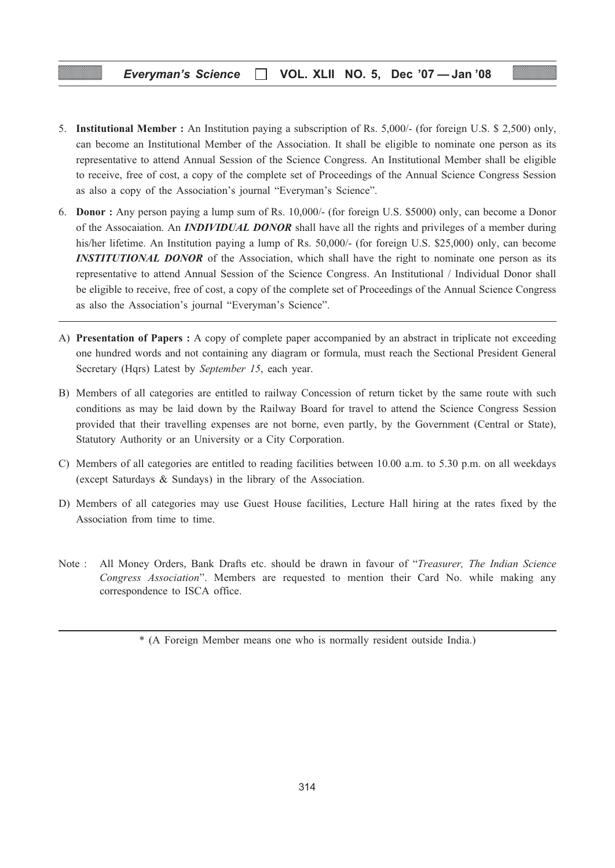- 5. Institutional Member : An Institution paying a subscription of Rs. 5,000/- (for foreign U.S. \$ 2,500) only, can become an Institutional Member of the Association. It shall be eligible to nominate one person as its representative to attend Annual Session of the Science Congress. An Institutional Member shall be eligible to receive, free of cost, a copy of the complete set of Proceedings of the Annual Science Congress Session as also a copy of the Association's journal "Everyman's Science".
- 6. Donor : Any person paying a lump sum of Rs. 10,000/- (for foreign U.S. \$5000) only, can become a Donor of the Assocaiation. An **INDIVIDUAL DONOR** shall have all the rights and privileges of a member during his/her lifetime. An Institution paying a lump of Rs. 50,000/- (for foreign U.S. \$25,000) only, can become **INSTITUTIONAL DONOR** of the Association, which shall have the right to nominate one person as its representative to attend Annual Session of the Science Congress. An Institutional / Individual Donor shall be eligible to receive, free of cost, a copy of the complete set of Proceedings of the Annual Science Congress as also the Association's journal "Everyman's Science".
- A) Presentation of Papers : A copy of complete paper accompanied by an abstract in triplicate not exceeding one hundred words and not containing any diagram or formula, must reach the Sectional President General Secretary (Hqrs) Latest by September 15, each year.
- B) Members of all categories are entitled to railway Concession of return ticket by the same route with such conditions as may be laid down by the Railway Board for travel to attend the Science Congress Session provided that their travelling expenses are not borne, even partly, by the Government (Central or State), Statutory Authority or an University or a City Corporation.
- C) Members of all categories are entitled to reading facilities between 10.00 a.m. to 5.30 p.m. on all weekdays (except Saturdays & Sundays) in the library of the Association.
- D) Members of all categories may use Guest House facilities, Lecture Hall hiring at the rates fixed by the Association from time to time.
- Note : All Money Orders, Bank Drafts etc. should be drawn in favour of "Treasurer, The Indian Science Congress Association". Members are requested to mention their Card No. while making any correspondence to ISCA office.

<sup>\* (</sup>A Foreign Member means one who is normally resident outside India.)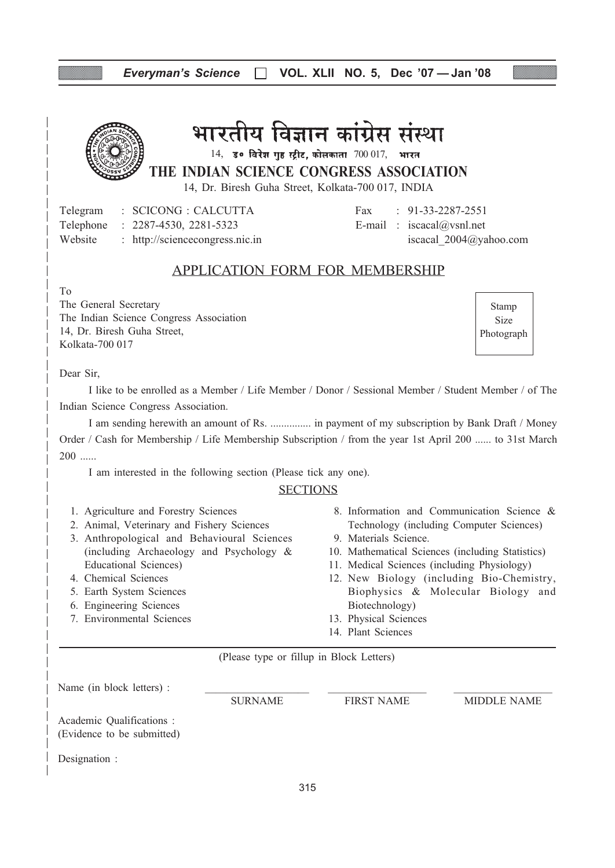## Everyman's Science  $\Box$  VOL. XLII NO. 5, Dec '07 - Jan '08



भारतीय विज्ञान कांग्रेस संस्था

THE INDIAN SCIENCE CONGRESS ASSOCIATION  $14$ , उ० विरेश गृह स्ट्रीट, कोलकाता  $700017$ , भारत

14, Dr. Biresh Guha Street, Kolkata-700 017, INDIA

Telegram : SCICONG : CALCUTTA Fax : 91-33-2287-2551 Telephone :  $2287-4530$ ,  $2281-5323$  E-mail : iscacal@vsnl.net Website : http://sciencecongress.nic.in iscacal 2004@yahoo.com

### APPLICATION FORM FOR MEMBERSHIP

To

The General Secretary The Indian Science Congress Association 14, Dr. Biresh Guha Street, Kolkata-700 017

Stamp Size Photograph

Dear Sir,

I like to be enrolled as a Member / Life Member / Donor / Sessional Member / Student Member / of The Indian Science Congress Association.

I am sending herewith an amount of Rs. ............... in payment of my subscription by Bank Draft / Money Order / Cash for Membership / Life Membership Subscription / from the year 1st April 200 ...... to 31st March 200 ......

I am interested in the following section (Please tick any one).

#### **SECTIONS**

- 1. Agriculture and Forestry Sciences
- 2. Animal, Veterinary and Fishery Sciences
- 3. Anthropological and Behavioural Sciences (including Archaeology and Psychology & Educational Sciences)
- 4. Chemical Sciences
- 5. Earth System Sciences
- 6. Engineering Sciences
- 7. Environmental Sciences
- 8. Information and Communication Science & Technology (including Computer Sciences)
- 9. Materials Science.
- 10. Mathematical Sciences (including Statistics)
- 11. Medical Sciences (including Physiology)
- 12. New Biology (including Bio-Chemistry, Biophysics & Molecular Biology and Biotechnology)
- 13. Physical Sciences
- 14. Plant Sciences

(Please type or fillup in Block Letters)

Name (in block letters) :

Academic Qualifications :

SURNAME FIRST NAME MIDDLE NAME

(Evidence to be submitted)

Designation :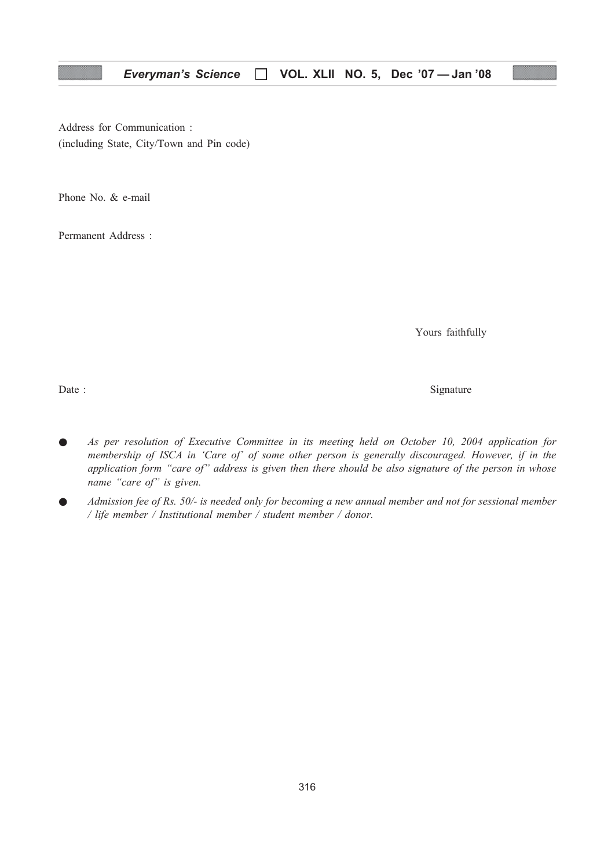Address for Communication : (including State, City/Town and Pin code)

Phone No. & e-mail

Permanent Address :

Yours faithfully

Date : Signature  $\sum_{n=1}^{\infty}$  Signature

- As per resolution of Executive Committee in its meeting held on October 10, 2004 application for membership of ISCA in 'Care of' of some other person is generally discouraged. However, if in the application form "care of" address is given then there should be also signature of the person in whose name "care of" is given.
- Admission fee of Rs. 50/- is needed only for becoming a new annual member and not for sessional member / life member / Institutional member / student member / donor.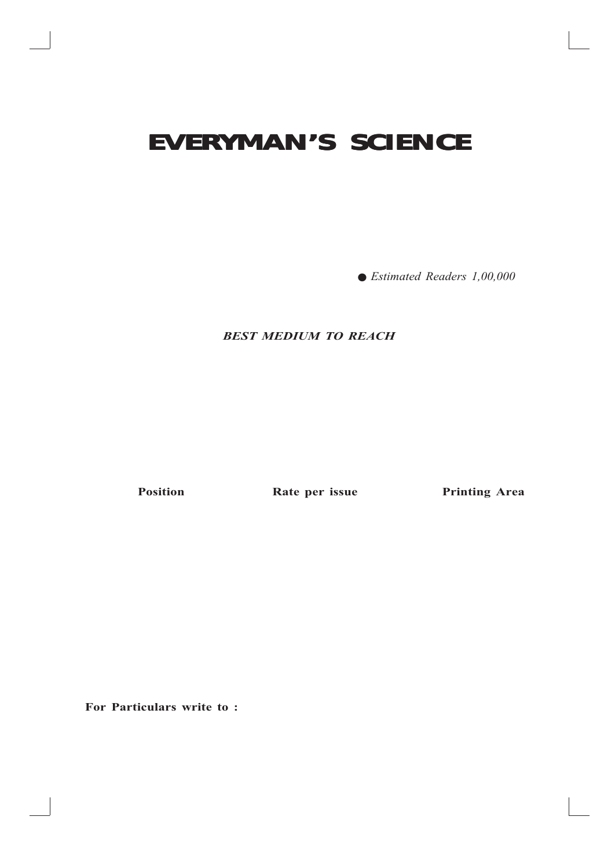# **EVERYMAN'S SCIENCE EVERYMAN'S SCIENCE**

● Estimated Readers 1,00,000

### BEST MEDIUM TO REACH

Position **Rate per issue** Printing Area

For Particulars write to: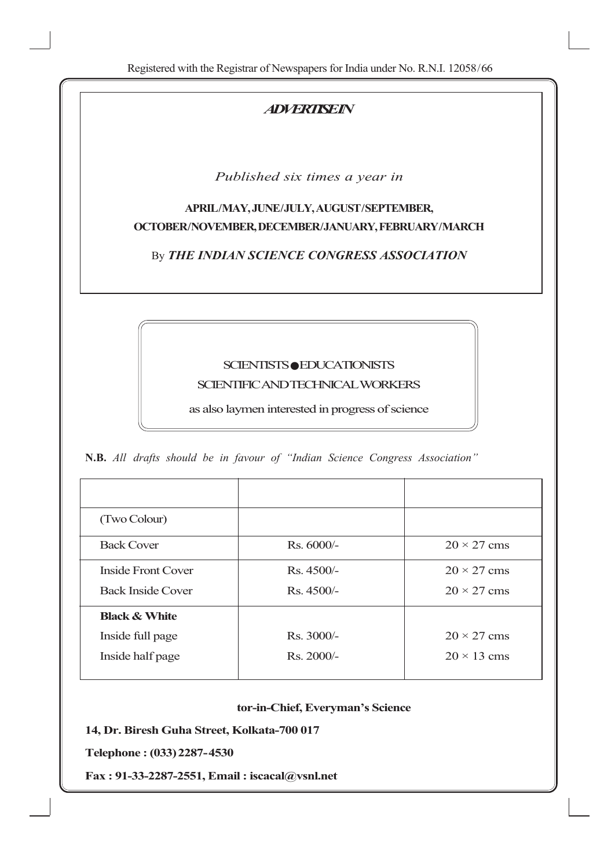## **ADVERTISEIN**

Published six times a year in

## APRIL/MAY, JUNE/JULY, AUGUST/SEPTEMBER, OCTOBER/NOVEMBER, DECEMBER/JANUARY, FEBRUARY/MARCH

By THE INDIAN SCIENCE CONGRESS ASSOCIATION

## SCIENTISTS ● EDUCATIONISTS SCIENTIFIC AND TECHNICAL WORKERS

as also laymen interested in progress of science

N.B. All drafts should be in favour of "Indian Science Congress Association"

| (Two Colour)             |              |                    |
|--------------------------|--------------|--------------------|
| <b>Back Cover</b>        | Rs. 6000/-   | $20 \times 27$ cms |
| Inside Front Cover       | $Rs.4500/-$  | $20 \times 27$ cms |
| <b>Back Inside Cover</b> | $Rs.4500/-$  | $20 \times 27$ cms |
| <b>Black &amp; White</b> |              |                    |
| Inside full page         | $Rs. 3000/-$ | $20 \times 27$ cms |
| Inside half page         | $Rs. 2000/-$ | $20 \times 13$ cms |

#### tor-in-Chief, Everyman's Science

318

14, Dr. Biresh Guha Street, Kolkata-700 017

Telephone : (033)2287-4530

Fax : 91-33-2287-2551, Email : iscacal@vsnl.net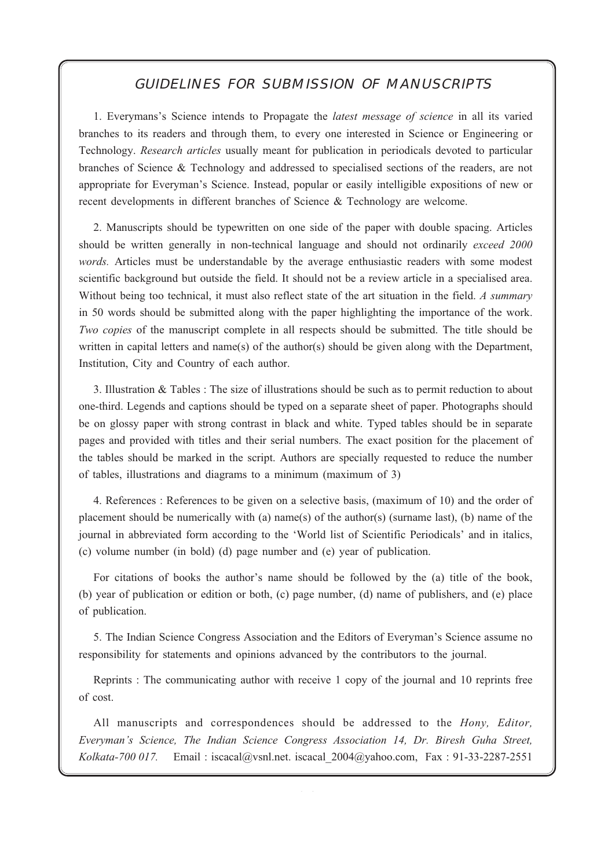#### Everyman's Science VOL. XLII NO. 5, Dec '07 — Jan '08 **GUIDELINES FOR SUBMISSION OF MANUSCRIPTS**

1. Everymans's Science intends to Propagate the latest message of science in all its varied branches to its readers and through them, to every one interested in Science or Engineering or Technology. Research articles usually meant for publication in periodicals devoted to particular branches of Science & Technology and addressed to specialised sections of the readers, are not appropriate for Everyman's Science. Instead, popular or easily intelligible expositions of new or recent developments in different branches of Science & Technology are welcome.

2. Manuscripts should be typewritten on one side of the paper with double spacing. Articles should be written generally in non-technical language and should not ordinarily exceed 2000 words. Articles must be understandable by the average enthusiastic readers with some modest scientific background but outside the field. It should not be a review article in a specialised area. Without being too technical, it must also reflect state of the art situation in the field. A summary in 50 words should be submitted along with the paper highlighting the importance of the work. Two copies of the manuscript complete in all respects should be submitted. The title should be written in capital letters and name(s) of the author(s) should be given along with the Department, Institution, City and Country of each author.

3. Illustration & Tables : The size of illustrations should be such as to permit reduction to about one-third. Legends and captions should be typed on a separate sheet of paper. Photographs should be on glossy paper with strong contrast in black and white. Typed tables should be in separate pages and provided with titles and their serial numbers. The exact position for the placement of the tables should be marked in the script. Authors are specially requested to reduce the number of tables, illustrations and diagrams to a minimum (maximum of 3)

4. References : References to be given on a selective basis, (maximum of 10) and the order of placement should be numerically with (a) name(s) of the author(s) (surname last), (b) name of the journal in abbreviated form according to the 'World list of Scientific Periodicals' and in italics, (c) volume number (in bold) (d) page number and (e) year of publication.

For citations of books the author's name should be followed by the (a) title of the book, (b) year of publication or edition or both, (c) page number, (d) name of publishers, and (e) place of publication.

5. The Indian Science Congress Association and the Editors of Everyman's Science assume no responsibility for statements and opinions advanced by the contributors to the journal.

Reprints : The communicating author with receive 1 copy of the journal and 10 reprints free of cost.

All manuscripts and correspondences should be addressed to the *Hony*, *Editor*, Everyman's Science, The Indian Science Congress Association 14, Dr. Biresh Guha Street, Kolkata-700 017. Email : iscacal@ysnl.net. iscacal 2004@yahoo.com, Fax : 91-33-2287-2551